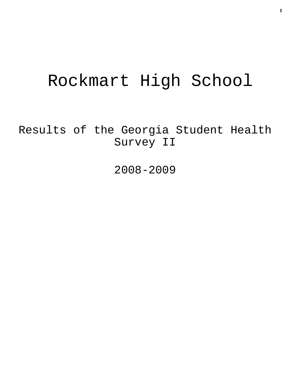# Rockmart High School

Results of the Georgia Student Health Survey II

2008-2009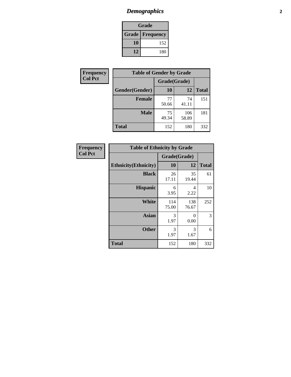# *Demographics* **2**

| Grade                    |     |  |  |
|--------------------------|-----|--|--|
| <b>Grade   Frequency</b> |     |  |  |
| 10                       | 152 |  |  |
| 12                       | 180 |  |  |

| Frequency      | <b>Table of Gender by Grade</b> |              |              |              |  |  |
|----------------|---------------------------------|--------------|--------------|--------------|--|--|
| <b>Col Pct</b> |                                 | Grade(Grade) |              |              |  |  |
|                | Gender(Gender)                  | 10           | 12           | <b>Total</b> |  |  |
|                | <b>Female</b>                   | 77<br>50.66  | 74<br>41.11  | 151          |  |  |
|                | <b>Male</b>                     | 75<br>49.34  | 106<br>58.89 | 181          |  |  |
|                | <b>Total</b>                    | 152          | 180          | 332          |  |  |

| <b>Frequency</b> |  |
|------------------|--|
| <b>Col Pct</b>   |  |

| <b>Table of Ethnicity by Grade</b> |              |              |              |  |  |  |  |
|------------------------------------|--------------|--------------|--------------|--|--|--|--|
|                                    | Grade(Grade) |              |              |  |  |  |  |
| <b>Ethnicity</b> (Ethnicity)       | 10           | 12           | <b>Total</b> |  |  |  |  |
| <b>Black</b>                       | 26<br>17.11  | 35<br>19.44  | 61           |  |  |  |  |
| <b>Hispanic</b>                    | 6<br>3.95    | 4<br>2.22    | 10           |  |  |  |  |
| White                              | 114<br>75.00 | 138<br>76.67 | 252          |  |  |  |  |
| <b>Asian</b>                       | 3<br>1.97    | 0<br>0.00    | 3            |  |  |  |  |
| <b>Other</b>                       | 3<br>1.97    | 3<br>1.67    | 6            |  |  |  |  |
| <b>Total</b>                       | 152          | 180          | 332          |  |  |  |  |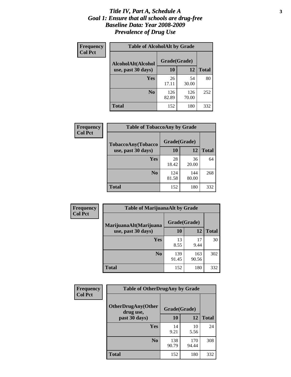#### *Title IV, Part A, Schedule A* **3** *Goal 1: Ensure that all schools are drug-free Baseline Data: Year 2008-2009 Prevalence of Drug Use*

| Frequency<br><b>Col Pct</b> | <b>Table of AlcoholAlt by Grade</b> |              |              |              |  |  |
|-----------------------------|-------------------------------------|--------------|--------------|--------------|--|--|
|                             | AlcoholAlt(Alcohol                  | Grade(Grade) |              |              |  |  |
|                             | use, past 30 days)                  | 10           | 12           | <b>Total</b> |  |  |
|                             | Yes                                 | 26<br>17.11  | 54<br>30.00  | 80           |  |  |
|                             | N <sub>0</sub>                      | 126<br>82.89 | 126<br>70.00 | 252          |  |  |
|                             | <b>Total</b>                        | 152          | 180          | 332          |  |  |

| Frequency      | <b>Table of TobaccoAny by Grade</b> |              |              |              |  |
|----------------|-------------------------------------|--------------|--------------|--------------|--|
| <b>Col Pct</b> | TobaccoAny(Tobacco                  | Grade(Grade) |              |              |  |
|                | use, past 30 days)                  | 10           | 12           | <b>Total</b> |  |
|                | Yes                                 | 28<br>18.42  | 36<br>20.00  | 64           |  |
|                | N <sub>0</sub>                      | 124<br>81.58 | 144<br>80.00 | 268          |  |
|                | Total                               | 152          | 180          | 332          |  |

| Frequency<br><b>Col Pct</b> | <b>Table of MarijuanaAlt by Grade</b> |              |              |              |  |  |
|-----------------------------|---------------------------------------|--------------|--------------|--------------|--|--|
|                             | MarijuanaAlt(Marijuana                | Grade(Grade) |              |              |  |  |
|                             | use, past 30 days)                    | 10           | 12           | <b>Total</b> |  |  |
|                             | Yes                                   | 13<br>8.55   | 17<br>9.44   | 30           |  |  |
|                             | N <sub>0</sub>                        | 139<br>91.45 | 163<br>90.56 | 302          |  |  |
|                             | <b>Total</b>                          | 152          | 180          | 332          |  |  |

| <b>Frequency</b><br><b>Col Pct</b> | <b>Table of OtherDrugAny by Grade</b>  |              |              |              |  |
|------------------------------------|----------------------------------------|--------------|--------------|--------------|--|
|                                    | <b>OtherDrugAny(Other</b><br>drug use, | Grade(Grade) |              |              |  |
|                                    | past 30 days)                          | 10           | 12           | <b>Total</b> |  |
|                                    | Yes                                    | 14<br>9.21   | 10<br>5.56   | 24           |  |
|                                    | N <sub>0</sub>                         | 138<br>90.79 | 170<br>94.44 | 308          |  |
|                                    | <b>Total</b>                           | 152          | 180          | 332          |  |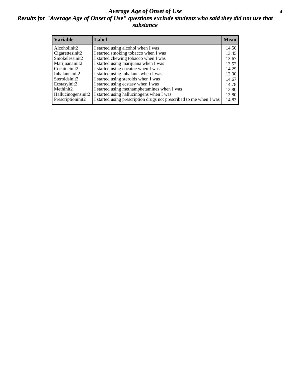#### *Average Age of Onset of Use* **4** *Results for "Average Age of Onset of Use" questions exclude students who said they did not use that substance*

| <b>Variable</b>    | Label                                                              | <b>Mean</b> |
|--------------------|--------------------------------------------------------------------|-------------|
| Alcoholinit2       | I started using alcohol when I was                                 | 14.50       |
| Cigarettesinit2    | I started smoking tobacco when I was                               | 13.45       |
| Smokelessinit2     | I started chewing tobacco when I was                               | 13.67       |
| Marijuanainit2     | I started using marijuana when I was                               | 13.52       |
| Cocaineinit2       | I started using cocaine when I was                                 | 14.29       |
| Inhalantsinit2     | I started using inhalants when I was                               | 12.00       |
| Steroidsinit2      | I started using steroids when I was                                | 14.67       |
| Ecstasyinit2       | I started using ecstasy when I was                                 | 14.78       |
| Methinit2          | I started using methamphetamines when I was                        | 13.80       |
| Hallucinogensinit2 | I started using hallucinogens when I was                           | 13.80       |
| Prescriptioninit2  | I started using prescription drugs not prescribed to me when I was | 14.83       |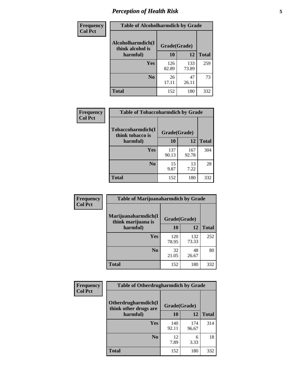# *Perception of Health Risk* **5**

| Frequency      | <b>Table of Alcoholharmdich by Grade</b> |              |              |              |  |
|----------------|------------------------------------------|--------------|--------------|--------------|--|
| <b>Col Pct</b> | Alcoholharmdich(I<br>think alcohol is    | Grade(Grade) |              |              |  |
|                | harmful)                                 | 10           | 12           | <b>Total</b> |  |
|                | Yes                                      | 126<br>82.89 | 133<br>73.89 | 259          |  |
|                | N <sub>0</sub>                           | 26<br>17.11  | 47<br>26.11  | 73           |  |
|                | <b>Total</b>                             | 152          | 180          | 332          |  |

| <b>Frequency</b> | <b>Table of Tobaccoharmdich by Grade</b> |              |              |              |
|------------------|------------------------------------------|--------------|--------------|--------------|
| <b>Col Pct</b>   | Tobaccoharmdich(I<br>think tobacco is    | Grade(Grade) |              |              |
|                  | harmful)                                 | 10           | 12           | <b>Total</b> |
|                  | <b>Yes</b>                               | 137<br>90.13 | 167<br>92.78 | 304          |
|                  | N <sub>0</sub>                           | 15<br>9.87   | 13<br>7.22   | 28           |
|                  | <b>Total</b>                             | 152          | 180          | 332          |

| Frequency      | <b>Table of Marijuanaharmdich by Grade</b> |              |              |              |  |  |
|----------------|--------------------------------------------|--------------|--------------|--------------|--|--|
| <b>Col Pct</b> | Marijuanaharmdich(I<br>think marijuana is  | Grade(Grade) |              |              |  |  |
|                | harmful)                                   | 10           | 12           | <b>Total</b> |  |  |
|                | Yes                                        | 120<br>78.95 | 132<br>73.33 | 252          |  |  |
|                | N <sub>0</sub>                             | 32<br>21.05  | 48<br>26.67  | 80           |  |  |
|                | <b>Total</b>                               | 152          | 180          | 332          |  |  |

| Frequency      | <b>Table of Otherdrugharmdich by Grade</b>   |              |              |              |  |  |
|----------------|----------------------------------------------|--------------|--------------|--------------|--|--|
| <b>Col Pct</b> | Otherdrugharmdich(I<br>think other drugs are | Grade(Grade) |              |              |  |  |
|                | harmful)                                     | 10           | 12           | <b>Total</b> |  |  |
|                | Yes                                          | 140<br>92.11 | 174<br>96.67 | 314          |  |  |
|                | N <sub>0</sub>                               | 12<br>7.89   | 6<br>3.33    | 18           |  |  |
|                | <b>Total</b>                                 | 152          | 180          | 332          |  |  |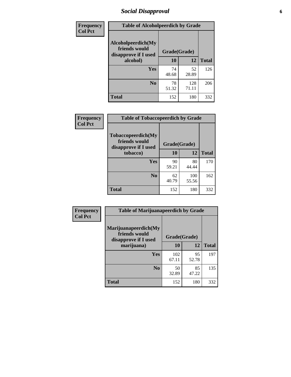# *Social Disapproval* **6**

| Frequency      | <b>Table of Alcoholpeerdich by Grade</b>                    |              |              |              |  |  |
|----------------|-------------------------------------------------------------|--------------|--------------|--------------|--|--|
| <b>Col Pct</b> | Alcoholpeerdich(My<br>friends would<br>disapprove if I used | Grade(Grade) |              |              |  |  |
|                | alcohol)                                                    | 10           | 12           | <b>Total</b> |  |  |
|                | <b>Yes</b>                                                  | 74<br>48.68  | 52<br>28.89  | 126          |  |  |
|                | N <sub>0</sub>                                              | 78<br>51.32  | 128<br>71.11 | 206          |  |  |
|                | <b>Total</b>                                                | 152          | 180          | 332          |  |  |

| <b>Frequency</b> |
|------------------|
| <b>Col Pct</b>   |

| <b>Table of Tobaccopeerdich by Grade</b>                            |              |              |              |  |  |
|---------------------------------------------------------------------|--------------|--------------|--------------|--|--|
| <b>Tobaccopeerdich</b> (My<br>friends would<br>disapprove if I used | Grade(Grade) |              |              |  |  |
| tobacco)                                                            | 10           | 12           | <b>Total</b> |  |  |
| Yes                                                                 | 90<br>59.21  | 80<br>44.44  | 170          |  |  |
| N <sub>0</sub>                                                      | 62<br>40.79  | 100<br>55.56 | 162          |  |  |
| <b>Total</b>                                                        | 152          | 180          | 332          |  |  |

| <b>Frequency</b> | <b>Table of Marijuanapeerdich by Grade</b>                    |              |             |              |  |  |  |
|------------------|---------------------------------------------------------------|--------------|-------------|--------------|--|--|--|
| <b>Col Pct</b>   | Marijuanapeerdich(My<br>friends would<br>disapprove if I used | Grade(Grade) |             |              |  |  |  |
|                  | marijuana)                                                    | 10           | 12          | <b>Total</b> |  |  |  |
|                  | <b>Yes</b>                                                    | 102<br>67.11 | 95<br>52.78 | 197          |  |  |  |
|                  | N <sub>0</sub>                                                | 50<br>32.89  | 85<br>47.22 | 135          |  |  |  |
|                  | <b>Total</b>                                                  | 152          | 180         | 332          |  |  |  |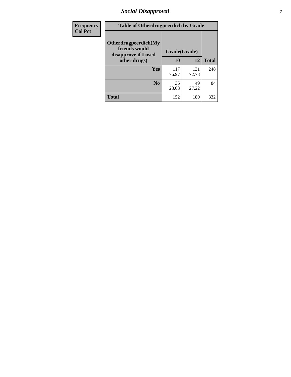# *Social Disapproval* **7**

| Frequency      | <b>Table of Otherdrugpeerdich by Grade</b>                    |              |              |              |
|----------------|---------------------------------------------------------------|--------------|--------------|--------------|
| <b>Col Pct</b> | Otherdrugpeerdich(My<br>friends would<br>disapprove if I used | Grade(Grade) |              |              |
|                | other drugs)                                                  | 10           | 12           | <b>Total</b> |
|                | Yes                                                           | 117<br>76.97 | 131<br>72.78 | 248          |
|                | N <sub>0</sub>                                                | 35<br>23.03  | 49<br>27.22  | 84           |
|                | <b>Total</b>                                                  | 152          | 180          | 332          |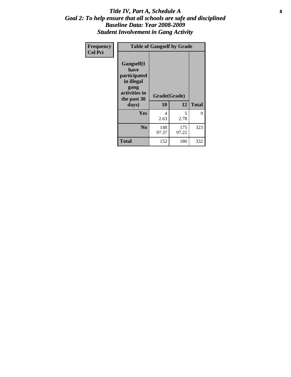#### Title IV, Part A, Schedule A **8** *Goal 2: To help ensure that all schools are safe and disciplined Baseline Data: Year 2008-2009 Student Involvement in Gang Activity*

| Frequency      | <b>Table of Gangself by Grade</b>                                                                 |                    |              |              |  |  |
|----------------|---------------------------------------------------------------------------------------------------|--------------------|--------------|--------------|--|--|
| <b>Col Pct</b> | Gangself(I<br>have<br>participated<br>in illegal<br>gang<br>activities in<br>the past 30<br>days) | Grade(Grade)<br>10 | 12           | <b>Total</b> |  |  |
|                | Yes                                                                                               | 4<br>2.63          | 5<br>2.78    | 9            |  |  |
|                | N <sub>0</sub>                                                                                    | 148<br>97.37       | 175<br>97.22 | 323          |  |  |
|                | Total                                                                                             | 152                | 180          | 332          |  |  |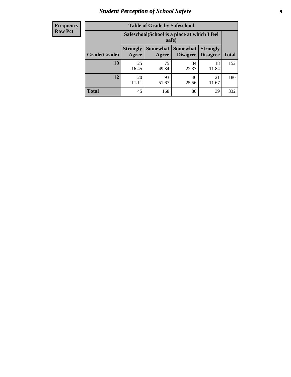# *Student Perception of School Safety* **9**

| <b>Frequency</b><br>Row Pct |
|-----------------------------|
|                             |

| <b>Table of Grade by Safeschool</b> |                                                                                                            |             |             |             |     |  |  |
|-------------------------------------|------------------------------------------------------------------------------------------------------------|-------------|-------------|-------------|-----|--|--|
|                                     | Safeschool (School is a place at which I feel<br>safe)                                                     |             |             |             |     |  |  |
| Grade(Grade)                        | Somewhat   Somewhat<br><b>Strongly</b><br><b>Strongly</b><br><b>Disagree</b><br>Agree<br>Disagree<br>Agree |             |             |             |     |  |  |
| 10                                  | 25<br>16.45                                                                                                | 75<br>49.34 | 34<br>22.37 | 18<br>11.84 | 152 |  |  |
| 12                                  | 20<br>11.11                                                                                                | 93<br>51.67 | 46<br>25.56 | 21<br>11.67 | 180 |  |  |
| <b>Total</b>                        | 45                                                                                                         | 168         | 80          | 39          | 332 |  |  |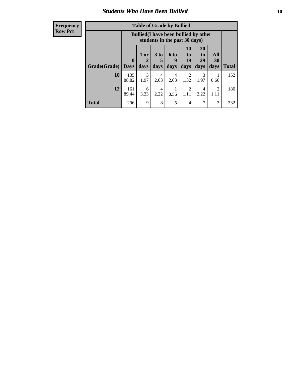### *Students Who Have Been Bullied* **10**

#### **Frequency Row Pct**

| <b>Table of Grade by Bullied</b> |                  |                                                                               |                              |                   |                                                                                                     |           |           |     |  |
|----------------------------------|------------------|-------------------------------------------------------------------------------|------------------------------|-------------------|-----------------------------------------------------------------------------------------------------|-----------|-----------|-----|--|
|                                  |                  | <b>Bullied</b> (I have been bullied by other<br>students in the past 30 days) |                              |                   |                                                                                                     |           |           |     |  |
| Grade(Grade)                     | 0<br><b>Days</b> | 1 or<br>days                                                                  | 3 <sub>to</sub><br>5<br>days | 6 to<br>9<br>days | 10<br><b>20</b><br><b>All</b><br>to<br>to<br>19<br>29<br>30<br><b>Total</b><br>days<br>days<br>days |           |           |     |  |
| 10                               | 135<br>88.82     | 3<br>1.97                                                                     | 4<br>2.63                    | 4<br>2.63         | 2<br>1.32                                                                                           | 3<br>1.97 | 0.66      | 152 |  |
| 12                               | 161<br>89.44     | 6<br>3.33                                                                     | 4<br>2.22                    | 0.56              | 2<br>1.11                                                                                           | 4<br>2.22 | 2<br>1.11 | 180 |  |
| <b>Total</b>                     | 296              | 9                                                                             | 8                            | 5                 | 4                                                                                                   | 7         | 3         | 332 |  |

 $\blacksquare$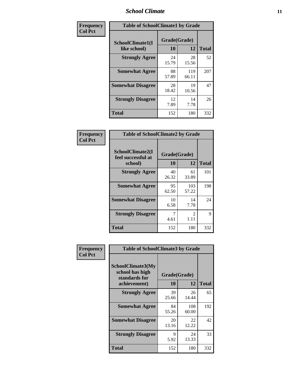### *School Climate* **11**

| Frequency      | <b>Table of SchoolClimate1 by Grade</b> |                    |              |              |  |  |
|----------------|-----------------------------------------|--------------------|--------------|--------------|--|--|
| <b>Col Pct</b> | SchoolClimate1(I<br>like school)        | Grade(Grade)<br>10 | 12           | <b>Total</b> |  |  |
|                | <b>Strongly Agree</b>                   | 24<br>15.79        | 28<br>15.56  | 52           |  |  |
|                | <b>Somewhat Agree</b>                   | 88<br>57.89        | 119<br>66.11 | 207          |  |  |
|                | <b>Somewhat Disagree</b>                | 28<br>18.42        | 19<br>10.56  | 47           |  |  |
|                | <b>Strongly Disagree</b>                | 12<br>7.89         | 14<br>7.78   | 26           |  |  |
|                | <b>Total</b>                            | 152                | 180          | 332          |  |  |

| Frequency |  |
|-----------|--|
| Col Pct   |  |
|           |  |

٦

| <b>Table of SchoolClimate2 by Grade</b>           |                    |                        |              |  |  |
|---------------------------------------------------|--------------------|------------------------|--------------|--|--|
| SchoolClimate2(I<br>feel successful at<br>school) | Grade(Grade)<br>10 | 12                     | <b>Total</b> |  |  |
| <b>Strongly Agree</b>                             | 40<br>26.32        | 61<br>33.89            | 101          |  |  |
| <b>Somewhat Agree</b>                             | 95<br>62.50        | 103<br>57.22           | 198          |  |  |
| <b>Somewhat Disagree</b>                          | 10<br>6.58         | 14<br>7.78             | 24           |  |  |
| <b>Strongly Disagree</b>                          | 7<br>4.61          | $\mathfrak{D}$<br>1.11 | 9            |  |  |
| Total                                             | 152                | 180                    | 332          |  |  |

| Frequency      | <b>Table of SchoolClimate3 by Grade</b>               |              |              |              |  |
|----------------|-------------------------------------------------------|--------------|--------------|--------------|--|
| <b>Col Pct</b> | SchoolClimate3(My<br>school has high<br>standards for | Grade(Grade) |              |              |  |
|                | achievement)                                          | 10           | 12           | <b>Total</b> |  |
|                | <b>Strongly Agree</b>                                 | 39<br>25.66  | 26<br>14.44  | 65           |  |
|                | <b>Somewhat Agree</b>                                 | 84<br>55.26  | 108<br>60.00 | 192          |  |
|                | <b>Somewhat Disagree</b>                              | 20<br>13.16  | 22<br>12.22  | 42           |  |
|                | <b>Strongly Disagree</b>                              | 9<br>5.92    | 24<br>13.33  | 33           |  |
|                | Total                                                 | 152          | 180          | 332          |  |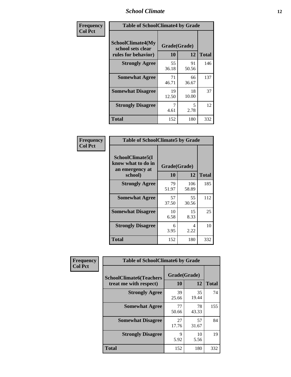### *School Climate* **12**

| Frequency      | <b>Table of SchoolClimate4 by Grade</b>                              |                    |             |              |
|----------------|----------------------------------------------------------------------|--------------------|-------------|--------------|
| <b>Col Pct</b> | <b>SchoolClimate4(My</b><br>school sets clear<br>rules for behavior) | Grade(Grade)<br>10 | 12          | <b>Total</b> |
|                | <b>Strongly Agree</b>                                                | 55<br>36.18        | 91<br>50.56 | 146          |
|                | <b>Somewhat Agree</b>                                                | 71<br>46.71        | 66<br>36.67 | 137          |
|                | <b>Somewhat Disagree</b>                                             | 19<br>12.50        | 18<br>10.00 | 37           |
|                | <b>Strongly Disagree</b>                                             | 7<br>4.61          | 5<br>2.78   | 12           |
|                | <b>Total</b>                                                         | 152                | 180         | 332          |

| <b>Table of SchoolClimate5 by Grade</b>                   |              |              |              |  |  |
|-----------------------------------------------------------|--------------|--------------|--------------|--|--|
| SchoolClimate5(I<br>know what to do in<br>an emergency at | Grade(Grade) |              |              |  |  |
| school)                                                   | 10           | 12           | <b>Total</b> |  |  |
| <b>Strongly Agree</b>                                     | 79<br>51.97  | 106<br>58.89 | 185          |  |  |
| <b>Somewhat Agree</b>                                     | 57<br>37.50  | 55<br>30.56  | 112          |  |  |
| <b>Somewhat Disagree</b>                                  | 10<br>6.58   | 15<br>8.33   | 25           |  |  |
| <b>Strongly Disagree</b>                                  | 6<br>3.95    | 4<br>2.22    | 10           |  |  |
| Total                                                     | 152          | 180          | 332          |  |  |

| Frequency      | <b>Table of SchoolClimate6 by Grade</b>                  |                    |             |              |
|----------------|----------------------------------------------------------|--------------------|-------------|--------------|
| <b>Col Pct</b> | <b>SchoolClimate6(Teachers</b><br>treat me with respect) | Grade(Grade)<br>10 | 12          | <b>Total</b> |
|                | <b>Strongly Agree</b>                                    | 39<br>25.66        | 35<br>19.44 | 74           |
|                | <b>Somewhat Agree</b>                                    | 77<br>50.66        | 78<br>43.33 | 155          |
|                | <b>Somewhat Disagree</b>                                 | 27<br>17.76        | 57<br>31.67 | 84           |
|                | <b>Strongly Disagree</b>                                 | 9<br>5.92          | 10<br>5.56  | 19           |
|                | <b>Total</b>                                             | 152                | 180         | 332          |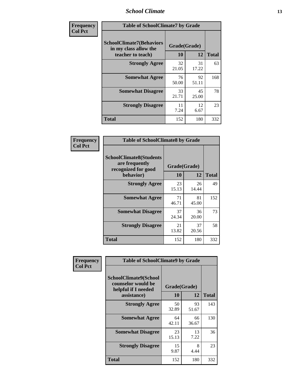### *School Climate* **13**

| Frequency      | <b>Table of SchoolClimate7 by Grade</b>                                       |                           |             |              |
|----------------|-------------------------------------------------------------------------------|---------------------------|-------------|--------------|
| <b>Col Pct</b> | <b>SchoolClimate7(Behaviors</b><br>in my class allow the<br>teacher to teach) | Grade(Grade)<br><b>10</b> | 12          | <b>Total</b> |
|                | <b>Strongly Agree</b>                                                         | 32<br>21.05               | 31<br>17.22 | 63           |
|                | <b>Somewhat Agree</b>                                                         | 76<br>50.00               | 92<br>51.11 | 168          |
|                | <b>Somewhat Disagree</b>                                                      | 33<br>21.71               | 45<br>25.00 | 78           |
|                | <b>Strongly Disagree</b>                                                      | 11<br>7.24                | 12<br>6.67  | 23           |
|                | <b>Total</b>                                                                  | 152                       | 180         | 332          |

| Frequency      | <b>Table of SchoolClimate8 by Grade</b>                                              |                    |             |              |
|----------------|--------------------------------------------------------------------------------------|--------------------|-------------|--------------|
| <b>Col Pct</b> | <b>SchoolClimate8(Students</b><br>are frequently<br>recognized for good<br>behavior) | Grade(Grade)<br>10 | 12          | <b>Total</b> |
|                | <b>Strongly Agree</b>                                                                | 23<br>15.13        | 26<br>14.44 | 49           |
|                | <b>Somewhat Agree</b>                                                                | 71<br>46.71        | 81<br>45.00 | 152          |
|                | <b>Somewhat Disagree</b>                                                             | 37<br>24.34        | 36<br>20.00 | 73           |
|                | <b>Strongly Disagree</b>                                                             | 21<br>13.82        | 37<br>20.56 | 58           |
|                | <b>Total</b>                                                                         | 152                | 180         | 332          |

| Frequency      | <b>Table of SchoolClimate9 by Grade</b>                                           |                    |             |              |
|----------------|-----------------------------------------------------------------------------------|--------------------|-------------|--------------|
| <b>Col Pct</b> | SchoolClimate9(School<br>counselor would be<br>helpful if I needed<br>assistance) | Grade(Grade)<br>10 | 12          | <b>Total</b> |
|                | <b>Strongly Agree</b>                                                             | 50<br>32.89        | 93<br>51.67 | 143          |
|                | <b>Somewhat Agree</b>                                                             | 64<br>42.11        | 66<br>36.67 | 130          |
|                | <b>Somewhat Disagree</b>                                                          | 23<br>15.13        | 13<br>7.22  | 36           |
|                | <b>Strongly Disagree</b>                                                          | 15<br>9.87         | 8<br>4.44   | 23           |
|                | Total                                                                             | 152                | 180         | 332          |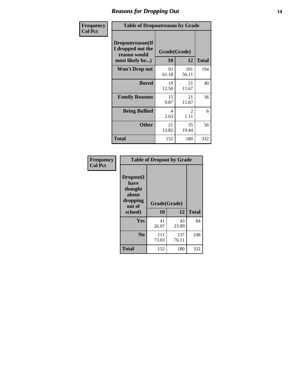### *Reasons for Dropping Out* **14**

| Frequency      | <b>Table of Dropoutreason by Grade</b>                                   |                    |              |              |
|----------------|--------------------------------------------------------------------------|--------------------|--------------|--------------|
| <b>Col Pct</b> | Dropoutreason(If<br>I dropped out the<br>reason would<br>most likely be) | Grade(Grade)<br>10 | 12           | <b>Total</b> |
|                | <b>Won't Drop out</b>                                                    | 93<br>61.18        | 101<br>56.11 | 194          |
|                | <b>Bored</b>                                                             | 19<br>12.50        | 21<br>11.67  | 40           |
|                | <b>Family Reasons</b>                                                    | 15<br>9.87         | 21<br>11.67  | 36           |
|                | <b>Being Bullied</b>                                                     | 4<br>2.63          | 2<br>1.11    | 6            |
|                | <b>Other</b>                                                             | 21<br>13.82        | 35<br>19.44  | 56           |
|                | Total                                                                    | 152                | 180          | 332          |

| Frequency      | <b>Table of Dropout by Grade</b>                                       |              |                    |              |  |
|----------------|------------------------------------------------------------------------|--------------|--------------------|--------------|--|
| <b>Col Pct</b> | Dropout(I<br>have<br>thought<br>about<br>dropping<br>out of<br>school) | 10           | Grade(Grade)<br>12 |              |  |
|                |                                                                        |              |                    | <b>Total</b> |  |
|                | Yes                                                                    | 41<br>26.97  | 43<br>23.89        | 84           |  |
|                | N <sub>0</sub>                                                         | 111<br>73.03 | 137<br>76.11       | 248          |  |
|                | <b>Total</b>                                                           | 152          | 180                | 332          |  |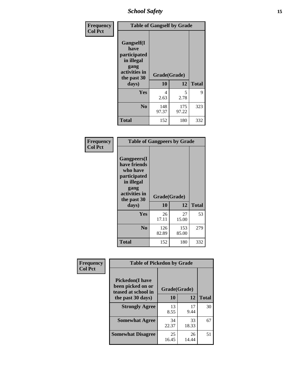*School Safety* **15**

| Frequency      | <b>Table of Gangself by Grade</b>                                                                 |                    |              |              |
|----------------|---------------------------------------------------------------------------------------------------|--------------------|--------------|--------------|
| <b>Col Pct</b> | Gangself(I<br>have<br>participated<br>in illegal<br>gang<br>activities in<br>the past 30<br>days) | Grade(Grade)<br>10 | 12           | <b>Total</b> |
|                | Yes                                                                                               | 4<br>2.63          | 5<br>2.78    | 9            |
|                | N <sub>0</sub>                                                                                    | 148<br>97.37       | 175<br>97.22 | 323          |
|                | <b>Total</b>                                                                                      | 152                | 180          | 332          |

| Frequency<br><b>Col Pct</b> | <b>Table of Gangpeers by Grade</b>                                                                                             |                    |              |              |
|-----------------------------|--------------------------------------------------------------------------------------------------------------------------------|--------------------|--------------|--------------|
|                             | <b>Gangpeers</b> (I<br>have friends<br>who have<br>participated<br>in illegal<br>gang<br>activities in<br>the past 30<br>days) | Grade(Grade)<br>10 | 12           | <b>Total</b> |
|                             | <b>Yes</b>                                                                                                                     | 26<br>17.11        | 27<br>15.00  | 53           |
|                             | N <sub>0</sub>                                                                                                                 | 126<br>82.89       | 153<br>85.00 | 279          |
|                             | <b>Total</b>                                                                                                                   | 152                | 180          | 332          |

| Frequency      |                                                                                         | <b>Table of Pickedon by Grade</b> |                    |                    |  |  |  |  |  |  |
|----------------|-----------------------------------------------------------------------------------------|-----------------------------------|--------------------|--------------------|--|--|--|--|--|--|
| <b>Col Pct</b> | <b>Pickedon(I have</b><br>been picked on or<br>teased at school in<br>the past 30 days) | 10                                | Grade(Grade)<br>12 |                    |  |  |  |  |  |  |
|                | <b>Strongly Agree</b>                                                                   | 13<br>8.55                        | 17<br>9.44         | <b>Total</b><br>30 |  |  |  |  |  |  |
|                | <b>Somewhat Agree</b>                                                                   | 34<br>22.37                       | 33<br>18.33        | 67                 |  |  |  |  |  |  |
|                | <b>Somewhat Disagree</b>                                                                | 25<br>16.45                       | 26<br>14.44        | 51                 |  |  |  |  |  |  |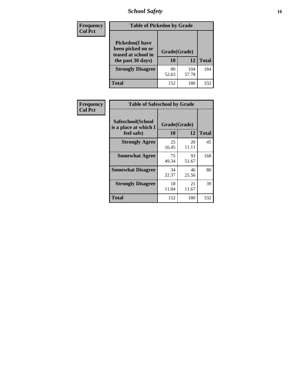# *School Safety* **16**

| <b>Frequency</b> | <b>Table of Pickedon by Grade</b>                                                        |                    |              |              |
|------------------|------------------------------------------------------------------------------------------|--------------------|--------------|--------------|
| <b>Col Pct</b>   | <b>Pickedon</b> (I have<br>been picked on or<br>teased at school in<br>the past 30 days) | Grade(Grade)<br>10 | 12           | <b>Total</b> |
|                  | <b>Strongly Disagree</b>                                                                 | 80<br>52.63        | 104<br>57.78 | 184          |
|                  | Total                                                                                    | 152                | 180          | 332          |

| Frequency      | <b>Table of Safeschool by Grade</b>                      |                                          |             |     |  |  |
|----------------|----------------------------------------------------------|------------------------------------------|-------------|-----|--|--|
| <b>Col Pct</b> | Safeschool(School<br>is a place at which I<br>feel safe) | Grade(Grade)<br>12<br>10<br><b>Total</b> |             |     |  |  |
|                | <b>Strongly Agree</b>                                    | 25<br>16.45                              | 20<br>11.11 | 45  |  |  |
|                | <b>Somewhat Agree</b>                                    | 75<br>49.34                              | 93<br>51.67 | 168 |  |  |
|                | <b>Somewhat Disagree</b>                                 | 34<br>22.37                              | 46<br>25.56 | 80  |  |  |
|                | <b>Strongly Disagree</b>                                 | 18<br>11.84                              | 21<br>11.67 | 39  |  |  |
|                | <b>Total</b>                                             | 152                                      | 180         | 332 |  |  |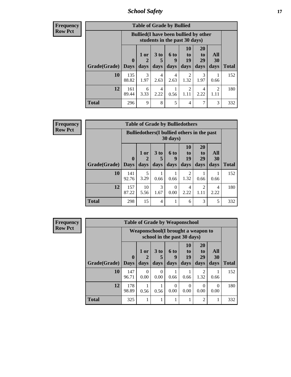*School Safety* **17**

| <b>Frequency</b> |  |
|------------------|--|
| Row Pct          |  |

| <b>Table of Grade by Bullied</b> |              |                                                                               |                              |                          |                        |                               |                                     |              |  |  |  |  |
|----------------------------------|--------------|-------------------------------------------------------------------------------|------------------------------|--------------------------|------------------------|-------------------------------|-------------------------------------|--------------|--|--|--|--|
|                                  |              | <b>Bullied</b> (I have been bullied by other<br>students in the past 30 days) |                              |                          |                        |                               |                                     |              |  |  |  |  |
| <b>Grade</b> (Grade)   Days      | $\mathbf 0$  | $1$ or<br>$\mathbf{2}$<br>days                                                | 3 <sub>to</sub><br>5<br>days | <b>6 to</b><br>9<br>days | 10<br>to<br>19<br>days | <b>20</b><br>to<br>29<br>days | All<br>30<br>days                   | <b>Total</b> |  |  |  |  |
| 10                               | 135<br>88.82 | 3<br>1.97                                                                     | 4<br>2.63                    | 4<br>2.63                | 2<br>1.32              | 3<br>1.97                     | 0.66                                | 152          |  |  |  |  |
| 12                               | 161<br>89.44 | 6<br>3.33                                                                     | 4<br>2.22                    | 0.56                     | $\mathfrak{D}$<br>1.11 | 4<br>2.22                     | $\mathcal{D}_{\mathcal{A}}$<br>1.11 | 180          |  |  |  |  |
| <b>Total</b>                     | 296          | 9                                                                             | 8                            | 5                        | 4                      | 7                             | 3                                   | 332          |  |  |  |  |

| <b>Frequency</b> |              |                                                                |              | <b>Table of Grade by Bulliedothers</b> |                   |                        |                               |                        |              |
|------------------|--------------|----------------------------------------------------------------|--------------|----------------------------------------|-------------------|------------------------|-------------------------------|------------------------|--------------|
| <b>Row Pct</b>   |              | <b>Bulliedothers</b> (I bullied others in the past<br>30 days) |              |                                        |                   |                        |                               |                        |              |
|                  | Grade(Grade) | $\mathbf{0}$<br><b>Days</b>                                    | 1 or<br>days | 3 to<br>days                           | 6 to<br>q<br>days | 10<br>to<br>19<br>days | <b>20</b><br>to<br>29<br>days | All<br>30<br>days      | <b>Total</b> |
|                  | 10           | 141<br>92.76                                                   | 5<br>3.29    | 0.66                                   | 0.66              | 2<br>1.32              | 0.66                          | 0.66                   | 152          |
|                  | 12           | 157<br>87.22                                                   | 10<br>5.56   | 3<br>1.67                              | 0<br>0.00         | 4<br>2.22              | $\mathfrak{D}$<br>1.11        | $\overline{4}$<br>2.22 | 180          |
|                  | <b>Total</b> | 298                                                            | 15           | $\overline{4}$                         |                   | 6                      | 3                             | 5                      | 332          |

| Frequency      |                     |                                     |           | <b>Table of Grade by Weaponschool</b> |                  |                       |                        |                  |              |
|----------------|---------------------|-------------------------------------|-----------|---------------------------------------|------------------|-----------------------|------------------------|------------------|--------------|
| <b>Row Pct</b> |                     | Weaponschool (I brought a weapon to |           |                                       |                  |                       |                        |                  |              |
|                |                     | $\mathbf{0}$                        | 1 or      | 3 <sub>to</sub>                       | <b>6 to</b><br>9 | <b>10</b><br>to<br>19 | <b>20</b><br>to<br>29  | All<br>30        |              |
|                | Grade(Grade)   Days |                                     | days      | days                                  | days             | days                  | days                   | days             | <b>Total</b> |
|                | 10                  | 147<br>96.71                        | 0<br>0.00 | 0<br>0.00                             | 0.66             | 0.66                  | $\overline{2}$<br>1.32 | 0.66             | 152          |
|                | 12                  | 178<br>98.89                        | 0.56      | 0.56                                  | $\Omega$<br>0.00 | $\Omega$<br>0.00      | $\Omega$<br>0.00       | $\Omega$<br>0.00 | 180          |
|                | <b>Total</b>        | 325                                 |           |                                       |                  |                       | $\overline{2}$         | 1                | 332          |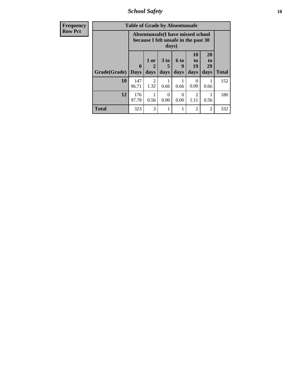*School Safety* **18**

| <b>Frequency</b> | <b>Table of Grade by Absentunsafe</b> |                            |                        |                              |                   |                                                                           |                        |              |  |  |
|------------------|---------------------------------------|----------------------------|------------------------|------------------------------|-------------------|---------------------------------------------------------------------------|------------------------|--------------|--|--|
| <b>Row Pct</b>   |                                       |                            |                        | days)                        |                   | Absentunsafe(I have missed school<br>because I felt unsafe in the past 30 |                        |              |  |  |
|                  | Grade(Grade)                          | $\mathbf 0$<br><b>Days</b> | 1 or<br>2<br>days      | 3 <sub>to</sub><br>5<br>days | 6 to<br>9<br>days | 10<br>to<br>19<br>days                                                    | 20<br>to<br>29<br>days | <b>Total</b> |  |  |
|                  | 10                                    | 147<br>96.71               | $\mathfrak{D}$<br>1.32 | 0.66                         | 0.66              | 0<br>0.00                                                                 | 0.66                   | 152          |  |  |
|                  | 12                                    | 176<br>97.78               | 0.56                   | 0<br>0.00                    | 0<br>0.00         | $\mathcal{D}_{\mathcal{L}}$<br>1.11                                       | 0.56                   | 180          |  |  |
|                  | <b>Total</b>                          | 323                        | 3                      |                              |                   | 2                                                                         | 2                      | 332          |  |  |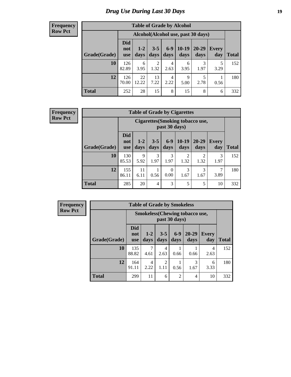# *Drug Use During Last 30 Days* **19**

#### **Frequency Row Pct**

| <b>Table of Grade by Alcohol</b> |                                 |                                    |                 |               |                 |               |              |       |  |  |  |  |  |
|----------------------------------|---------------------------------|------------------------------------|-----------------|---------------|-----------------|---------------|--------------|-------|--|--|--|--|--|
|                                  |                                 | Alcohol(Alcohol use, past 30 days) |                 |               |                 |               |              |       |  |  |  |  |  |
| Grade(Grade)                     | <b>Did</b><br>not<br><b>use</b> | $1 - 2$<br>days                    | $3 - 5$<br>days | $6-9$<br>days | $10-19$<br>days | 20-29<br>days | Every<br>day | Total |  |  |  |  |  |
| 10                               | 126<br>82.89                    | 6<br>3.95                          | 2<br>1.32       | 4<br>2.63     | 6<br>3.95       | 3<br>1.97     | 5<br>3.29    | 152   |  |  |  |  |  |
| 12                               | 126<br>70.00                    | 22<br>12.22                        | 13<br>7.22      | 4<br>2.22     | 9<br>5.00       | 5<br>2.78     | 0.56         | 180   |  |  |  |  |  |
| <b>Total</b>                     | 252                             | 28                                 | 15              | 8             | 15              | 8             | 6            | 332   |  |  |  |  |  |

#### **Frequency Row Pct**

| <b>Table of Grade by Cigarettes</b> |                                 |                                                   |                 |                  |                 |                        |                     |              |  |  |  |  |
|-------------------------------------|---------------------------------|---------------------------------------------------|-----------------|------------------|-----------------|------------------------|---------------------|--------------|--|--|--|--|
|                                     |                                 | Cigarettes (Smoking tobacco use,<br>past 30 days) |                 |                  |                 |                        |                     |              |  |  |  |  |
| Grade(Grade)                        | <b>Did</b><br>not<br><b>use</b> | $1 - 2$<br>days                                   | $3 - 5$<br>days | $6 - 9$<br>days  | $10-19$<br>days | 20-29<br>days          | <b>Every</b><br>day | <b>Total</b> |  |  |  |  |
| 10                                  | 130<br>85.53                    | 9<br>5.92                                         | 3<br>1.97       | 3<br>1.97        | 2<br>1.32       | $\mathfrak{D}$<br>1.32 | 3<br>1.97           | 152          |  |  |  |  |
| 12                                  | 155<br>86.11                    | 11<br>6.11                                        | 0.56            | $\theta$<br>0.00 | 3<br>1.67       | 3<br>1.67              | 7<br>3.89           | 180          |  |  |  |  |
| <b>Total</b>                        | 285                             | 20                                                | 4               | 3                | 5               | 5                      | 10                  | 332          |  |  |  |  |

**Frequency Row Pct**

| <b>Table of Grade by Smokeless</b> |                                 |                                                        |                        |                 |                   |                     |              |  |  |  |  |
|------------------------------------|---------------------------------|--------------------------------------------------------|------------------------|-----------------|-------------------|---------------------|--------------|--|--|--|--|
|                                    |                                 | <b>Smokeless</b> (Chewing tobaccouse,<br>past 30 days) |                        |                 |                   |                     |              |  |  |  |  |
| Grade(Grade)                       | <b>Did</b><br>not<br><b>use</b> | $1 - 2$<br>days                                        | $3 - 5$<br>days        | $6 - 9$<br>days | $20 - 29$<br>days | <b>Every</b><br>day | <b>Total</b> |  |  |  |  |
| 10                                 | 135<br>88.82                    | 4.61                                                   | 4<br>2.63              | 0.66            | 0.66              | 4<br>2.63           | 152          |  |  |  |  |
| 12                                 | 164<br>91.11                    | 4<br>2.22                                              | $\overline{2}$<br>1.11 | 0.56            | 3<br>1.67         | 6<br>3.33           | 180          |  |  |  |  |
| <b>Total</b>                       | 299                             | 11                                                     | 6                      | $\overline{2}$  | $\overline{4}$    | 10                  | 332          |  |  |  |  |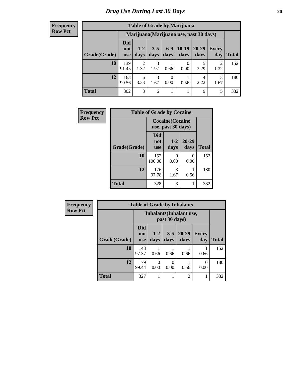#### **Frequency Row Pct**

| <b>Table of Grade by Marijuana</b> |                          |                                         |                 |                  |                 |               |                        |              |  |  |  |  |  |
|------------------------------------|--------------------------|-----------------------------------------|-----------------|------------------|-----------------|---------------|------------------------|--------------|--|--|--|--|--|
|                                    |                          | Marijuana (Marijuana use, past 30 days) |                 |                  |                 |               |                        |              |  |  |  |  |  |
| Grade(Grade)                       | Did<br>not<br><b>use</b> | $1 - 2$<br>days                         | $3 - 5$<br>days | $6-9$<br>days    | $10-19$<br>days | 20-29<br>days | Every<br>day           | <b>Total</b> |  |  |  |  |  |
| 10                                 | 139<br>91.45             | $\overline{2}$<br>1.32                  | 3<br>1.97       | 0.66             | 0<br>0.00       | 5<br>3.29     | $\overline{2}$<br>1.32 | 152          |  |  |  |  |  |
| 12                                 | 163<br>90.56             | 6<br>3.33                               | 3<br>1.67       | $\theta$<br>0.00 | 0.56            | 4<br>2.22     | 3<br>1.67              | 180          |  |  |  |  |  |
| <b>Total</b>                       | 302                      | 8                                       | 6               | 1                |                 | 9             | 5                      | 332          |  |  |  |  |  |

| Frequency      | <b>Table of Grade by Cocaine</b> |                                 |                                               |               |              |  |  |  |
|----------------|----------------------------------|---------------------------------|-----------------------------------------------|---------------|--------------|--|--|--|
| <b>Row Pct</b> |                                  |                                 | <b>Cocaine</b> (Cocaine<br>use, past 30 days) |               |              |  |  |  |
|                | Grade(Grade)                     | <b>Did</b><br>not<br><b>use</b> | $1 - 2$<br>days                               | 20-29<br>days | <b>Total</b> |  |  |  |
|                | 10                               | 152<br>100.00                   | 0<br>0.00                                     | 0<br>0.00     | 152          |  |  |  |
|                | 12                               | 176<br>97.78                    | 3<br>1.67                                     | 0.56          | 180          |  |  |  |
|                | <b>Total</b>                     | 328                             | 3                                             |               | 332          |  |  |  |

| <b>Frequency</b> | <b>Table of Grade by Inhalants</b> |                                 |                                                  |                 |                   |                     |              |  |
|------------------|------------------------------------|---------------------------------|--------------------------------------------------|-----------------|-------------------|---------------------|--------------|--|
| <b>Row Pct</b>   |                                    |                                 | <b>Inhalants</b> (Inhalant use,<br>past 30 days) |                 |                   |                     |              |  |
|                  | Grade(Grade)                       | <b>Did</b><br>not<br><b>use</b> | $1 - 2$<br>days                                  | $3 - 5$<br>days | $20 - 29$<br>days | <b>Every</b><br>day | <b>Total</b> |  |
|                  | 10                                 | 148<br>97.37                    | 0.66                                             | 0.66            | 0.66              | 0.66                | 152          |  |
|                  | 12                                 | 179<br>99.44                    | 0<br>0.00                                        | 0<br>0.00       | 0.56              | 0<br>0.00           | 180          |  |
|                  | <b>Total</b>                       | 327                             |                                                  | 1               | $\overline{2}$    |                     | 332          |  |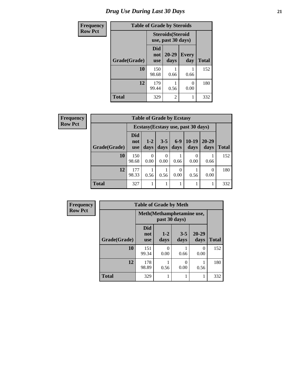# *Drug Use During Last 30 Days* **21**

| <b>Frequency</b> |              | <b>Table of Grade by Steroids</b>              |                   |                     |              |
|------------------|--------------|------------------------------------------------|-------------------|---------------------|--------------|
| <b>Row Pct</b>   |              | <b>Steroids</b> (Steroid<br>use, past 30 days) |                   |                     |              |
|                  | Grade(Grade) | Did<br>not<br><b>use</b>                       | $20 - 29$<br>days | <b>Every</b><br>day | <b>Total</b> |
|                  | 10           | 150<br>98.68                                   | 0.66              | 0.66                | 152          |
|                  | 12           | 179<br>99.44                                   | 0.56              | 0.00                | 180          |
|                  | <b>Total</b> | 329                                            | 2                 |                     | 332          |

| Frequency      | <b>Table of Grade by Ecstasy</b> |                          |                  |                  |                  |                                     |                   |              |
|----------------|----------------------------------|--------------------------|------------------|------------------|------------------|-------------------------------------|-------------------|--------------|
| <b>Row Pct</b> |                                  |                          |                  |                  |                  | Ecstasy (Ecstasy use, past 30 days) |                   |              |
|                | Grade(Grade)                     | Did<br>not<br><b>use</b> | $1-2$<br>days    | $3 - 5$<br>days  | $6-9$<br>days    | $10-19$<br>days                     | $20 - 29$<br>days | <b>Total</b> |
|                | 10                               | 150<br>98.68             | $\Omega$<br>0.00 | $\Omega$<br>0.00 | 0.66             | 0.00                                | 0.66              | 152          |
|                | 12                               | 177<br>98.33             | 0.56             | 0.56             | $\theta$<br>0.00 | 0.56                                | 0<br>0.00         | 180          |
|                | <b>Total</b>                     | 327                      |                  |                  |                  |                                     |                   | 332          |

| <b>Frequency</b> | <b>Table of Grade by Meth</b> |                                 |                      |                           |                   |              |
|------------------|-------------------------------|---------------------------------|----------------------|---------------------------|-------------------|--------------|
| <b>Row Pct</b>   |                               |                                 | past 30 days)        | Meth(Methamphetamine use, |                   |              |
|                  | Grade(Grade)                  | <b>Did</b><br>not<br><b>use</b> | $1-2$<br>days        | $3 - 5$<br>days           | $20 - 29$<br>days | <b>Total</b> |
|                  | 10                            | 151<br>99.34                    | $\mathbf{0}$<br>0.00 | 0.66                      | 0<br>0.00         | 152          |
|                  | 12                            | 178<br>98.89                    | 0.56                 | 0<br>0.00                 | 0.56              | 180          |
|                  | <b>Total</b>                  | 329                             |                      | 1                         |                   | 332          |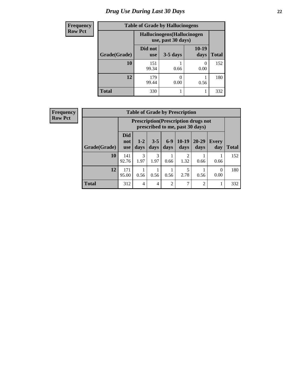# *Drug Use During Last 30 Days* **22**

| <b>Frequency</b> | <b>Table of Grade by Hallucinogens</b><br>Hallucinogens (Hallucinogen<br>use, past 30 days) |                       |            |               |              |  |
|------------------|---------------------------------------------------------------------------------------------|-----------------------|------------|---------------|--------------|--|
| <b>Row Pct</b>   |                                                                                             |                       |            |               |              |  |
|                  | Grade(Grade)                                                                                | Did not<br><b>use</b> | $3-5$ days | 10-19<br>days | <b>Total</b> |  |
|                  | 10                                                                                          | 151<br>99.34          | 0.66       | 0<br>0.00     | 152          |  |
|                  | 12                                                                                          | 179<br>99.44          | 0.00       | 0.56          | 180          |  |
|                  | <b>Total</b>                                                                                | 330                   |            |               | 332          |  |

| Frequency      |  |
|----------------|--|
| <b>Row Pct</b> |  |
|                |  |

| <b>Table of Grade by Prescription</b> |                                 |                                                                                |                 |                |                        |                |                     |       |  |
|---------------------------------------|---------------------------------|--------------------------------------------------------------------------------|-----------------|----------------|------------------------|----------------|---------------------|-------|--|
|                                       |                                 | <b>Prescription</b> (Prescription drugs not<br>prescribed to me, past 30 days) |                 |                |                        |                |                     |       |  |
| Grade(Grade)                          | <b>Did</b><br>not<br><b>use</b> | $1 - 2$<br>days                                                                | $3 - 5$<br>days | $6-9$<br>days  | $10-19$<br>days        | 20-29<br>days  | <b>Every</b><br>day | Total |  |
| 10                                    | 141<br>92.76                    | $\mathcal{R}$<br>1.97                                                          | 3<br>1.97       | 0.66           | $\mathfrak{D}$<br>1.32 | 0.66           | 0.66                | 152   |  |
| 12                                    | 171<br>95.00                    | 0.56                                                                           | 0.56            | 0.56           | 5<br>2.78              | 0.56           | $\theta$<br>0.00    | 180   |  |
| <b>Total</b>                          | 312                             | 4                                                                              | $\overline{4}$  | $\overline{c}$ | 7                      | $\mathfrak{D}$ |                     | 332   |  |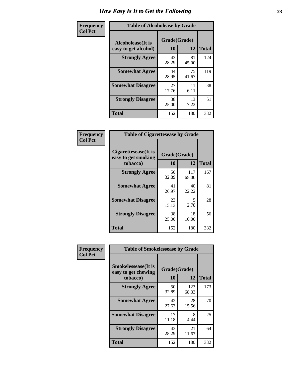| Frequency      | <b>Table of Alcoholease by Grade</b>              |                    |             |              |  |
|----------------|---------------------------------------------------|--------------------|-------------|--------------|--|
| <b>Col Pct</b> | <b>Alcoholease</b> (It is<br>easy to get alcohol) | Grade(Grade)<br>10 | 12          | <b>Total</b> |  |
|                | <b>Strongly Agree</b>                             | 43<br>28.29        | 81<br>45.00 | 124          |  |
|                | <b>Somewhat Agree</b>                             | 44<br>28.95        | 75<br>41.67 | 119          |  |
|                | <b>Somewhat Disagree</b>                          | 27<br>17.76        | 11<br>6.11  | 38           |  |
|                | <b>Strongly Disagree</b>                          | 38<br>25.00        | 13<br>7.22  | 51           |  |
|                | <b>Total</b>                                      | 152                | 180         | 332          |  |

| Frequency      | <b>Table of Cigarettesease by Grade</b>                  |                    |              |              |  |  |
|----------------|----------------------------------------------------------|--------------------|--------------|--------------|--|--|
| <b>Col Pct</b> | Cigarettesease (It is<br>easy to get smoking<br>tobacco) | Grade(Grade)<br>10 | 12           | <b>Total</b> |  |  |
|                | <b>Strongly Agree</b>                                    | 50<br>32.89        | 117<br>65.00 | 167          |  |  |
|                | <b>Somewhat Agree</b>                                    | 41<br>26.97        | 40<br>22.22  | 81           |  |  |
|                | <b>Somewhat Disagree</b>                                 | 23<br>15.13        | 5<br>2.78    | 28           |  |  |
|                | <b>Strongly Disagree</b>                                 | 38<br>25.00        | 18<br>10.00  | 56           |  |  |
|                | <b>Total</b>                                             | 152                | 180          | 332          |  |  |

| Frequency      | <b>Table of Smokelessease by Grade</b>             |              |              |              |  |  |  |  |
|----------------|----------------------------------------------------|--------------|--------------|--------------|--|--|--|--|
| <b>Col Pct</b> | <b>Smokelessease</b> (It is<br>easy to get chewing | Grade(Grade) |              |              |  |  |  |  |
|                | tobacco)                                           | 10           | 12           | <b>Total</b> |  |  |  |  |
|                | <b>Strongly Agree</b>                              | 50<br>32.89  | 123<br>68.33 | 173          |  |  |  |  |
|                | <b>Somewhat Agree</b>                              | 42<br>27.63  | 28<br>15.56  | 70           |  |  |  |  |
|                | <b>Somewhat Disagree</b>                           | 17<br>11.18  | 8<br>4.44    | 25           |  |  |  |  |
|                | <b>Strongly Disagree</b>                           | 43<br>28.29  | 21<br>11.67  | 64           |  |  |  |  |
|                | Total                                              | 152          | 180          | 332          |  |  |  |  |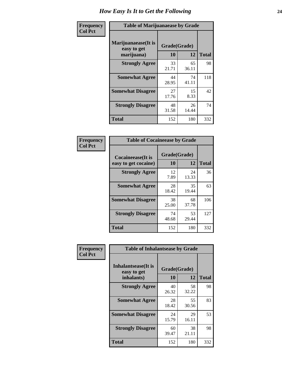| Frequency      | <b>Table of Marijuanaease by Grade</b>           |                    |             |              |  |  |
|----------------|--------------------------------------------------|--------------------|-------------|--------------|--|--|
| <b>Col Pct</b> | Marijuanaease(It is<br>easy to get<br>marijuana) | Grade(Grade)<br>10 | 12          | <b>Total</b> |  |  |
|                | <b>Strongly Agree</b>                            | 33<br>21.71        | 65<br>36.11 | 98           |  |  |
|                | <b>Somewhat Agree</b>                            | 44<br>28.95        | 74<br>41.11 | 118          |  |  |
|                | <b>Somewhat Disagree</b>                         | 27<br>17.76        | 15<br>8.33  | 42           |  |  |
|                | <b>Strongly Disagree</b>                         | 48<br>31.58        | 26<br>14.44 | 74           |  |  |
|                | <b>Total</b>                                     | 152                | 180         | 332          |  |  |

| <b>Table of Cocaineease by Grade</b>      |                    |             |              |  |  |  |  |  |
|-------------------------------------------|--------------------|-------------|--------------|--|--|--|--|--|
| Cocaineease(It is<br>easy to get cocaine) | Grade(Grade)<br>10 | 12          | <b>Total</b> |  |  |  |  |  |
| <b>Strongly Agree</b>                     | 12<br>7.89         | 24<br>13.33 | 36           |  |  |  |  |  |
| <b>Somewhat Agree</b>                     | 28<br>18.42        | 35<br>19.44 | 63           |  |  |  |  |  |
| <b>Somewhat Disagree</b>                  | 38<br>25.00        | 68<br>37.78 | 106          |  |  |  |  |  |
| <b>Strongly Disagree</b>                  | 74<br>48.68        | 53<br>29.44 | 127          |  |  |  |  |  |
| <b>Total</b>                              | 152                | 180         | 332          |  |  |  |  |  |

| Frequency      | <b>Table of Inhalantsease by Grade</b>     |              |             |              |
|----------------|--------------------------------------------|--------------|-------------|--------------|
| <b>Col Pct</b> | <b>Inhalantsease</b> (It is<br>easy to get | Grade(Grade) |             |              |
|                | inhalants)                                 | 10           | 12          | <b>Total</b> |
|                | <b>Strongly Agree</b>                      | 40<br>26.32  | 58<br>32.22 | 98           |
|                | <b>Somewhat Agree</b>                      | 28<br>18.42  | 55<br>30.56 | 83           |
|                | <b>Somewhat Disagree</b>                   | 24<br>15.79  | 29<br>16.11 | 53           |
|                | <b>Strongly Disagree</b>                   | 60<br>39.47  | 38<br>21.11 | 98           |
|                | <b>Total</b>                               | 152          | 180         | 332          |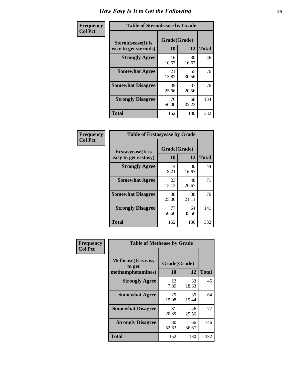| Frequency      | <b>Table of Steroidsease by Grade</b>               |                    |              |     |  |  |  |  |  |  |
|----------------|-----------------------------------------------------|--------------------|--------------|-----|--|--|--|--|--|--|
| <b>Col Pct</b> | <b>Steroidsease</b> (It is<br>easy to get steroids) | Grade(Grade)<br>10 | <b>Total</b> |     |  |  |  |  |  |  |
|                | <b>Strongly Agree</b>                               | 16<br>10.53        | 30<br>16.67  | 46  |  |  |  |  |  |  |
|                | <b>Somewhat Agree</b>                               | 21<br>13.82        | 55<br>30.56  | 76  |  |  |  |  |  |  |
|                | <b>Somewhat Disagree</b>                            | 39<br>25.66        | 37<br>20.56  | 76  |  |  |  |  |  |  |
|                | <b>Strongly Disagree</b>                            | 76<br>50.00        | 58<br>32.22  | 134 |  |  |  |  |  |  |
|                | <b>Total</b>                                        | 152                | 180          | 332 |  |  |  |  |  |  |

| Frequency      | <b>Table of Ecstasyease by Grade</b>              |                    |             |              |  |  |  |  |  |  |
|----------------|---------------------------------------------------|--------------------|-------------|--------------|--|--|--|--|--|--|
| <b>Col Pct</b> | <b>Ecstasyease</b> (It is<br>easy to get ecstasy) | Grade(Grade)<br>10 | 12          | <b>Total</b> |  |  |  |  |  |  |
|                | <b>Strongly Agree</b>                             | 14<br>9.21         | 30<br>16.67 | 44           |  |  |  |  |  |  |
|                | <b>Somewhat Agree</b>                             | 23<br>15.13        | 48<br>26.67 | 71           |  |  |  |  |  |  |
|                | <b>Somewhat Disagree</b>                          | 38<br>25.00        | 38<br>21.11 | 76           |  |  |  |  |  |  |
|                | <b>Strongly Disagree</b>                          | 77<br>50.66        | 64<br>35.56 | 141          |  |  |  |  |  |  |
|                | <b>Total</b>                                      | 152                | 180         | 332          |  |  |  |  |  |  |

| Frequency      | <b>Table of Methease by Grade</b>                          |                    |             |              |
|----------------|------------------------------------------------------------|--------------------|-------------|--------------|
| <b>Col Pct</b> | <b>Methease</b> (It is easy<br>to get<br>methamphetamines) | Grade(Grade)<br>10 | 12          | <b>Total</b> |
|                | <b>Strongly Agree</b>                                      | 12<br>7.89         | 33<br>18.33 | 45           |
|                | <b>Somewhat Agree</b>                                      | 29<br>19.08        | 35<br>19.44 | 64           |
|                | <b>Somewhat Disagree</b>                                   | 31<br>20.39        | 46<br>25.56 | 77           |
|                | <b>Strongly Disagree</b>                                   | 80<br>52.63        | 66<br>36.67 | 146          |
|                | Total                                                      | 152                | 180         | 332          |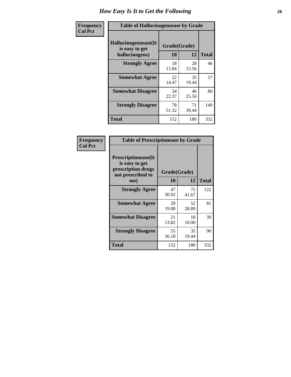| <b>Frequency</b> | <b>Table of Hallucinogensease by Grade</b>               |                    |             |              |  |  |  |  |  |  |
|------------------|----------------------------------------------------------|--------------------|-------------|--------------|--|--|--|--|--|--|
| <b>Col Pct</b>   | Hallucinogensease(It<br>is easy to get<br>hallucinogens) | Grade(Grade)<br>10 | 12          | <b>Total</b> |  |  |  |  |  |  |
|                  | <b>Strongly Agree</b>                                    | 18<br>11.84        | 28<br>15.56 | 46           |  |  |  |  |  |  |
|                  | <b>Somewhat Agree</b>                                    | 22<br>14.47        | 35<br>19.44 | 57           |  |  |  |  |  |  |
|                  | <b>Somewhat Disagree</b>                                 | 34<br>22.37        | 46<br>25.56 | 80           |  |  |  |  |  |  |
|                  | <b>Strongly Disagree</b>                                 | 78<br>51.32        | 71<br>39.44 | 149          |  |  |  |  |  |  |
|                  | <b>Total</b>                                             | 152                | 180         | 332          |  |  |  |  |  |  |

| Frequency<br>  Col Pct |
|------------------------|
|                        |

| <b>Table of Prescriptionease by Grade</b>                                                |             |              |              |  |  |  |  |
|------------------------------------------------------------------------------------------|-------------|--------------|--------------|--|--|--|--|
| <b>Prescriptionease</b> (It<br>is easy to get<br>prescription drugs<br>not prescribed to |             | Grade(Grade) |              |  |  |  |  |
| me)                                                                                      | 10          | 12           | <b>Total</b> |  |  |  |  |
| <b>Strongly Agree</b>                                                                    | 47<br>30.92 | 75<br>41.67  | 122          |  |  |  |  |
| <b>Somewhat Agree</b>                                                                    | 29<br>19.08 | 52<br>28.89  | 81           |  |  |  |  |
| <b>Somewhat Disagree</b>                                                                 | 21<br>13.82 | 18<br>10.00  | 39           |  |  |  |  |
| <b>Strongly Disagree</b>                                                                 | 55<br>36.18 | 35<br>19.44  | 90           |  |  |  |  |
| <b>Total</b>                                                                             | 152         | 180          | 332          |  |  |  |  |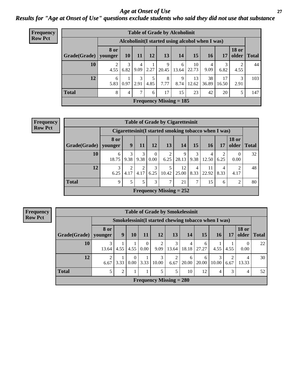### *Age at Onset of Use* **27** *Results for "Age at Onset of Use" questions exclude students who said they did not use that substance*

| <b>Frequency</b> | <b>Table of Grade by Alcoholinit</b> |                        |           |      |               |                                                  |            |             |             |             |                       |              |
|------------------|--------------------------------------|------------------------|-----------|------|---------------|--------------------------------------------------|------------|-------------|-------------|-------------|-----------------------|--------------|
| <b>Row Pct</b>   |                                      |                        |           |      |               | Alcoholinit (I started using alcohol when I was) |            |             |             |             |                       |              |
|                  | Grade(Grade)                         | <b>8 or</b><br>younger | <b>10</b> | 11   | 12            | 13                                               | 14         | 15          | <b>16</b>   | 17          | <b>18 or</b><br>older | <b>Total</b> |
|                  | 10                                   | 4.55                   | 6.82      |      | $9.09$   2.27 | 9<br>20.45                                       | 6<br>13.64 | 10<br>22.73 | 4<br>9.09   | 3<br>6.82   | 2<br>4.55             | 44           |
|                  | 12                                   | 6<br>5.83              | 0.97      | 2.91 | 5<br>4.85     | 8<br>7.77                                        | 9<br>8.74  | 13<br>12.62 | 38<br>36.89 | 17<br>16.50 | 3<br>2.91             | 103          |
|                  | <b>Total</b>                         | 8                      | 4         | ⇁    | 6             | 17                                               | 15         | 23          | 42          | 20          | 5                     | 147          |
|                  |                                      |                        |           |      |               | Frequency Missing $= 185$                        |            |             |             |             |                       |              |

| Frequency      | <b>Table of Grade by Cigarettesinit</b> |                                                      |           |           |                      |           |                           |           |             |           |                       |              |
|----------------|-----------------------------------------|------------------------------------------------------|-----------|-----------|----------------------|-----------|---------------------------|-----------|-------------|-----------|-----------------------|--------------|
| <b>Row Pct</b> |                                         | Cigarettesinit(I started smoking tobacco when I was) |           |           |                      |           |                           |           |             |           |                       |              |
|                | Grade(Grade)                            | <b>8 or</b><br>younger                               | 9         | 11        | 12                   | 13        | 14                        | 15        | 16          | 17        | <b>18 or</b><br>older | <b>Total</b> |
|                | 10                                      | 6<br>18.75                                           | 3<br>9.38 | 3<br>9.38 | $\theta$<br>$0.00\,$ | 2<br>6.25 | 9<br>28.13                | 3<br>9.38 | 4<br>12.50  | 6.25      | 0.00                  | 32           |
|                | 12                                      | 3<br>6.25                                            | ◠<br>4.17 | 2<br>4.17 | 3<br>6.25            | 10.42     | 12<br>25.00               | 4<br>8.33 | 11<br>22.92 | 4<br>8.33 | 4.17                  | 48           |
|                | <b>Total</b>                            | 9                                                    | 5         | 5         | 3                    | 7         | 21                        | 7         | 15          | 6         | 2                     | 80           |
|                |                                         |                                                      |           |           |                      |           | Frequency Missing $= 252$ |           |             |           |                       |              |

**Frequency Row Pct Table of Grade by Smokelessinit Grade(Grade) Smokelessinit(I started chewing tobacco when I was) Total older 8 or younger 9 10 11 12 13 14 15 16 17 18 or 10** 3 13.64 1 4.55 1 4.55 0 0.00 2 9.09 3 13.64 4 18.18 6 27.27 1 4.55 1 4.55 0 0.00 22 **12** 2 6.67 1 3.33 0 0.00 1 3.33 3 10.00 2 6.67 20.00 6 6 20.00 3 10.00 2 6.67 4 13.33 30 **Total** 5 5 2 1 1 5 5 10 12 4 3 4 52 **Frequency Missing = 280**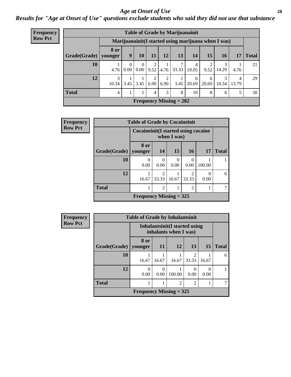#### *Age at Onset of Use* **28**

*Results for "Age at Onset of Use" questions exclude students who said they did not use that substance*

| <b>Frequency</b>                                                       |              |                        | <b>Table of Grade by Marijuanainit</b> |                           |           |           |       |            |            |            |            |              |  |  |  |
|------------------------------------------------------------------------|--------------|------------------------|----------------------------------------|---------------------------|-----------|-----------|-------|------------|------------|------------|------------|--------------|--|--|--|
| <b>Row Pct</b><br>Marijuanainit (I started using marijuana when I was) |              |                        |                                        |                           |           |           |       |            |            |            |            |              |  |  |  |
|                                                                        | Grade(Grade) | <b>8 or</b><br>younger | 9                                      | 10                        | 11        | 12        | 13    | 14         | <b>15</b>  | <b>16</b>  | 17         | <b>Total</b> |  |  |  |
|                                                                        | 10           | 4.76                   | $\theta$<br>0.00                       | $\theta$<br>$0.00\,$      | 2<br>9.52 | 4.76      | 33.33 | 4<br>19.05 | 9.52       | 14.29      | 4.76       | 21           |  |  |  |
|                                                                        | 12           | 3<br>10.34             | 3.45                                   | 3.45                      | 2<br>6.90 | 2<br>6.90 | 3.45  | 6<br>20.69 | 6<br>20.69 | 3<br>10.34 | 4<br>13.79 | 29           |  |  |  |
|                                                                        | <b>Total</b> | 4                      |                                        |                           | 4         | 3         | 8     | 10         | 8          | 6          | 5          | 50           |  |  |  |
|                                                                        |              |                        |                                        | Frequency Missing $= 282$ |           |           |       |            |            |            |            |              |  |  |  |

| Frequency      |                        | <b>Table of Grade by Cocaineinit</b> |                                                       |           |                                      |           |              |  |  |  |  |  |
|----------------|------------------------|--------------------------------------|-------------------------------------------------------|-----------|--------------------------------------|-----------|--------------|--|--|--|--|--|
| <b>Row Pct</b> |                        |                                      | Cocaine in it (I started using cocaine<br>when I was) |           |                                      |           |              |  |  |  |  |  |
|                | Grade(Grade)   younger | 8 or                                 | <b>14</b>                                             | 15        | <b>16</b>                            | <b>17</b> | <b>Total</b> |  |  |  |  |  |
|                | 10                     | 0<br>0.00                            | 0.00                                                  | 0<br>0.00 | 0.00                                 | 100.00    |              |  |  |  |  |  |
|                | 12                     | 16.67                                | $\mathfrak{D}$<br>33.33                               | 16.67     | $\mathcal{D}_{\mathcal{A}}$<br>33.33 | 0.00      | 6            |  |  |  |  |  |
|                | <b>Total</b>           |                                      | 2                                                     |           | $\overline{c}$                       |           |              |  |  |  |  |  |
|                |                        | Frequency Missing $=$ 325            |                                                       |           |                                      |           |              |  |  |  |  |  |

| <b>Frequency</b> | <b>Table of Grade by Inhalantsinit</b> |                                                                |           |                |                |                  |              |  |
|------------------|----------------------------------------|----------------------------------------------------------------|-----------|----------------|----------------|------------------|--------------|--|
| <b>Row Pct</b>   |                                        | <b>Inhalantsinit</b> (I started using<br>inhalants when I was) |           |                |                |                  |              |  |
|                  | <b>Grade</b> (Grade)                   | 8 or<br>younger                                                | <b>11</b> | 12             | 13             | <b>15</b>        | <b>Total</b> |  |
|                  | 10                                     | 16.67                                                          | 16.67     | 16.67          | っ<br>33.33     | 16.67            | 6            |  |
|                  | 12                                     | $\Omega$<br>0.00                                               | 0.00      | 100.00         | 0.00           | $\Omega$<br>0.00 |              |  |
|                  | <b>Total</b>                           |                                                                |           | $\overline{2}$ | $\mathfrak{D}$ |                  |              |  |
|                  |                                        | Frequency Missing $=$ 325                                      |           |                |                |                  |              |  |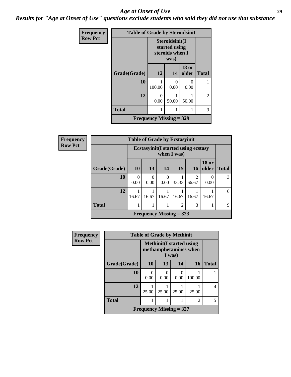#### *Age at Onset of Use* **29**

*Results for "Age at Onset of Use" questions exclude students who said they did not use that substance*

| Frequency      |              | <b>Table of Grade by Steroidsinit</b>                      |                  |                           |              |  |
|----------------|--------------|------------------------------------------------------------|------------------|---------------------------|--------------|--|
| <b>Row Pct</b> |              | Steroidsinit(I<br>started using<br>steroids when I<br>was) |                  |                           |              |  |
|                | Grade(Grade) | 12                                                         | 14               | <b>18 or</b><br>older     | <b>Total</b> |  |
|                | 10           | 100.00                                                     | $\Omega$<br>0.00 | $\mathbf{\Omega}$<br>0.00 |              |  |
|                | 12           | 0<br>0.00                                                  | 50.00            | 50.00                     | 2            |  |
|                | <b>Total</b> | 1                                                          | 1                |                           | 3            |  |
|                |              | <b>Frequency Missing = 329</b>                             |                  |                           |              |  |

| Frequency      |              | <b>Table of Grade by Ecstasyinit</b>                       |                  |                           |                |                         |                       |              |  |
|----------------|--------------|------------------------------------------------------------|------------------|---------------------------|----------------|-------------------------|-----------------------|--------------|--|
| <b>Row Pct</b> |              | <b>Ecstasyinit</b> (I started using ecstasy<br>when I was) |                  |                           |                |                         |                       |              |  |
|                | Grade(Grade) | <b>10</b>                                                  | 13               | 14                        | 15             | <b>16</b>               | <b>18 or</b><br>older | <b>Total</b> |  |
|                | 10           | 0<br>0.00                                                  | $\Omega$<br>0.00 | 0<br>0.00                 | 33.33          | $\mathfrak{D}$<br>66.67 | 0.00                  | 3            |  |
|                | 12           | 16.67                                                      | 16.67            | 16.67                     | 16.67          | 16.67                   | 16.67                 | 6            |  |
|                | <b>Total</b> |                                                            |                  | 1                         | $\overline{2}$ | 3                       |                       | 9            |  |
|                |              |                                                            |                  | Frequency Missing $= 323$ |                |                         |                       |              |  |

| <b>Frequency</b> |              | <b>Table of Grade by Methinit</b> |                                                           |        |                |                |
|------------------|--------------|-----------------------------------|-----------------------------------------------------------|--------|----------------|----------------|
| <b>Row Pct</b>   |              |                                   | <b>Methinit</b> (I started using<br>methamphetamines when | I was) |                |                |
|                  | Grade(Grade) | <b>10</b>                         | 13                                                        | 14     | 16             | <b>Total</b>   |
|                  | 10           | 0<br>0.00                         | 0.00                                                      | 0.00   | 100.00         |                |
|                  | 12           | 25.00                             | 25.00                                                     | 25.00  | 25.00          | $\overline{4}$ |
|                  | <b>Total</b> |                                   |                                                           |        | $\overline{2}$ | 5              |
|                  |              | Frequency Missing $= 327$         |                                                           |        |                |                |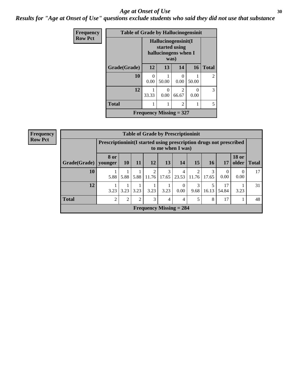#### Age at Onset of Use **30**

*Results for "Age at Onset of Use" questions exclude students who said they did not use that substance*

| Frequency      | <b>Table of Grade by Hallucinogensinit</b> |       |                                                                      |                |           |              |  |  |
|----------------|--------------------------------------------|-------|----------------------------------------------------------------------|----------------|-----------|--------------|--|--|
| <b>Row Pct</b> |                                            |       | Hallucinogensinit(I<br>started using<br>hallucinogens when I<br>was) |                |           |              |  |  |
|                | Grade(Grade)                               | 12    | 13                                                                   | 14             | <b>16</b> | <b>Total</b> |  |  |
|                | 10                                         | 0.00  | 50.00                                                                | 0<br>0.00      | 50.00     | 2            |  |  |
|                | 12                                         | 33.33 | $\Omega$<br>0.00                                                     | 2<br>66.67     | 0<br>0.00 | 3            |  |  |
|                | <b>Total</b>                               |       |                                                                      | $\overline{2}$ |           | 5            |  |  |
|                | Frequency Missing $= 327$                  |       |                                                                      |                |           |              |  |  |

| <b>Frequency</b>                                                                                          |                        | <b>Table of Grade by Prescriptioninit</b> |           |      |            |            |                           |            |            |             |                       |              |
|-----------------------------------------------------------------------------------------------------------|------------------------|-------------------------------------------|-----------|------|------------|------------|---------------------------|------------|------------|-------------|-----------------------|--------------|
| <b>Row Pct</b><br>Prescriptioninit(I started using prescription drugs not prescribed<br>to me when I was) |                        |                                           |           |      |            |            |                           |            |            |             |                       |              |
|                                                                                                           | Grade(Grade)   younger | <b>8 or</b>                               | <b>10</b> | 11   | 12         | 13         | 14                        | 15         | <b>16</b>  | 17          | <b>18 or</b><br>older | <b>Total</b> |
|                                                                                                           | 10                     | 5.88                                      | 5.88      | 5.88 | 2<br>11.76 | 3<br>17.65 | 4<br>23.53                | 2<br>11.76 | 3<br>17.65 | 0.00        | $\Omega$<br>0.00      | 17           |
|                                                                                                           | 12                     | 3.23                                      | 3.23      | 3.23 | 3.23       | 3.23       | 0.00                      | 3<br>9.68  | 16.13      | 17<br>54.84 | 3.23                  | 31           |
|                                                                                                           | <b>Total</b>           | $\overline{c}$                            | ↑         | ◠    | 3          | 4          | 4                         | 5          | 8          | 17          |                       | 48           |
|                                                                                                           |                        |                                           |           |      |            |            | Frequency Missing $= 284$ |            |            |             |                       |              |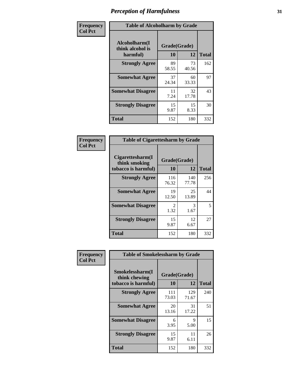| Frequency      | <b>Table of Alcoholharm by Grade</b>          |                    |             |              |  |  |
|----------------|-----------------------------------------------|--------------------|-------------|--------------|--|--|
| <b>Col Pct</b> | Alcoholharm(I<br>think alcohol is<br>harmful) | Grade(Grade)<br>10 | 12          | <b>Total</b> |  |  |
|                | <b>Strongly Agree</b>                         | 89<br>58.55        | 73<br>40.56 | 162          |  |  |
|                | <b>Somewhat Agree</b>                         | 37<br>24.34        | 60<br>33.33 | 97           |  |  |
|                | <b>Somewhat Disagree</b>                      | 11<br>7.24         | 32<br>17.78 | 43           |  |  |
|                | <b>Strongly Disagree</b>                      | 15<br>9.87         | 15<br>8.33  | 30           |  |  |
|                | Total                                         | 152                | 180         | 332          |  |  |

|                                                          | <b>Table of Cigarettesharm by Grade</b> |              |              |  |  |  |  |
|----------------------------------------------------------|-----------------------------------------|--------------|--------------|--|--|--|--|
| Cigarettesharm(I<br>think smoking<br>tobacco is harmful) | Grade(Grade)<br>10                      | 12           | <b>Total</b> |  |  |  |  |
| <b>Strongly Agree</b>                                    | 116<br>76.32                            | 140<br>77.78 | 256          |  |  |  |  |
| <b>Somewhat Agree</b>                                    | 19<br>12.50                             | 25<br>13.89  | 44           |  |  |  |  |
| <b>Somewhat Disagree</b>                                 | $\mathfrak{D}$<br>1.32                  | 3<br>1.67    | 5            |  |  |  |  |
| <b>Strongly Disagree</b>                                 | 15<br>9.87                              | 12<br>6.67   | 27           |  |  |  |  |
| <b>Total</b>                                             | 152                                     | 180          | 332          |  |  |  |  |

| Frequency      | <b>Table of Smokelessharm by Grade</b>                  |                    |              |              |  |  |
|----------------|---------------------------------------------------------|--------------------|--------------|--------------|--|--|
| <b>Col Pct</b> | Smokelessharm(I<br>think chewing<br>tobacco is harmful) | Grade(Grade)<br>10 | 12           | <b>Total</b> |  |  |
|                | <b>Strongly Agree</b>                                   | 111<br>73.03       | 129<br>71.67 | 240          |  |  |
|                | <b>Somewhat Agree</b>                                   | 20<br>13.16        | 31<br>17.22  | 51           |  |  |
|                | <b>Somewhat Disagree</b>                                | 6<br>3.95          | 9<br>5.00    | 15           |  |  |
|                | <b>Strongly Disagree</b>                                | 15<br>9.87         | 11<br>6.11   | 26           |  |  |
|                | <b>Total</b>                                            | 152                | 180          | 332          |  |  |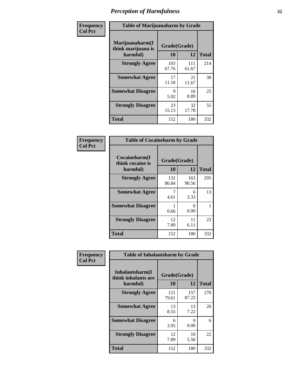| Frequency      |                                                   | <b>Table of Marijuanaharm by Grade</b> |              |              |  |  |  |
|----------------|---------------------------------------------------|----------------------------------------|--------------|--------------|--|--|--|
| <b>Col Pct</b> | Marijuanaharm(I<br>think marijuana is<br>harmful) | Grade(Grade)<br>10                     | 12           | <b>Total</b> |  |  |  |
|                | <b>Strongly Agree</b>                             | 103<br>67.76                           | 111<br>61.67 | 214          |  |  |  |
|                | <b>Somewhat Agree</b>                             | 17<br>11.18                            | 21<br>11.67  | 38           |  |  |  |
|                | <b>Somewhat Disagree</b>                          | 9<br>5.92                              | 16<br>8.89   | 25           |  |  |  |
|                | <b>Strongly Disagree</b>                          | 23<br>15.13                            | 32<br>17.78  | 55           |  |  |  |
|                | <b>Total</b>                                      | 152                                    | 180          | 332          |  |  |  |

| <b>Table of Cocaineharm by Grade</b>          |                    |              |              |  |  |  |  |
|-----------------------------------------------|--------------------|--------------|--------------|--|--|--|--|
| Cocaineharm(I<br>think cocaine is<br>harmful) | Grade(Grade)<br>10 | 12           | <b>Total</b> |  |  |  |  |
| <b>Strongly Agree</b>                         | 132<br>86.84       | 163<br>90.56 | 295          |  |  |  |  |
| <b>Somewhat Agree</b>                         | 7<br>4.61          | 6<br>3.33    | 13           |  |  |  |  |
| <b>Somewhat Disagree</b>                      | 1<br>0.66          | 0<br>0.00    | 1            |  |  |  |  |
| <b>Strongly Disagree</b>                      | 12<br>7.89         | 11<br>6.11   | 23           |  |  |  |  |
| <b>Total</b>                                  | 152                | 180          | 332          |  |  |  |  |

| Frequency      | <b>Table of Inhalantsharm by Grade</b>             |                           |              |              |
|----------------|----------------------------------------------------|---------------------------|--------------|--------------|
| <b>Col Pct</b> | Inhalantsharm(I<br>think inhalants are<br>harmful) | Grade(Grade)<br><b>10</b> | 12           | <b>Total</b> |
|                | <b>Strongly Agree</b>                              | 121<br>79.61              | 157<br>87.22 | 278          |
|                | <b>Somewhat Agree</b>                              | 13<br>8.55                | 13<br>7.22   | 26           |
|                | <b>Somewhat Disagree</b>                           | 6<br>3.95                 | 0<br>0.00    | 6            |
|                | <b>Strongly Disagree</b>                           | 12<br>7.89                | 10<br>5.56   | 22           |
|                | <b>Total</b>                                       | 152                       | 180          | 332          |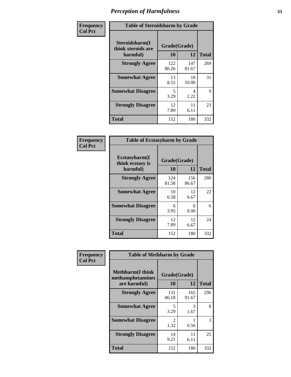| Frequency      | <b>Table of Steroidsharm by Grade</b>            |                    |              |              |
|----------------|--------------------------------------------------|--------------------|--------------|--------------|
| <b>Col Pct</b> | Steroidsharm(I<br>think steroids are<br>harmful) | Grade(Grade)<br>10 | 12           | <b>Total</b> |
|                | <b>Strongly Agree</b>                            | 122<br>80.26       | 147<br>81.67 | 269          |
|                | <b>Somewhat Agree</b>                            | 13<br>8.55         | 18<br>10.00  | 31           |
|                | <b>Somewhat Disagree</b>                         | 5<br>3.29          | 4<br>2.22    | 9            |
|                | <b>Strongly Disagree</b>                         | 12<br>7.89         | 11<br>6.11   | 23           |
|                | <b>Total</b>                                     | 152                | 180          | 332          |

| <b>Table of Ecstasyharm by Grade</b>          |                    |                           |     |  |  |
|-----------------------------------------------|--------------------|---------------------------|-----|--|--|
| Ecstasyharm(I<br>think ecstasy is<br>harmful) | Grade(Grade)<br>10 | <b>Total</b>              |     |  |  |
| <b>Strongly Agree</b>                         | 124<br>81.58       | 156<br>86.67              | 280 |  |  |
| <b>Somewhat Agree</b>                         | 10<br>6.58         | 12<br>6.67                | 22  |  |  |
| <b>Somewhat Disagree</b>                      | 6<br>3.95          | $\mathbf{\Omega}$<br>0.00 | 6   |  |  |
| <b>Strongly Disagree</b>                      | 12<br>7.89         | 12<br>6.67                | 24  |  |  |
| Total                                         | 152                | 180                       | 332 |  |  |

| Frequency      | <b>Table of Methharm by Grade</b>                            |                    |              |              |
|----------------|--------------------------------------------------------------|--------------------|--------------|--------------|
| <b>Col Pct</b> | <b>Methharm</b> (I think<br>methamphetamines<br>are harmful) | Grade(Grade)<br>10 | 12           | <b>Total</b> |
|                | <b>Strongly Agree</b>                                        | 131<br>86.18       | 165<br>91.67 | 296          |
|                | <b>Somewhat Agree</b>                                        | 5<br>3.29          | 3<br>1.67    | 8            |
|                | <b>Somewhat Disagree</b>                                     | 2<br>1.32          | 0.56         | 3            |
|                | <b>Strongly Disagree</b>                                     | 14<br>9.21         | 11<br>6.11   | 25           |
|                | <b>Total</b>                                                 | 152                | 180          | 332          |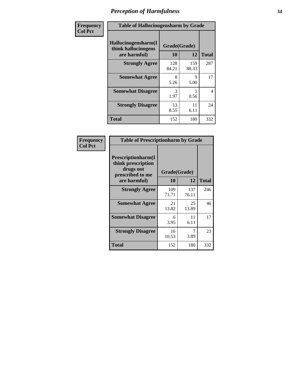| Frequency      | <b>Table of Hallucinogensharm by Grade</b>                 |                    |              |                |
|----------------|------------------------------------------------------------|--------------------|--------------|----------------|
| <b>Col Pct</b> | Hallucinogensharm(I<br>think hallucinogens<br>are harmful) | Grade(Grade)<br>10 | 12           | <b>Total</b>   |
|                | <b>Strongly Agree</b>                                      | 128<br>84.21       | 159<br>88.33 | 287            |
|                | <b>Somewhat Agree</b>                                      | 8<br>5.26          | 9<br>5.00    | 17             |
|                | <b>Somewhat Disagree</b>                                   | 3<br>1.97          | 0.56         | $\overline{4}$ |
|                | <b>Strongly Disagree</b>                                   | 13<br>8.55         | 11<br>6.11   | 24             |
|                | <b>Total</b>                                               | 152                | 180          | 332            |

| <b>Table of Prescriptionharm by Grade</b>                                         |              |              |              |  |
|-----------------------------------------------------------------------------------|--------------|--------------|--------------|--|
| <b>Prescriptionharm</b> (I<br>think prescription<br>drugs not<br>prescribed to me | Grade(Grade) |              |              |  |
| are harmful)                                                                      | 10           | 12           | <b>Total</b> |  |
| <b>Strongly Agree</b>                                                             | 109<br>71.71 | 137<br>76.11 | 246          |  |
| <b>Somewhat Agree</b>                                                             | 21<br>13.82  | 25<br>13.89  | 46           |  |
| <b>Somewhat Disagree</b>                                                          | 6<br>3.95    | 11<br>6.11   | 17           |  |
| <b>Strongly Disagree</b>                                                          | 16<br>10.53  | 7<br>3.89    | 23           |  |
| <b>Total</b>                                                                      | 152          | 180          | 332          |  |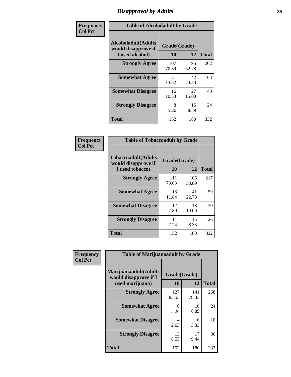# *Disapproval by Adults* **35**

| Frequency      | <b>Table of Alcoholadult by Grade</b>                                 |                    |             |              |
|----------------|-----------------------------------------------------------------------|--------------------|-------------|--------------|
| <b>Col Pct</b> | <b>Alcoholadult</b> (Adults<br>would disapprove if<br>I used alcohol) | Grade(Grade)<br>10 | 12          | <b>Total</b> |
|                | <b>Strongly Agree</b>                                                 | 107<br>70.39       | 95<br>52.78 | 202          |
|                | <b>Somewhat Agree</b>                                                 | 21<br>13.82        | 42<br>23.33 | 63           |
|                | <b>Somewhat Disagree</b>                                              | 16<br>10.53        | 27<br>15.00 | 43           |
|                | <b>Strongly Disagree</b>                                              | 8<br>5.26          | 16<br>8.89  | 24           |
|                | <b>Total</b>                                                          | 152                | 180         | 332          |

| <b>Table of Tobaccoadult by Grade</b>                                 |              |              |     |  |  |
|-----------------------------------------------------------------------|--------------|--------------|-----|--|--|
| <b>Tobaccoadult</b> (Adults<br>would disapprove if<br>I used tobacco) | <b>Total</b> |              |     |  |  |
| <b>Strongly Agree</b>                                                 | 111<br>73.03 | 106<br>58.89 | 217 |  |  |
| <b>Somewhat Agree</b>                                                 | 18<br>11.84  | 41<br>22.78  | 59  |  |  |
| <b>Somewhat Disagree</b>                                              | 12<br>7.89   | 18<br>10.00  | 30  |  |  |
| <b>Strongly Disagree</b>                                              | 11<br>7.24   | 15<br>8.33   | 26  |  |  |
| Total                                                                 | 152          | 180          | 332 |  |  |

| Frequency      | <b>Table of Marijuanaadult by Grade</b>                           |                    |              |              |
|----------------|-------------------------------------------------------------------|--------------------|--------------|--------------|
| <b>Col Pct</b> | Marijuanaadult(Adults<br>would disapprove if I<br>used marijuana) | Grade(Grade)<br>10 | 12           | <b>Total</b> |
|                | <b>Strongly Agree</b>                                             | 127<br>83.55       | 141<br>78.33 | 268          |
|                | <b>Somewhat Agree</b>                                             | 8<br>5.26          | 16<br>8.89   | 24           |
|                | <b>Somewhat Disagree</b>                                          | 4<br>2.63          | 6<br>3.33    | 10           |
|                | <b>Strongly Disagree</b>                                          | 13<br>8.55         | 17<br>9.44   | 30           |
|                | <b>Total</b>                                                      | 152                | 180          | 332          |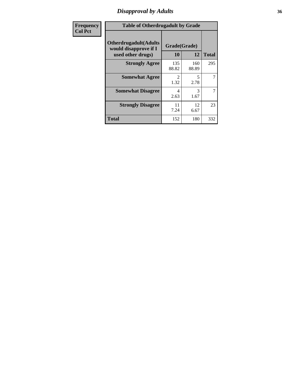### *Disapproval by Adults* **36**

| <b>Frequency</b> | <b>Table of Otherdrugadult by Grade</b>                                     |                                     |              |              |
|------------------|-----------------------------------------------------------------------------|-------------------------------------|--------------|--------------|
| <b>Col Pct</b>   | <b>Otherdrugadult</b> (Adults<br>would disapprove if I<br>used other drugs) | Grade(Grade)<br>10                  | 12           | <b>Total</b> |
|                  | <b>Strongly Agree</b>                                                       | 135<br>88.82                        | 160<br>88.89 | 295          |
|                  | <b>Somewhat Agree</b>                                                       | $\mathcal{D}_{\mathcal{L}}$<br>1.32 | 5<br>2.78    | 7            |
|                  | <b>Somewhat Disagree</b>                                                    | 4<br>2.63                           | 3<br>1.67    | 7            |
|                  | <b>Strongly Disagree</b>                                                    | 11<br>7.24                          | 12<br>6.67   | 23           |
|                  | <b>Total</b>                                                                | 152                                 | 180          | 332          |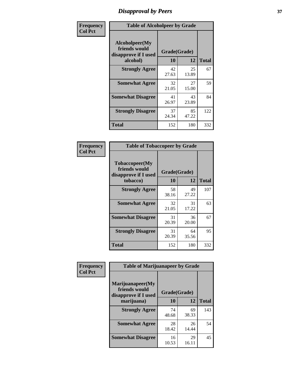# *Disapproval by Peers* **37**

| Frequency      | <b>Table of Alcoholpeer by Grade</b>                    |              |             |              |  |
|----------------|---------------------------------------------------------|--------------|-------------|--------------|--|
| <b>Col Pct</b> | Alcoholpeer(My<br>friends would<br>disapprove if I used | Grade(Grade) |             |              |  |
|                | alcohol)                                                | 10           | 12          | <b>Total</b> |  |
|                | <b>Strongly Agree</b>                                   | 42<br>27.63  | 25<br>13.89 | 67           |  |
|                | <b>Somewhat Agree</b>                                   | 32<br>21.05  | 27<br>15.00 | 59           |  |
|                | <b>Somewhat Disagree</b>                                | 41<br>26.97  | 43<br>23.89 | 84           |  |
|                | <b>Strongly Disagree</b>                                | 37<br>24.34  | 85<br>47.22 | 122          |  |
|                | Total                                                   | 152          | 180         | 332          |  |

| Frequency      | <b>Table of Tobaccopeer by Grade</b>                    |                    |             |              |  |
|----------------|---------------------------------------------------------|--------------------|-------------|--------------|--|
| <b>Col Pct</b> | Tobaccopeer(My<br>friends would<br>disapprove if I used | Grade(Grade)<br>10 | 12          | <b>Total</b> |  |
|                | tobacco)                                                |                    |             |              |  |
|                | <b>Strongly Agree</b>                                   | 58<br>38.16        | 49<br>27.22 | 107          |  |
|                | <b>Somewhat Agree</b>                                   | 32<br>21.05        | 31<br>17.22 | 63           |  |
|                | <b>Somewhat Disagree</b>                                | 31<br>20.39        | 36<br>20.00 | 67           |  |
|                | <b>Strongly Disagree</b>                                | 31<br>20.39        | 64<br>35.56 | 95           |  |
|                | <b>Total</b>                                            | 152                | 180         | 332          |  |

| Frequency      | <b>Table of Marijuanapeer by Grade</b>                                  |                    |             |              |
|----------------|-------------------------------------------------------------------------|--------------------|-------------|--------------|
| <b>Col Pct</b> | Marijuanapeer(My<br>friends would<br>disapprove if I used<br>marijuana) | Grade(Grade)<br>10 | 12          | <b>Total</b> |
|                | <b>Strongly Agree</b>                                                   | 74<br>48.68        | 69<br>38.33 | 143          |
|                | <b>Somewhat Agree</b>                                                   | 28<br>18.42        | 26<br>14.44 | 54           |
|                | <b>Somewhat Disagree</b>                                                | 16<br>10.53        | 29<br>16.11 | 45           |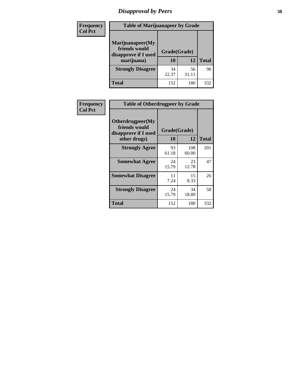# *Disapproval by Peers* **38**

| <b>Frequency</b> | <b>Table of Marijuanapeer by Grade</b>                                  |                    |             |              |  |
|------------------|-------------------------------------------------------------------------|--------------------|-------------|--------------|--|
| <b>Col Pct</b>   | Marijuanapeer(My<br>friends would<br>disapprove if I used<br>marijuana) | Grade(Grade)<br>10 | 12          | <b>Total</b> |  |
|                  | <b>Strongly Disagree</b>                                                | 34<br>22.37        | 56<br>31.11 | 90           |  |
|                  | <b>Total</b>                                                            | 152                | 180         | 332          |  |

| <b>Frequency</b> | <b>Table of Otherdrugpeer by Grade</b>                                    |                    |              |              |
|------------------|---------------------------------------------------------------------------|--------------------|--------------|--------------|
| <b>Col Pct</b>   | Otherdrugpeer(My<br>friends would<br>disapprove if I used<br>other drugs) | Grade(Grade)<br>10 | 12           | <b>Total</b> |
|                  | <b>Strongly Agree</b>                                                     | 93<br>61.18        | 108<br>60.00 | 201          |
|                  | <b>Somewhat Agree</b>                                                     | 24<br>15.79        | 23<br>12.78  | 47           |
|                  | <b>Somewhat Disagree</b>                                                  | 11<br>7.24         | 15<br>8.33   | 26           |
|                  | <b>Strongly Disagree</b>                                                  | 24<br>15.79        | 34<br>18.89  | 58           |
|                  | Total                                                                     | 152                | 180          | 332          |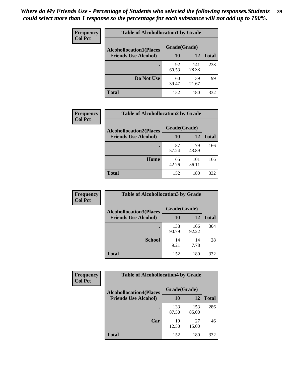| Frequency      | <b>Table of Alcohollocation1 by Grade</b> |              |              |              |  |
|----------------|-------------------------------------------|--------------|--------------|--------------|--|
| <b>Col Pct</b> | <b>Alcohollocation1(Places</b>            | Grade(Grade) |              |              |  |
|                | <b>Friends Use Alcohol)</b>               | 10           | 12           | <b>Total</b> |  |
|                |                                           | 92<br>60.53  | 141<br>78.33 | 233          |  |
|                | Do Not Use                                | 60<br>39.47  | 39<br>21.67  | 99           |  |
|                | <b>Total</b>                              | 152          | 180          | 332          |  |

| Frequency      | <b>Table of Alcohollocation2 by Grade</b>                     |                    |              |              |
|----------------|---------------------------------------------------------------|--------------------|--------------|--------------|
| <b>Col Pct</b> | <b>Alcohollocation2(Places</b><br><b>Friends Use Alcohol)</b> | Grade(Grade)<br>10 | <b>12</b>    | <b>Total</b> |
|                |                                                               | 87<br>57.24        | 79<br>43.89  | 166          |
|                | Home                                                          | 65<br>42.76        | 101<br>56.11 | 166          |
|                | <b>Total</b>                                                  | 152                | 180          | 332          |

| Frequency<br><b>Col Pct</b> | <b>Table of Alcohollocation 3 by Grade</b>                    |                    |              |              |  |
|-----------------------------|---------------------------------------------------------------|--------------------|--------------|--------------|--|
|                             | <b>Alcohollocation3(Places</b><br><b>Friends Use Alcohol)</b> | Grade(Grade)<br>10 | 12           | <b>Total</b> |  |
|                             |                                                               | 138<br>90.79       | 166<br>92.22 | 304          |  |
|                             | <b>School</b>                                                 | 14<br>9.21         | 14<br>7.78   | 28           |  |
|                             | <b>Total</b>                                                  | 152                | 180          | 332          |  |

| Frequency      | <b>Table of Alcohollocation4 by Grade</b> |              |              |              |  |
|----------------|-------------------------------------------|--------------|--------------|--------------|--|
| <b>Col Pct</b> | <b>Alcohollocation4(Places</b>            | Grade(Grade) |              |              |  |
|                | <b>Friends Use Alcohol)</b>               | 10           | 12           | <b>Total</b> |  |
|                |                                           | 133<br>87.50 | 153<br>85.00 | 286          |  |
|                | Car                                       | 19<br>12.50  | 27<br>15.00  | 46           |  |
|                | <b>Total</b>                              | 152          | 180          | 332          |  |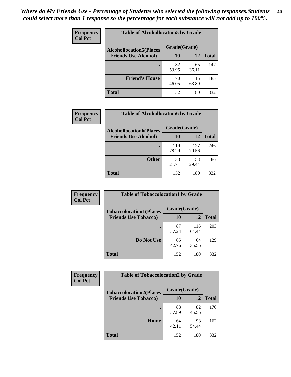| Frequency      | <b>Table of Alcohollocation5 by Grade</b>      |             |              |              |  |
|----------------|------------------------------------------------|-------------|--------------|--------------|--|
| <b>Col Pct</b> | Grade(Grade)<br><b>Alcohollocation5(Places</b> |             |              |              |  |
|                | <b>Friends Use Alcohol)</b>                    | 10          | 12           | <b>Total</b> |  |
|                |                                                | 82<br>53.95 | 65<br>36.11  | 147          |  |
|                | <b>Friend's House</b>                          | 70<br>46.05 | 115<br>63.89 | 185          |  |
|                | <b>Total</b>                                   | 152         | 180          | 332          |  |

| <b>Frequency</b> | <b>Table of Alcohollocation6 by Grade</b> |              |              |              |
|------------------|-------------------------------------------|--------------|--------------|--------------|
| <b>Col Pct</b>   | <b>Alcohollocation6(Places</b>            | Grade(Grade) |              |              |
|                  | <b>Friends Use Alcohol)</b>               | <b>10</b>    | 12           | <b>Total</b> |
|                  |                                           | 119<br>78.29 | 127<br>70.56 | 246          |
|                  | <b>Other</b>                              | 33<br>21.71  | 53<br>29.44  | 86           |
|                  | <b>Total</b>                              | 152          | 180          | 332          |

| Frequency      | <b>Table of Tobaccolocation1 by Grade</b> |              |              |              |  |  |
|----------------|-------------------------------------------|--------------|--------------|--------------|--|--|
| <b>Col Pct</b> | <b>Tobaccolocation1(Places</b>            | Grade(Grade) |              |              |  |  |
|                | <b>Friends Use Tobacco)</b>               | 10           | 12           | <b>Total</b> |  |  |
|                |                                           | 87<br>57.24  | 116<br>64.44 | 203          |  |  |
|                | Do Not Use                                | 65<br>42.76  | 64<br>35.56  | 129          |  |  |
|                | <b>Total</b>                              | 152          | 180          | 332          |  |  |

| <b>Frequency</b> | <b>Table of Tobaccolocation2 by Grade</b> |              |             |              |  |
|------------------|-------------------------------------------|--------------|-------------|--------------|--|
| <b>Col Pct</b>   | <b>Tobaccolocation2(Places</b>            | Grade(Grade) |             |              |  |
|                  | <b>Friends Use Tobacco)</b>               | 10           | 12          | <b>Total</b> |  |
|                  |                                           | 88<br>57.89  | 82<br>45.56 | 170          |  |
|                  | Home                                      | 64<br>42.11  | 98<br>54.44 | 162          |  |
|                  | <b>Total</b>                              | 152          | 180         | 332          |  |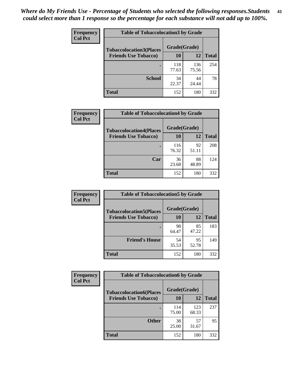| Frequency      | <b>Table of Tobaccolocation 3 by Grade</b> |              |              |              |  |
|----------------|--------------------------------------------|--------------|--------------|--------------|--|
| <b>Col Pct</b> | <b>Tobaccolocation3(Places</b>             | Grade(Grade) |              |              |  |
|                | <b>Friends Use Tobacco)</b>                | 10           | <b>12</b>    | <b>Total</b> |  |
|                |                                            | 118<br>77.63 | 136<br>75.56 | 254          |  |
|                | <b>School</b>                              | 34<br>22.37  | 44<br>24.44  | 78           |  |
|                | <b>Total</b>                               | 152          | 180          | 332          |  |

| <b>Frequency</b> | <b>Table of Tobaccolocation4 by Grade</b> |              |             |              |
|------------------|-------------------------------------------|--------------|-------------|--------------|
| <b>Col Pct</b>   | <b>Tobaccolocation4(Places</b>            | Grade(Grade) |             |              |
|                  | <b>Friends Use Tobacco)</b>               | 10           | 12          | <b>Total</b> |
|                  |                                           | 116<br>76.32 | 92<br>51.11 | 208          |
|                  | Car                                       | 36<br>23.68  | 88<br>48.89 | 124          |
|                  | <b>Total</b>                              | 152          | 180         | 332          |

| Frequency      | <b>Table of Tobaccolocation5 by Grade</b> |              |             |              |
|----------------|-------------------------------------------|--------------|-------------|--------------|
| <b>Col Pct</b> | <b>Tobaccolocation5(Places</b>            | Grade(Grade) |             |              |
|                | <b>Friends Use Tobacco)</b>               | 10           | <b>12</b>   | <b>Total</b> |
|                |                                           | 98<br>64.47  | 85<br>47.22 | 183          |
|                | <b>Friend's House</b>                     | 54<br>35.53  | 95<br>52.78 | 149          |
|                | <b>Total</b>                              | 152          | 180         | 332          |

| Frequency      | <b>Table of Tobaccolocation6 by Grade</b> |              |              |              |  |
|----------------|-------------------------------------------|--------------|--------------|--------------|--|
| <b>Col Pct</b> | <b>Tobaccolocation6(Places</b>            | Grade(Grade) |              |              |  |
|                | <b>Friends Use Tobacco)</b>               | 10           | 12           | <b>Total</b> |  |
|                |                                           | 114<br>75.00 | 123<br>68.33 | 237          |  |
|                | <b>Other</b>                              | 38<br>25.00  | 57<br>31.67  | 95           |  |
|                | <b>Total</b>                              | 152          | 180          | 332          |  |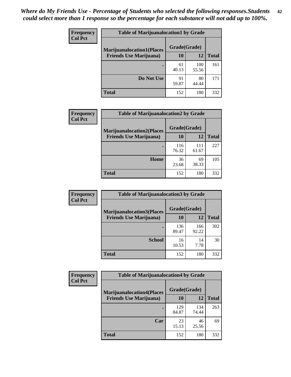| <b>Frequency</b> | <b>Table of Marijuanalocation1 by Grade</b> |              |              |              |
|------------------|---------------------------------------------|--------------|--------------|--------------|
| <b>Col Pct</b>   | <b>Marijuanalocation1(Places</b>            | Grade(Grade) |              |              |
|                  | <b>Friends Use Marijuana</b> )              | <b>10</b>    | 12           | <b>Total</b> |
|                  |                                             | 61<br>40.13  | 100<br>55.56 | 161          |
|                  | Do Not Use                                  | 91<br>59.87  | 80<br>44.44  | 171          |
|                  | <b>Total</b>                                | 152          | 180          | 332          |

| <b>Frequency</b> | <b>Table of Marijuanalocation2 by Grade</b>                        |                    |              |              |
|------------------|--------------------------------------------------------------------|--------------------|--------------|--------------|
| <b>Col Pct</b>   | <b>Marijuanalocation2(Places</b><br><b>Friends Use Marijuana</b> ) | Grade(Grade)<br>10 | 12           | <b>Total</b> |
|                  |                                                                    | 116<br>76.32       | 111<br>61.67 | 227          |
|                  | <b>Home</b>                                                        | 36<br>23.68        | 69<br>38.33  | 105          |
|                  | <b>Total</b>                                                       | 152                | 180          | 332          |

| <b>Frequency</b><br><b>Col Pct</b> | <b>Table of Marijuanalocation3 by Grade</b> |              |              |              |
|------------------------------------|---------------------------------------------|--------------|--------------|--------------|
|                                    | <b>Marijuanalocation3</b> (Places           | Grade(Grade) |              |              |
|                                    | <b>Friends Use Marijuana</b> )              | <b>10</b>    | 12           | <b>Total</b> |
|                                    |                                             | 136<br>89.47 | 166<br>92.22 | 302          |
|                                    | <b>School</b>                               | 16<br>10.53  | 14<br>7.78   | 30           |
|                                    | <b>Total</b>                                | 152          | 180          | 332          |

| <b>Frequency</b> | <b>Table of Marijuanalocation4 by Grade</b> |              |              |              |  |
|------------------|---------------------------------------------|--------------|--------------|--------------|--|
| <b>Col Pct</b>   | <b>Marijuanalocation4(Places</b>            | Grade(Grade) |              |              |  |
|                  | <b>Friends Use Marijuana</b> )              | <b>10</b>    | 12           | <b>Total</b> |  |
|                  |                                             | 129<br>84.87 | 134<br>74.44 | 263          |  |
|                  | Car                                         | 23<br>15.13  | 46<br>25.56  | 69           |  |
|                  | <b>Total</b>                                | 152          | 180          | 332          |  |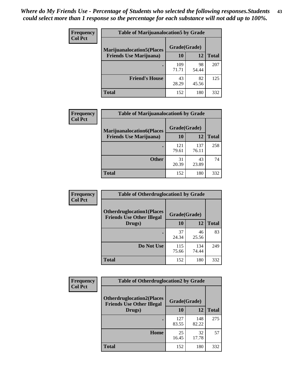| <b>Frequency</b> | <b>Table of Marijuanalocation5 by Grade</b> |              |             |              |  |
|------------------|---------------------------------------------|--------------|-------------|--------------|--|
| <b>Col Pct</b>   | <b>Marijuanalocation5</b> (Places           | Grade(Grade) |             |              |  |
|                  | <b>Friends Use Marijuana</b> )              | 10           | 12          | <b>Total</b> |  |
|                  |                                             | 109<br>71.71 | 98<br>54.44 | 207          |  |
|                  | <b>Friend's House</b>                       | 43<br>28.29  | 82<br>45.56 | 125          |  |
|                  | Total                                       | 152          | 180         | 332          |  |

| <b>Frequency</b> | <b>Table of Marijuanalocation6 by Grade</b>                        |                    |              |              |
|------------------|--------------------------------------------------------------------|--------------------|--------------|--------------|
| <b>Col Pct</b>   | <b>Marijuanalocation6(Places</b><br><b>Friends Use Marijuana</b> ) | Grade(Grade)<br>10 | 12           | <b>Total</b> |
|                  |                                                                    | 121<br>79.61       | 137<br>76.11 | 258          |
|                  | <b>Other</b>                                                       | 31<br>20.39        | 43<br>23.89  | 74           |
|                  | <b>Total</b>                                                       | 152                | 180          | 332          |

| <b>Frequency</b> | <b>Table of Otherdruglocation1 by Grade</b>                          |              |              |              |
|------------------|----------------------------------------------------------------------|--------------|--------------|--------------|
| <b>Col Pct</b>   | <b>Otherdruglocation1(Places</b><br><b>Friends Use Other Illegal</b> | Grade(Grade) |              |              |
|                  | Drugs)                                                               | 10           | 12           | <b>Total</b> |
|                  |                                                                      | 37<br>24.34  | 46<br>25.56  | 83           |
|                  | Do Not Use                                                           | 115<br>75.66 | 134<br>74.44 | 249          |
|                  | <b>Total</b>                                                         | 152          | 180          | 332          |

| <b>Frequency</b> | <b>Table of Otherdruglocation2 by Grade</b>                          |              |              |              |
|------------------|----------------------------------------------------------------------|--------------|--------------|--------------|
| <b>Col Pct</b>   | <b>Otherdruglocation2(Places</b><br><b>Friends Use Other Illegal</b> | Grade(Grade) |              |              |
|                  | Drugs)                                                               | 10           | 12           | <b>Total</b> |
|                  |                                                                      | 127<br>83.55 | 148<br>82.22 | 275          |
|                  | <b>Home</b>                                                          | 25<br>16.45  | 32<br>17.78  | 57           |
|                  | <b>Total</b>                                                         | 152          | 180          | 332          |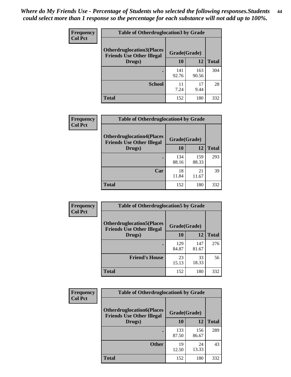| <b>Frequency</b> | <b>Table of Otherdruglocation 3 by Grade</b>                         |              |              |              |  |
|------------------|----------------------------------------------------------------------|--------------|--------------|--------------|--|
| <b>Col Pct</b>   | <b>Otherdruglocation3(Places</b><br><b>Friends Use Other Illegal</b> | Grade(Grade) |              |              |  |
|                  | Drugs)                                                               | <b>10</b>    | 12           | <b>Total</b> |  |
|                  |                                                                      | 141<br>92.76 | 163<br>90.56 | 304          |  |
|                  | <b>School</b>                                                        | 11<br>7.24   | 17<br>9.44   | 28           |  |
|                  | <b>Total</b>                                                         | 152          | 180          | 332          |  |

| <b>Frequency</b> | <b>Table of Otherdruglocation4 by Grade</b>                          |              |              |              |
|------------------|----------------------------------------------------------------------|--------------|--------------|--------------|
| <b>Col Pct</b>   | <b>Otherdruglocation4(Places</b><br><b>Friends Use Other Illegal</b> | Grade(Grade) |              |              |
|                  | Drugs)                                                               | 10           | 12           | <b>Total</b> |
|                  |                                                                      | 134<br>88.16 | 159<br>88.33 | 293          |
|                  | Car                                                                  | 18<br>11.84  | 21<br>11.67  | 39           |
|                  | <b>Total</b>                                                         | 152          | 180          | 332          |

| Frequency      | <b>Table of Otherdruglocation5 by Grade</b>                          |              |              |              |
|----------------|----------------------------------------------------------------------|--------------|--------------|--------------|
| <b>Col Pct</b> | <b>Otherdruglocation5(Places</b><br><b>Friends Use Other Illegal</b> | Grade(Grade) |              |              |
|                | Drugs)                                                               | 10           | 12           | <b>Total</b> |
|                |                                                                      | 129<br>84.87 | 147<br>81.67 | 276          |
|                | <b>Friend's House</b>                                                | 23<br>15.13  | 33<br>18.33  | 56           |
|                | <b>Total</b>                                                         | 152          | 180          | 332          |

| <b>Frequency</b> | <b>Table of Otherdruglocation6 by Grade</b>                          |              |              |              |
|------------------|----------------------------------------------------------------------|--------------|--------------|--------------|
| <b>Col Pct</b>   | <b>Otherdruglocation6(Places</b><br><b>Friends Use Other Illegal</b> | Grade(Grade) |              |              |
|                  | Drugs)                                                               | <b>10</b>    | 12           | <b>Total</b> |
|                  |                                                                      | 133<br>87.50 | 156<br>86.67 | 289          |
|                  | <b>Other</b>                                                         | 19<br>12.50  | 24<br>13.33  | 43           |
|                  | Total                                                                | 152          | 180          | 332          |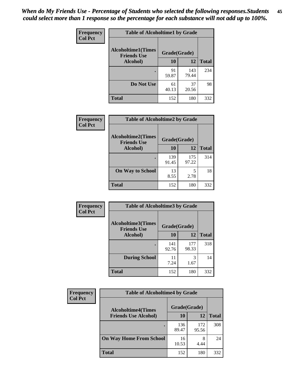| Frequency      | <b>Table of Alcoholtime1 by Grade</b>                           |             |              |              |
|----------------|-----------------------------------------------------------------|-------------|--------------|--------------|
| <b>Col Pct</b> | <b>Alcoholtime1(Times</b><br>Grade(Grade)<br><b>Friends Use</b> |             |              |              |
|                | Alcohol)                                                        | 10          | 12           | <b>Total</b> |
|                |                                                                 | 91<br>59.87 | 143<br>79.44 | 234          |
|                | Do Not Use                                                      | 61<br>40.13 | 37<br>20.56  | 98           |
|                | <b>Total</b>                                                    | 152         | 180          | 332          |

| Frequency      | <b>Table of Alcoholtime2 by Grade</b>           |              |              |              |
|----------------|-------------------------------------------------|--------------|--------------|--------------|
| <b>Col Pct</b> | <b>Alcoholtime2(Times</b><br><b>Friends Use</b> | Grade(Grade) |              |              |
|                | Alcohol)                                        | 10           | 12           | <b>Total</b> |
|                |                                                 | 139<br>91.45 | 175<br>97.22 | 314          |
|                | <b>On Way to School</b>                         | 13<br>8.55   | 5<br>2.78    | 18           |
|                | <b>Total</b>                                    | 152          | 180          | 332          |

| Frequency      | <b>Table of Alcoholtime3 by Grade</b>           |              |              |              |
|----------------|-------------------------------------------------|--------------|--------------|--------------|
| <b>Col Pct</b> | <b>Alcoholtime3(Times</b><br><b>Friends Use</b> | Grade(Grade) |              |              |
|                | Alcohol)                                        | 10           | 12           | <b>Total</b> |
|                |                                                 | 141<br>92.76 | 177<br>98.33 | 318          |
|                | <b>During School</b>                            | 11<br>7.24   | 3<br>1.67    | 14           |
|                | <b>Total</b>                                    | 152          | 180          | 332          |

| Frequency<br><b>Col Pct</b> | <b>Table of Alcoholtime4 by Grade</b> |              |              |              |  |
|-----------------------------|---------------------------------------|--------------|--------------|--------------|--|
|                             | <b>Alcoholtime4(Times</b>             | Grade(Grade) |              |              |  |
|                             | <b>Friends Use Alcohol)</b>           | <b>10</b>    | 12           | <b>Total</b> |  |
|                             |                                       | 136<br>89.47 | 172<br>95.56 | 308          |  |
|                             | <b>On Way Home From School</b>        | 16<br>10.53  | 8<br>4.44    | 24           |  |
|                             | <b>Total</b>                          | 152          | 180          | 332          |  |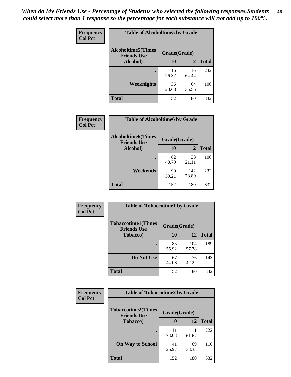*When do My Friends Use - Percentage of Students who selected the following responses.Students could select more than 1 response so the percentage for each substance will not add up to 100%.* **46**

| Frequency      | <b>Table of Alcoholtime5 by Grade</b>                           |              |              |              |
|----------------|-----------------------------------------------------------------|--------------|--------------|--------------|
| <b>Col Pct</b> | <b>Alcoholtime5(Times</b><br>Grade(Grade)<br><b>Friends Use</b> |              |              |              |
|                | Alcohol)                                                        | 10           | 12           | <b>Total</b> |
|                |                                                                 | 116<br>76.32 | 116<br>64.44 | 232          |
|                | Weeknights                                                      | 36<br>23.68  | 64<br>35.56  | 100          |
|                | <b>Total</b>                                                    | 152          | 180          | 332          |

| Frequency      | <b>Table of Alcoholtime6 by Grade</b>           |              |              |              |
|----------------|-------------------------------------------------|--------------|--------------|--------------|
| <b>Col Pct</b> | <b>Alcoholtime6(Times</b><br><b>Friends Use</b> | Grade(Grade) |              |              |
|                | Alcohol)                                        | 10           | 12           | <b>Total</b> |
|                |                                                 | 62<br>40.79  | 38<br>21.11  | 100          |
|                | Weekends                                        | 90<br>59.21  | 142<br>78.89 | 232          |
|                | <b>Total</b>                                    | 152          | 180          | 332          |

| Frequency      | <b>Table of Tobaccotime1 by Grade</b>           |              |              |              |
|----------------|-------------------------------------------------|--------------|--------------|--------------|
| <b>Col Pct</b> | <b>Tobaccotime1(Times</b><br><b>Friends Use</b> | Grade(Grade) |              |              |
|                | <b>Tobacco</b> )                                | 10           | 12           | <b>Total</b> |
|                | ٠                                               | 85<br>55.92  | 104<br>57.78 | 189          |
|                | Do Not Use                                      | 67<br>44.08  | 76<br>42.22  | 143          |
|                | <b>Total</b>                                    | 152          | 180          | 332          |

| <b>Frequency</b> | <b>Table of Tobaccotime2 by Grade</b>           |              |              |              |
|------------------|-------------------------------------------------|--------------|--------------|--------------|
| <b>Col Pct</b>   | <b>Tobaccotime2(Times</b><br><b>Friends Use</b> | Grade(Grade) |              |              |
|                  | <b>Tobacco</b> )                                | 10           | 12           | <b>Total</b> |
|                  |                                                 | 111<br>73.03 | 111<br>61.67 | 222          |
|                  | <b>On Way to School</b>                         | 41<br>26.97  | 69<br>38.33  | 110          |
|                  | <b>Total</b>                                    | 152          | 180          | 332          |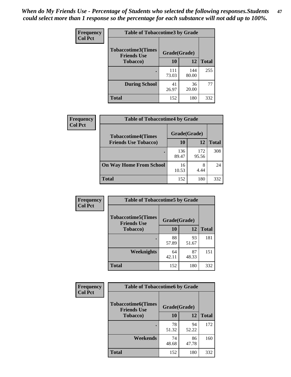*When do My Friends Use - Percentage of Students who selected the following responses.Students could select more than 1 response so the percentage for each substance will not add up to 100%.* **47**

| <b>Frequency</b> | <b>Table of Tobaccotime3 by Grade</b>           |              |              |              |  |
|------------------|-------------------------------------------------|--------------|--------------|--------------|--|
| <b>Col Pct</b>   | <b>Tobaccotime3(Times</b><br><b>Friends Use</b> | Grade(Grade) |              |              |  |
|                  | <b>Tobacco</b> )                                | 10           | 12           | <b>Total</b> |  |
|                  |                                                 | 111<br>73.03 | 144<br>80.00 | 255          |  |
|                  | <b>During School</b>                            | 41<br>26.97  | 36<br>20.00  | 77           |  |
|                  | <b>Total</b>                                    | 152          | 180          | 332          |  |

| <b>Frequency</b><br><b>Col Pct</b> | <b>Table of Tobaccotime4 by Grade</b> |              |              |              |
|------------------------------------|---------------------------------------|--------------|--------------|--------------|
|                                    | <b>Tobaccotime4(Times</b>             | Grade(Grade) |              |              |
|                                    | <b>Friends Use Tobacco)</b>           | 10           | 12           | <b>Total</b> |
|                                    |                                       | 136<br>89.47 | 172<br>95.56 | 308          |
|                                    | <b>On Way Home From School</b>        | 16<br>10.53  | 8<br>4.44    | 24           |
|                                    | <b>Total</b>                          | 152          | 180          | 332          |

| Frequency      | <b>Table of Tobaccotime5 by Grade</b>           |              |             |              |
|----------------|-------------------------------------------------|--------------|-------------|--------------|
| <b>Col Pct</b> | <b>Tobaccotime5(Times</b><br><b>Friends Use</b> | Grade(Grade) |             |              |
|                | <b>Tobacco</b> )                                | 10           | 12          | <b>Total</b> |
|                |                                                 | 88<br>57.89  | 93<br>51.67 | 181          |
|                | Weeknights                                      | 64<br>42.11  | 87<br>48.33 | 151          |
|                | <b>Total</b>                                    | 152          | 180         | 332          |

| <b>Frequency</b> | <b>Table of Tobaccotime6 by Grade</b>           |              |             |              |
|------------------|-------------------------------------------------|--------------|-------------|--------------|
| <b>Col Pct</b>   | <b>Tobaccotime6(Times</b><br><b>Friends Use</b> | Grade(Grade) |             |              |
|                  | <b>Tobacco</b> )                                | 10           | 12          | <b>Total</b> |
|                  | ٠                                               | 78<br>51.32  | 94<br>52.22 | 172          |
|                  | Weekends                                        | 74<br>48.68  | 86<br>47.78 | 160          |
|                  | <b>Total</b>                                    | 152          | 180         | 332          |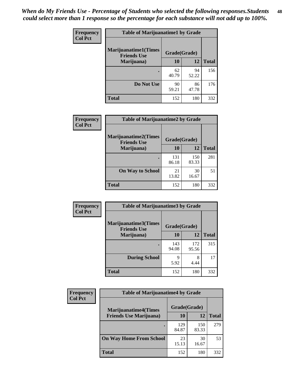| Frequency      | <b>Table of Marijuanatime1 by Grade</b>           |              |             |              |
|----------------|---------------------------------------------------|--------------|-------------|--------------|
| <b>Col Pct</b> | <b>Marijuanatime1(Times</b><br><b>Friends Use</b> | Grade(Grade) |             |              |
|                | Marijuana)                                        | 10           | 12          | <b>Total</b> |
|                |                                                   | 62<br>40.79  | 94<br>52.22 | 156          |
|                | Do Not Use                                        | 90<br>59.21  | 86<br>47.78 | 176          |
|                | <b>Total</b>                                      | 152          | 180         | 332          |

| <b>Frequency</b> | <b>Table of Marijuanatime2 by Grade</b>           |              |              |              |
|------------------|---------------------------------------------------|--------------|--------------|--------------|
| <b>Col Pct</b>   | <b>Marijuanatime2(Times</b><br><b>Friends Use</b> | Grade(Grade) |              |              |
|                  | Marijuana)                                        | 10           | 12           | <b>Total</b> |
|                  |                                                   | 131<br>86.18 | 150<br>83.33 | 281          |
|                  | <b>On Way to School</b>                           | 21<br>13.82  | 30<br>16.67  | 51           |
|                  | <b>Total</b>                                      | 152          | 180          | 332          |

| Frequency<br><b>Col Pct</b> | <b>Table of Marijuanatime3 by Grade</b>    |              |              |              |
|-----------------------------|--------------------------------------------|--------------|--------------|--------------|
|                             | Marijuanatime3(Times<br><b>Friends Use</b> | Grade(Grade) |              |              |
|                             | Marijuana)                                 | 10           | 12           | <b>Total</b> |
|                             |                                            | 143<br>94.08 | 172<br>95.56 | 315          |
|                             | <b>During School</b>                       | q<br>5.92    | 8<br>4.44    | 17           |
|                             | Total                                      | 152          | 180          | 332          |

| <b>Frequency</b><br><b>Col Pct</b> | <b>Table of Marijuanatime4 by Grade</b> |              |              |              |
|------------------------------------|-----------------------------------------|--------------|--------------|--------------|
|                                    | <b>Marijuanatime4(Times</b>             | Grade(Grade) |              |              |
|                                    | <b>Friends Use Marijuana</b> )          | 10           | 12           | <b>Total</b> |
|                                    |                                         | 129<br>84.87 | 150<br>83.33 | 279          |
|                                    | <b>On Way Home From School</b>          | 23<br>15.13  | 30<br>16.67  | 53           |
|                                    | <b>Total</b>                            | 152          | 180          | 332          |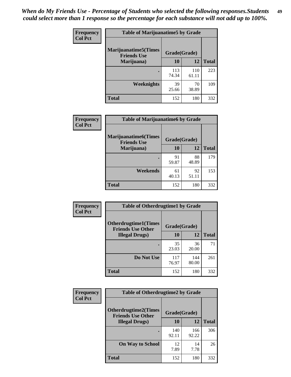| Frequency      | <b>Table of Marijuanatime5 by Grade</b>            |              |              |              |
|----------------|----------------------------------------------------|--------------|--------------|--------------|
| <b>Col Pct</b> | <b>Marijuanatime5</b> (Times<br><b>Friends Use</b> | Grade(Grade) |              |              |
|                | Marijuana)                                         | 10           | 12           | <b>Total</b> |
|                |                                                    | 113<br>74.34 | 110<br>61.11 | 223          |
|                | Weeknights                                         | 39<br>25.66  | 70<br>38.89  | 109          |
|                | <b>Total</b>                                       | 152          | 180          | 332          |

| <b>Frequency</b> | <b>Table of Marijuanatime6 by Grade</b>            |              |             |              |
|------------------|----------------------------------------------------|--------------|-------------|--------------|
| <b>Col Pct</b>   | <b>Marijuanatime6</b> (Times<br><b>Friends Use</b> | Grade(Grade) |             |              |
|                  | Marijuana)                                         | 10           | 12          | <b>Total</b> |
|                  |                                                    | 91<br>59.87  | 88<br>48.89 | 179          |
|                  | Weekends                                           | 61<br>40.13  | 92<br>51.11 | 153          |
|                  | <b>Total</b>                                       | 152          | 180         | 332          |

| <b>Frequency</b> | <b>Table of Otherdrugtime1 by Grade</b>                 |              |              |              |  |
|------------------|---------------------------------------------------------|--------------|--------------|--------------|--|
| <b>Col Pct</b>   | <b>Otherdrugtime1(Times</b><br><b>Friends Use Other</b> | Grade(Grade) |              |              |  |
|                  | <b>Illegal Drugs</b> )                                  | 10           | 12           | <b>Total</b> |  |
|                  |                                                         | 35<br>23.03  | 36<br>20.00  | 71           |  |
|                  | Do Not Use                                              | 117<br>76.97 | 144<br>80.00 | 261          |  |
|                  | <b>Total</b>                                            | 152          | 180          | 332          |  |

| Frequency      | <b>Table of Otherdrugtime2 by Grade</b>                 |              |              |              |  |  |  |
|----------------|---------------------------------------------------------|--------------|--------------|--------------|--|--|--|
| <b>Col Pct</b> | <b>Otherdrugtime2(Times</b><br><b>Friends Use Other</b> | Grade(Grade) |              |              |  |  |  |
|                | <b>Illegal Drugs</b> )                                  | 10           | 12           | <b>Total</b> |  |  |  |
|                |                                                         | 140<br>92.11 | 166<br>92.22 | 306          |  |  |  |
|                | <b>On Way to School</b>                                 | 12<br>7.89   | 14<br>7.78   | 26           |  |  |  |
|                | Total                                                   | 152          | 180          | 332          |  |  |  |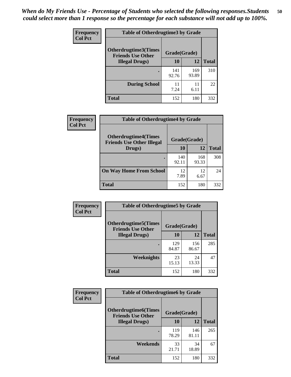| <b>Frequency</b> | <b>Table of Otherdrugtime3 by Grade</b>                                 |              |              |              |  |  |  |
|------------------|-------------------------------------------------------------------------|--------------|--------------|--------------|--|--|--|
| <b>Col Pct</b>   | <b>Otherdrugtime3(Times</b><br>Grade(Grade)<br><b>Friends Use Other</b> |              |              |              |  |  |  |
|                  | <b>Illegal Drugs</b> )                                                  | 10           | 12           | <b>Total</b> |  |  |  |
|                  |                                                                         | 141<br>92.76 | 169<br>93.89 | 310          |  |  |  |
|                  | <b>During School</b>                                                    | 11<br>7.24   | 11<br>6.11   | 22           |  |  |  |
|                  | Total                                                                   | 152          | 180          | 332          |  |  |  |

| Frequency      | <b>Table of Otherdrugtime4 by Grade</b>                         |              |              |              |  |  |  |
|----------------|-----------------------------------------------------------------|--------------|--------------|--------------|--|--|--|
| <b>Col Pct</b> | <b>Otherdrugtime4(Times</b><br><b>Friends Use Other Illegal</b> | Grade(Grade) |              |              |  |  |  |
|                | Drugs)                                                          | 10           | 12           | <b>Total</b> |  |  |  |
|                |                                                                 | 140<br>92.11 | 168<br>93.33 | 308          |  |  |  |
|                | <b>On Way Home From School</b>                                  | 12<br>7.89   | 12<br>6.67   | 24           |  |  |  |
|                | <b>Total</b>                                                    | 152          | 180          | 332          |  |  |  |

| Frequency      | <b>Table of Otherdrugtime5 by Grade</b>                  |              |              |              |  |  |  |
|----------------|----------------------------------------------------------|--------------|--------------|--------------|--|--|--|
| <b>Col Pct</b> | <b>Otherdrugtime5</b> (Times<br><b>Friends Use Other</b> | Grade(Grade) |              |              |  |  |  |
|                | <b>Illegal Drugs</b> )                                   | 10           | 12           | <b>Total</b> |  |  |  |
|                |                                                          | 129<br>84.87 | 156<br>86.67 | 285          |  |  |  |
|                | Weeknights                                               | 23<br>15.13  | 24<br>13.33  | 47           |  |  |  |
|                | Total                                                    | 152          | 180          | 332          |  |  |  |

| <b>Frequency</b> | <b>Table of Otherdrugtime6 by Grade</b>                                 |              |              |              |  |  |
|------------------|-------------------------------------------------------------------------|--------------|--------------|--------------|--|--|
| <b>Col Pct</b>   | <b>Otherdrugtime6(Times</b><br>Grade(Grade)<br><b>Friends Use Other</b> |              |              |              |  |  |
|                  | <b>Illegal Drugs</b> )                                                  | 10           | 12           | <b>Total</b> |  |  |
|                  |                                                                         | 119<br>78.29 | 146<br>81.11 | 265          |  |  |
|                  | Weekends                                                                | 33<br>21.71  | 34<br>18.89  | 67           |  |  |
|                  | Total                                                                   | 152          | 180          | 332          |  |  |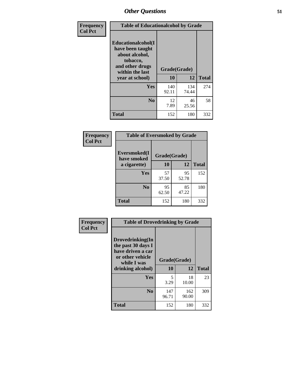| Frequency      | <b>Table of Educationalcohol by Grade</b>                                                                  |              |              |              |  |  |
|----------------|------------------------------------------------------------------------------------------------------------|--------------|--------------|--------------|--|--|
| <b>Col Pct</b> | Educationalcohol(I<br>have been taught<br>about alcohol,<br>tobacco,<br>and other drugs<br>within the last | Grade(Grade) |              |              |  |  |
|                | year at school)                                                                                            | 10           | 12           | <b>Total</b> |  |  |
|                | Yes                                                                                                        | 140<br>92.11 | 134<br>74.44 | 274          |  |  |
|                | N <sub>0</sub>                                                                                             | 12<br>7.89   | 46<br>25.56  | 58           |  |  |
|                | <b>Total</b>                                                                                               | 152          | 180          | 332          |  |  |

| Frequency      | <b>Table of Eversmoked by Grade</b> |              |             |              |  |  |  |
|----------------|-------------------------------------|--------------|-------------|--------------|--|--|--|
| <b>Col Pct</b> | Eversmoked(I<br>have smoked         | Grade(Grade) |             |              |  |  |  |
|                | a cigarette)                        | 10           | 12          | <b>Total</b> |  |  |  |
|                | <b>Yes</b>                          | 57<br>37.50  | 95<br>52.78 | 152          |  |  |  |
|                | N <sub>0</sub>                      | 95<br>62.50  | 85<br>47.22 | 180          |  |  |  |
|                | <b>Total</b>                        | 152          | 180         | 332          |  |  |  |

| Frequency      | <b>Table of Drovedrinking by Grade</b>                                                                              |                    |              |              |  |  |
|----------------|---------------------------------------------------------------------------------------------------------------------|--------------------|--------------|--------------|--|--|
| <b>Col Pct</b> | Drovedrinking(In<br>the past 30 days I<br>have driven a car<br>or other vehicle<br>while I was<br>drinking alcohol) | Grade(Grade)<br>10 | 12           | <b>Total</b> |  |  |
|                | <b>Yes</b>                                                                                                          | 5<br>3.29          | 18<br>10.00  | 23           |  |  |
|                | N <sub>0</sub>                                                                                                      | 147<br>96.71       | 162<br>90.00 | 309          |  |  |
|                | <b>Total</b>                                                                                                        | 152                | 180          | 332          |  |  |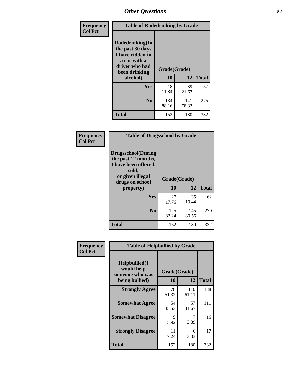| Frequency<br><b>Col Pct</b> | <b>Table of Rodedrinking by Grade</b>                                                                                  |                          |              |              |  |  |
|-----------------------------|------------------------------------------------------------------------------------------------------------------------|--------------------------|--------------|--------------|--|--|
|                             | Rodedrinking(In<br>the past 30 days<br>I have ridden in<br>a car with a<br>driver who had<br>been drinking<br>alcohol) | Grade(Grade)<br>10<br>12 |              | <b>Total</b> |  |  |
|                             |                                                                                                                        |                          |              |              |  |  |
|                             | <b>Yes</b>                                                                                                             | 18<br>11.84              | 39<br>21.67  | 57           |  |  |
|                             | N <sub>0</sub>                                                                                                         | 134<br>88.16             | 141<br>78.33 | 275          |  |  |
|                             | <b>Total</b>                                                                                                           | 152                      | 180          | 332          |  |  |

#### **Frequency Col Pct**

| <b>Table of Drugsschool by Grade</b>                                                                                      |              |              |              |  |  |  |  |
|---------------------------------------------------------------------------------------------------------------------------|--------------|--------------|--------------|--|--|--|--|
| <b>Drugsschool</b> (During<br>the past 12 months,<br>I have been offered,<br>sold,<br>or given illegal<br>drugs on school | Grade(Grade) |              |              |  |  |  |  |
| property)                                                                                                                 | 10           | 12           | <b>Total</b> |  |  |  |  |
| Yes                                                                                                                       | 27<br>17.76  | 35<br>19.44  | 62           |  |  |  |  |
| $\bf No$                                                                                                                  | 125<br>82.24 | 145<br>80.56 | 270          |  |  |  |  |
| Total                                                                                                                     |              |              |              |  |  |  |  |

| <b>Table of Helpbullied by Grade</b>            |                |              |              |  |  |  |  |
|-------------------------------------------------|----------------|--------------|--------------|--|--|--|--|
| Helpbullied(I)<br>would help<br>someone who was |                |              |              |  |  |  |  |
|                                                 | 10             | 12           | <b>Total</b> |  |  |  |  |
| <b>Strongly Agree</b>                           | 78<br>51.32    | 110<br>61.11 | 188          |  |  |  |  |
| <b>Somewhat Agree</b>                           | 54<br>35.53    | 57<br>31.67  | 111          |  |  |  |  |
| <b>Somewhat Disagree</b>                        | 9<br>5.92      | 7<br>3.89    | 16           |  |  |  |  |
| <b>Strongly Disagree</b>                        | 11<br>7.24     | 6<br>3.33    | 17           |  |  |  |  |
| Total                                           | 152            | 180          | 332          |  |  |  |  |
|                                                 | being bullied) |              | Grade(Grade) |  |  |  |  |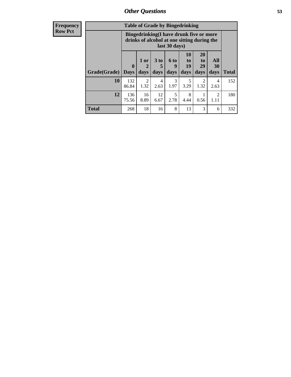| <b>Frequency</b> | <b>Table of Grade by Bingedrinking</b> |                             |                                                                                                         |                              |                   |                        |                        |                        |              |
|------------------|----------------------------------------|-----------------------------|---------------------------------------------------------------------------------------------------------|------------------------------|-------------------|------------------------|------------------------|------------------------|--------------|
| <b>Row Pct</b>   |                                        |                             | Bingedrinking(I have drunk five or more<br>drinks of alcohol at one sitting during the<br>last 30 days) |                              |                   |                        |                        |                        |              |
|                  | Grade(Grade)                           | $\mathbf{0}$<br><b>Days</b> | 1 or<br>$\mathbf{2}$<br>days                                                                            | 3 <sub>to</sub><br>5<br>days | 6 to<br>9<br>days | 10<br>to<br>19<br>days | 20<br>to<br>29<br>days | All<br>30<br>days      | <b>Total</b> |
|                  | 10                                     | 132<br>86.84                | $\overline{2}$<br>1.32                                                                                  | 4<br>2.63                    | 3<br>1.97         | 3.29                   | $\mathfrak{D}$<br>1.32 | $\overline{4}$<br>2.63 | 152          |
|                  | 12                                     | 136<br>75.56                | 16<br>8.89                                                                                              | 12<br>6.67                   | 5<br>2.78         | 8<br>4.44              | 0.56                   | $\overline{2}$<br>1.11 | 180          |
|                  | <b>Total</b>                           | 268                         | 18                                                                                                      | 16                           | 8                 | 13                     | 3                      | 6                      | 332          |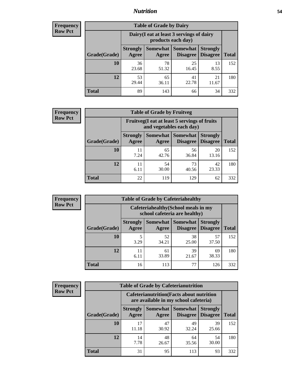### *Nutrition* **54**

| <b>Frequency</b> |
|------------------|
| Row Pct          |

| <b>Table of Grade by Dairy</b> |                                                                                                                                           |                                                                 |             |             |     |  |  |  |
|--------------------------------|-------------------------------------------------------------------------------------------------------------------------------------------|-----------------------------------------------------------------|-------------|-------------|-----|--|--|--|
|                                |                                                                                                                                           | Dairy (I eat at least 3 servings of dairy<br>products each day) |             |             |     |  |  |  |
| Grade(Grade)                   | <b>Somewhat</b><br><b>Somewhat</b><br><b>Strongly</b><br><b>Strongly</b><br><b>Disagree</b><br>Disagree<br><b>Total</b><br>Agree<br>Agree |                                                                 |             |             |     |  |  |  |
| 10                             | 36<br>23.68                                                                                                                               | 78<br>51.32                                                     | 25<br>16.45 | 13<br>8.55  | 152 |  |  |  |
| 12                             | 53<br>29.44                                                                                                                               | 65<br>36.11                                                     | 41<br>22.78 | 21<br>11.67 | 180 |  |  |  |
| <b>Total</b>                   | 89                                                                                                                                        | 143                                                             | 66          | 34          | 332 |  |  |  |

| <b>Frequency</b> |
|------------------|
| <b>Row Pct</b>   |

| $\mathbf{y}$ | <b>Table of Grade by Fruitveg</b> |                          |                                                                          |                             |                                    |              |  |  |
|--------------|-----------------------------------|--------------------------|--------------------------------------------------------------------------|-----------------------------|------------------------------------|--------------|--|--|
|              |                                   |                          | Fruitveg(I eat at least 5 servings of fruits<br>and vegetables each day) |                             |                                    |              |  |  |
|              | Grade(Grade)                      | <b>Strongly</b><br>Agree | Somewhat  <br>Agree                                                      | <b>Somewhat</b><br>Disagree | <b>Strongly</b><br><b>Disagree</b> | <b>Total</b> |  |  |
|              | <b>10</b>                         | 11<br>7.24               | 65<br>42.76                                                              | 56<br>36.84                 | 20<br>13.16                        | 152          |  |  |
|              | 12                                | 11<br>6.11               | 54<br>30.00                                                              | 73<br>40.56                 | 42<br>23.33                        | 180          |  |  |
|              | <b>Total</b>                      | 22                       | 119                                                                      | 129                         | 62                                 | 332          |  |  |

| <b>Frequency</b> | <b>Table of Grade by Cafeteriahealthy</b> |                                                                       |             |                                          |                                    |              |
|------------------|-------------------------------------------|-----------------------------------------------------------------------|-------------|------------------------------------------|------------------------------------|--------------|
| <b>Row Pct</b>   |                                           | Cafeteriahealthy (School meals in my<br>school cafeteria are healthy) |             |                                          |                                    |              |
|                  | Grade(Grade)                              | <b>Strongly</b><br>Agree                                              | Agree       | Somewhat   Somewhat  <br><b>Disagree</b> | <b>Strongly</b><br><b>Disagree</b> | <b>Total</b> |
|                  | 10                                        | 3.29                                                                  | 52<br>34.21 | 38<br>25.00                              | 57<br>37.50                        | 152          |
|                  | 12                                        | 11<br>6.11                                                            | 61<br>33.89 | 39<br>21.67                              | 69<br>38.33                        | 180          |
|                  | <b>Total</b>                              | 16                                                                    | 113         | 77                                       | 126                                | 332          |

| <b>Frequency</b> |
|------------------|
| <b>Row Pct</b>   |

| <b>Table of Grade by Cafeterianutrition</b>                                               |                          |                     |                                    |                                    |              |  |  |
|-------------------------------------------------------------------------------------------|--------------------------|---------------------|------------------------------------|------------------------------------|--------------|--|--|
| <b>Cafeterianutrition</b> (Facts about nutrition<br>are available in my school cafeteria) |                          |                     |                                    |                                    |              |  |  |
| Grade(Grade)                                                                              | <b>Strongly</b><br>Agree | Somewhat  <br>Agree | <b>Somewhat</b><br><b>Disagree</b> | <b>Strongly</b><br><b>Disagree</b> | <b>Total</b> |  |  |
| 10                                                                                        | 17<br>11.18              | 47<br>30.92         | 49<br>32.24                        | 39<br>25.66                        | 152          |  |  |
| 12                                                                                        | 14<br>7.78               | 48<br>26.67         | 64<br>35.56                        | 54<br>30.00                        | 180          |  |  |
| <b>Total</b>                                                                              | 31                       | 95                  | 113                                | 93                                 | 332          |  |  |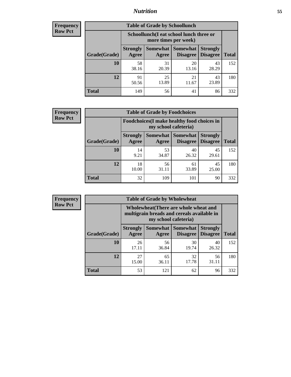### *Nutrition* **55**

| Frequency |
|-----------|
| Row Pct   |

| <b>Table of Grade by Schoollunch</b> |                                                                                                                            |                                                                 |             |             |     |  |  |  |
|--------------------------------------|----------------------------------------------------------------------------------------------------------------------------|-----------------------------------------------------------------|-------------|-------------|-----|--|--|--|
|                                      |                                                                                                                            | Schoollunch(I eat school lunch three or<br>more times per week) |             |             |     |  |  |  |
| Grade(Grade)                         | Somewhat   Somewhat<br><b>Strongly</b><br><b>Strongly</b><br><b>Disagree</b><br>Disagree<br><b>Total</b><br>Agree<br>Agree |                                                                 |             |             |     |  |  |  |
| 10                                   | 58<br>38.16                                                                                                                | 31<br>20.39                                                     | 20<br>13.16 | 43<br>28.29 | 152 |  |  |  |
| 12                                   | 91<br>50.56                                                                                                                | 25<br>13.89                                                     | 21<br>11.67 | 43<br>23.89 | 180 |  |  |  |
| <b>Total</b>                         | 149                                                                                                                        | 56                                                              | 41          | 86          | 332 |  |  |  |

| <b>Frequency</b> |  |
|------------------|--|
| <b>Row Pct</b>   |  |

| <b>Table of Grade by Foodchoices</b>                                |                          |             |                                        |                                    |              |  |  |
|---------------------------------------------------------------------|--------------------------|-------------|----------------------------------------|------------------------------------|--------------|--|--|
| Foodchoices (I make healthy food choices in<br>my school cafeteria) |                          |             |                                        |                                    |              |  |  |
| Grade(Grade)                                                        | <b>Strongly</b><br>Agree | Agree       | <b>Somewhat   Somewhat</b><br>Disagree | <b>Strongly</b><br><b>Disagree</b> | <b>Total</b> |  |  |
| 10                                                                  | 14<br>9.21               | 53<br>34.87 | 40<br>26.32                            | 45<br>29.61                        | 152          |  |  |
| 12                                                                  | 18<br>10.00              | 56<br>31.11 | 61<br>33.89                            | 45<br>25.00                        | 180          |  |  |
| <b>Total</b>                                                        | 32                       | 109         | 101                                    | 90                                 | 332          |  |  |

| <b>Frequency</b> | <b>Table of Grade by Wholewheat</b> |                                                                                                             |             |                                        |                                    |              |  |  |
|------------------|-------------------------------------|-------------------------------------------------------------------------------------------------------------|-------------|----------------------------------------|------------------------------------|--------------|--|--|
| <b>Row Pct</b>   |                                     | Wholewheat (There are whole wheat and<br>multigrain breads and cereals available in<br>my school cafeteria) |             |                                        |                                    |              |  |  |
|                  | Grade(Grade)                        | <b>Strongly</b><br>Agree                                                                                    | Agree       | Somewhat   Somewhat<br><b>Disagree</b> | <b>Strongly</b><br><b>Disagree</b> | <b>Total</b> |  |  |
|                  | 10                                  | 26<br>17.11                                                                                                 | 56<br>36.84 | 30<br>19.74                            | 40<br>26.32                        | 152          |  |  |
|                  | 12                                  | 27<br>15.00                                                                                                 | 65<br>36.11 | 32<br>17.78                            | 56<br>31.11                        | 180          |  |  |
|                  | <b>Total</b>                        | 53                                                                                                          | 121         | 62                                     | 96                                 | 332          |  |  |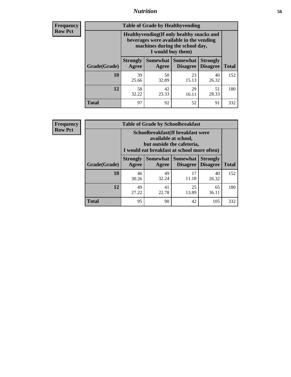### *Nutrition* **56**

**Frequency Row Pct**

| <b>Table of Grade by Healthyvending</b> |                                                                                                                                               |                          |                                    |                                    |              |  |
|-----------------------------------------|-----------------------------------------------------------------------------------------------------------------------------------------------|--------------------------|------------------------------------|------------------------------------|--------------|--|
|                                         | Healthyvending (If only healthy snacks and<br>beverages were available in the vending<br>machines during the school day,<br>I would buy them) |                          |                                    |                                    |              |  |
| Grade(Grade)                            | <b>Strongly</b><br>Agree                                                                                                                      | <b>Somewhat</b><br>Agree | <b>Somewhat</b><br><b>Disagree</b> | <b>Strongly</b><br><b>Disagree</b> | <b>Total</b> |  |
| 10                                      | 39<br>25.66                                                                                                                                   | 50<br>32.89              | 23<br>15.13                        | 40<br>26.32                        | 152          |  |
| 12                                      | 58<br>32.22                                                                                                                                   | 42<br>23.33              | 29<br>16.11                        | 51<br>28.33                        | 180          |  |
| Total                                   | 97                                                                                                                                            | 92                       | 52                                 | 91                                 | 332          |  |

**Frequency Row Pct**

| <b>Table of Grade by Schoolbreakfast</b> |                                                                                                                                         |             |                                        |                                    |              |  |
|------------------------------------------|-----------------------------------------------------------------------------------------------------------------------------------------|-------------|----------------------------------------|------------------------------------|--------------|--|
|                                          | Schoolbreakfast (If breakfast were<br>available at school,<br>but outside the cafeteria,<br>I would eat breakfast at school more often) |             |                                        |                                    |              |  |
| Grade(Grade)                             | <b>Strongly</b><br>Agree                                                                                                                | Agree       | Somewhat   Somewhat<br><b>Disagree</b> | <b>Strongly</b><br><b>Disagree</b> | <b>Total</b> |  |
| 10                                       | 46<br>30.26                                                                                                                             | 49<br>32.24 | 17<br>11.18                            | 40<br>26.32                        | 152          |  |
| 12                                       | 49<br>27.22                                                                                                                             | 41<br>22.78 | 25<br>13.89                            | 65<br>36.11                        | 180          |  |
| <b>Total</b>                             | 95                                                                                                                                      | 90          | 42                                     | 105                                | 332          |  |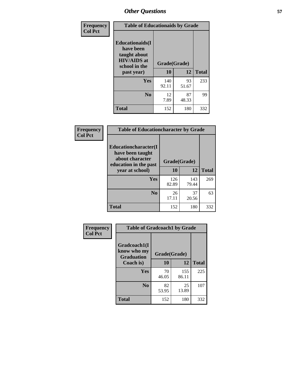| Frequency<br><b>Col Pct</b> | <b>Table of Educationaids by Grade</b>                                                                    |                    |             |              |
|-----------------------------|-----------------------------------------------------------------------------------------------------------|--------------------|-------------|--------------|
|                             | <b>Educationaids</b> (I<br>have been<br>taught about<br><b>HIV/AIDS</b> at<br>school in the<br>past year) | Grade(Grade)<br>10 | 12          | <b>Total</b> |
|                             | Yes                                                                                                       | 140<br>92.11       | 93<br>51.67 | 233          |
|                             | N <sub>0</sub>                                                                                            | 12<br>7.89         | 87<br>48.33 | 99           |
|                             | <b>Total</b>                                                                                              | 152                | 180         | 332          |

| Frequency      | <b>Table of Educationcharacter by Grade</b>      |              |              |              |
|----------------|--------------------------------------------------|--------------|--------------|--------------|
| <b>Col Pct</b> | <b>Educationcharacter(I)</b><br>have been taught |              |              |              |
|                | about character<br>education in the past         | Grade(Grade) |              |              |
|                | year at school)                                  | 10           | 12           | <b>Total</b> |
|                | Yes                                              | 126<br>82.89 | 143<br>79.44 | 269          |
|                | N <sub>0</sub>                                   | 26<br>17.11  | 37<br>20.56  | 63           |
|                | <b>Total</b>                                     | 152          | 180          | 332          |

| Frequency      | <b>Table of Gradcoach1 by Grade</b>              |              |              |              |
|----------------|--------------------------------------------------|--------------|--------------|--------------|
| <b>Col Pct</b> | Gradcoach1(I<br>know who my<br><b>Graduation</b> | Grade(Grade) |              |              |
|                | Coach is)                                        | 10           | 12           | <b>Total</b> |
|                | Yes                                              | 70<br>46.05  | 155<br>86.11 | 225          |
|                | N <sub>0</sub>                                   | 82<br>53.95  | 25<br>13.89  | 107          |
|                | <b>Total</b>                                     | 152          | 180          | 332          |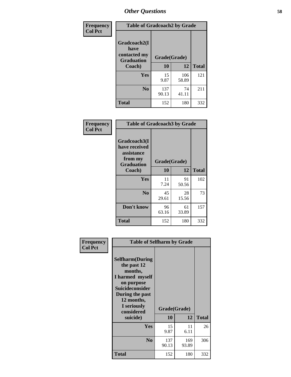| Frequency      | <b>Table of Gradcoach2 by Grade</b>       |              |              |              |
|----------------|-------------------------------------------|--------------|--------------|--------------|
| <b>Col Pct</b> |                                           |              |              |              |
|                | Gradcoach2(I                              |              |              |              |
|                | have<br>contacted my<br><b>Graduation</b> | Grade(Grade) |              |              |
|                | Coach)                                    | 10           | 12           | <b>Total</b> |
|                | Yes                                       | 15<br>9.87   | 106<br>58.89 | 121          |
|                | N <sub>0</sub>                            | 137<br>90.13 | 74<br>41.11  | 211          |
|                | <b>Total</b>                              | 152          | 180          | 332          |

| <b>Frequency</b><br><b>Col Pct</b> | <b>Table of Gradcoach3 by Grade</b>                                         |              |             |              |
|------------------------------------|-----------------------------------------------------------------------------|--------------|-------------|--------------|
|                                    | Gradcoach3(I<br>have received<br>assistance<br>from my<br><b>Graduation</b> | Grade(Grade) |             |              |
|                                    | Coach)                                                                      | 10           | 12          | <b>Total</b> |
|                                    | Yes                                                                         | 11<br>7.24   | 91<br>50.56 | 102          |
|                                    | N <sub>0</sub>                                                              | 45<br>29.61  | 28<br>15.56 | 73           |
|                                    | Don't know                                                                  | 96<br>63.16  | 61<br>33.89 | 157          |
|                                    | <b>Total</b>                                                                | 152          | 180         | 332          |

| Frequency<br><b>Col Pct</b> | <b>Table of Selfharm by Grade</b>                                                                                                                                                      |                    |              |              |  |
|-----------------------------|----------------------------------------------------------------------------------------------------------------------------------------------------------------------------------------|--------------------|--------------|--------------|--|
|                             | <b>Selfharm</b> (During<br>the past 12<br>months,<br>I harmed myself<br>on purpose<br><b>Suicideconsider</b><br>During the past<br>12 months,<br>I seriously<br>considered<br>suicide) | Grade(Grade)<br>10 | 12           | <b>Total</b> |  |
|                             |                                                                                                                                                                                        |                    |              |              |  |
|                             | Yes                                                                                                                                                                                    | 15<br>9.87         | 11<br>6.11   | 26           |  |
|                             | N <sub>0</sub>                                                                                                                                                                         | 137<br>90.13       | 169<br>93.89 | 306          |  |
|                             | <b>Total</b>                                                                                                                                                                           | 152                | 180          | 332          |  |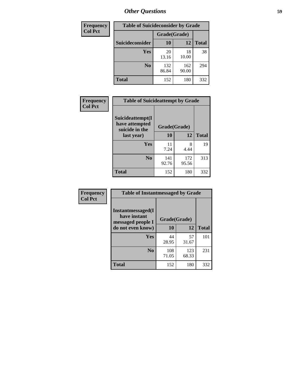| <b>Frequency</b> | <b>Table of Suicideconsider by Grade</b> |              |              |              |  |
|------------------|------------------------------------------|--------------|--------------|--------------|--|
| <b>Col Pct</b>   |                                          | Grade(Grade) |              |              |  |
|                  | Suicideconsider                          | <b>10</b>    | 12           | <b>Total</b> |  |
|                  | Yes                                      | 20<br>13.16  | 18<br>10.00  | 38           |  |
|                  | N <sub>0</sub>                           | 132<br>86.84 | 162<br>90.00 | 294          |  |
|                  | <b>Total</b>                             | 152          | 180          | 332          |  |

| Frequency<br><b>Col Pct</b> | <b>Table of Suicideattempt by Grade</b>              |              |              |              |
|-----------------------------|------------------------------------------------------|--------------|--------------|--------------|
|                             | Suicideattempt(I<br>have attempted<br>suicide in the | Grade(Grade) |              |              |
|                             | last year)                                           | 10           | 12           | <b>Total</b> |
|                             | Yes                                                  | 11<br>7.24   | 8<br>4.44    | 19           |
|                             | N <sub>0</sub>                                       | 141<br>92.76 | 172<br>95.56 | 313          |
|                             | <b>Total</b>                                         | 152          | 180          | 332          |

| Frequency      | <b>Table of Instantmessaged by Grade</b>                       |              |              |              |
|----------------|----------------------------------------------------------------|--------------|--------------|--------------|
| <b>Col Pct</b> | <b>Instantmessaged</b> (I<br>have instant<br>messaged people I | Grade(Grade) |              |              |
|                | do not even know)                                              | 10           | 12           | <b>Total</b> |
|                | Yes                                                            | 44<br>28.95  | 57<br>31.67  | 101          |
|                | N <sub>0</sub>                                                 | 108<br>71.05 | 123<br>68.33 | 231          |
|                | <b>Total</b>                                                   | 152          | 180          | 332          |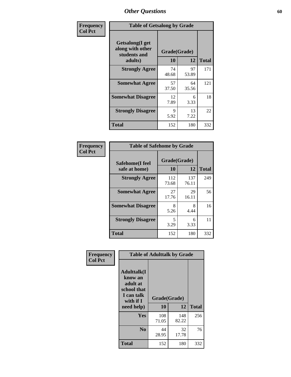| Frequency      | <b>Table of Getsalong by Grade</b>                          |              |             |              |
|----------------|-------------------------------------------------------------|--------------|-------------|--------------|
| <b>Col Pct</b> | <b>Getsalong</b> (I get<br>along with other<br>students and | Grade(Grade) |             |              |
|                | adults)                                                     | 10           | 12          | <b>Total</b> |
|                | <b>Strongly Agree</b>                                       | 74<br>48.68  | 97<br>53.89 | 171          |
|                | <b>Somewhat Agree</b>                                       | 57<br>37.50  | 64<br>35.56 | 121          |
|                | <b>Somewhat Disagree</b>                                    | 12<br>7.89   | 6<br>3.33   | 18           |
|                | <b>Strongly Disagree</b>                                    | 9<br>5.92    | 13<br>7.22  | 22           |
|                | <b>Total</b>                                                | 152          | 180         | 332          |

| Frequency      | <b>Table of Safehome by Grade</b> |                    |              |              |  |  |  |
|----------------|-----------------------------------|--------------------|--------------|--------------|--|--|--|
| <b>Col Pct</b> | Safehome(I feel<br>safe at home)  | Grade(Grade)<br>10 | 12           | <b>Total</b> |  |  |  |
|                | <b>Strongly Agree</b>             | 112<br>73.68       | 137<br>76.11 | 249          |  |  |  |
|                | <b>Somewhat Agree</b>             | 27<br>17.76        | 29<br>16.11  | 56           |  |  |  |
|                | <b>Somewhat Disagree</b>          | 8<br>5.26          | 8<br>4.44    | 16           |  |  |  |
|                | <b>Strongly Disagree</b>          | 5<br>3.29          | 6<br>3.33    | 11           |  |  |  |
|                | <b>Total</b>                      | 152                | 180          | 332          |  |  |  |

| Frequency      |                                                                                     | <b>Table of Adulttalk by Grade</b> |              |              |
|----------------|-------------------------------------------------------------------------------------|------------------------------------|--------------|--------------|
| <b>Col Pct</b> | <b>Adulttalk(I</b><br>know an<br>adult at<br>school that<br>I can talk<br>with if I | Grade(Grade)                       |              |              |
|                | need help)                                                                          | 10                                 | 12           | <b>Total</b> |
|                | <b>Yes</b>                                                                          | 108<br>71.05                       | 148<br>82.22 | 256          |
|                | N <sub>0</sub>                                                                      | 44<br>28.95                        | 32<br>17.78  | 76           |
|                | <b>Total</b>                                                                        | 152                                | 180          | 332          |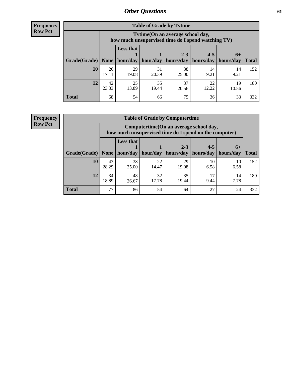**Frequency Row Pct**

| <b>Table of Grade by Tytime</b> |             |                                                                                         |             |             |             |             |              |  |  |
|---------------------------------|-------------|-----------------------------------------------------------------------------------------|-------------|-------------|-------------|-------------|--------------|--|--|
|                                 |             | Tytime (On an average school day,<br>how much unsupervised time do I spend watching TV) |             |             |             |             |              |  |  |
|                                 |             | <b>Less that</b>                                                                        |             | $2 - 3$     | $4 - 5$     | $6+$        |              |  |  |
| Grade(Grade)                    | None        | hour/day                                                                                | hour/day    | hours/day   | hours/day   | hours/day   | <b>Total</b> |  |  |
| 10                              | 26<br>17.11 | 29<br>19.08                                                                             | 31<br>20.39 | 38<br>25.00 | 14<br>9.21  | 14<br>9.21  | 152          |  |  |
| 12                              | 42<br>23.33 | 25<br>13.89                                                                             | 35<br>19.44 | 37<br>20.56 | 22<br>12.22 | 19<br>10.56 | 180          |  |  |
| <b>Total</b>                    | 68          | 54                                                                                      | 66          | 75          | 36          | 33          | 332          |  |  |

**Frequency Row Pct**

| <b>Table of Grade by Computertime</b> |             |                                                                                                   |                     |                      |                      |                   |              |  |  |
|---------------------------------------|-------------|---------------------------------------------------------------------------------------------------|---------------------|----------------------|----------------------|-------------------|--------------|--|--|
|                                       |             | Computertime (On an average school day,<br>how much unsupervised time do I spend on the computer) |                     |                      |                      |                   |              |  |  |
| Grade(Grade)                          | None $ $    | <b>Less that</b>                                                                                  | hour/day   hour/day | $2 - 3$<br>hours/day | $4 - 5$<br>hours/day | $6+$<br>hours/day | <b>Total</b> |  |  |
| 10                                    | 43<br>28.29 | 38<br>25.00                                                                                       | 22<br>14.47         | 29<br>19.08          | 10<br>6.58           | 10<br>6.58        | 152          |  |  |
| 12                                    | 34<br>18.89 | 32<br>35<br>48<br>17<br>14<br>17.78<br>9.44<br>7.78<br>19.44<br>26.67                             |                     |                      |                      |                   |              |  |  |
| <b>Total</b>                          | 77          | 86                                                                                                | 54                  | 64                   | 27                   | 24                | 332          |  |  |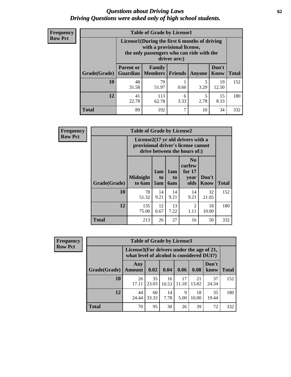#### *Questions about Driving Laws* **62** *Driving Questions were asked only of high school students.*

| <b>Frequency</b> |
|------------------|
| <b>Row Pct</b>   |

| <b>Table of Grade by License1</b> |                                                                     |                                                                                                                                           |                |           |               |              |  |  |  |
|-----------------------------------|---------------------------------------------------------------------|-------------------------------------------------------------------------------------------------------------------------------------------|----------------|-----------|---------------|--------------|--|--|--|
|                                   |                                                                     | License1(During the first 6 months of driving<br>with a provisional license,<br>the only passengers who can ride with the<br>driver are:) |                |           |               |              |  |  |  |
| Grade(Grade)                      | <b>Parent or</b><br>Guardian                                        | Family<br><b>Members</b>                                                                                                                  | <b>Friends</b> | Anyone    | Don't<br>Know | <b>Total</b> |  |  |  |
| 10                                | 48<br>31.58                                                         | 79<br>51.97                                                                                                                               | 0.66           | 5<br>3.29 | 19<br>12.50   | 152          |  |  |  |
| 12                                | 41<br>15<br>113<br>5<br>6<br>22.78<br>2.78<br>8.33<br>3.33<br>62.78 |                                                                                                                                           |                |           |               |              |  |  |  |
| <b>Total</b>                      | 89                                                                  | 192                                                                                                                                       | ┑              | 10        | 34            | 332          |  |  |  |

| <b>Frequency</b> | <b>Table of Grade by License2</b> |                                                                                                          |                              |                  |                                                      |               |              |  |
|------------------|-----------------------------------|----------------------------------------------------------------------------------------------------------|------------------------------|------------------|------------------------------------------------------|---------------|--------------|--|
| <b>Row Pct</b>   |                                   | License2(17 yr old drivers with a<br>provisional driver's license cannot<br>drive between the hours of:) |                              |                  |                                                      |               |              |  |
|                  | Grade(Grade)                      | <b>Midnight</b><br>to 6am                                                                                | 1am<br>t <sub>0</sub><br>5am | 1am<br>to<br>6am | N <sub>0</sub><br>curfew<br>for $17$<br>vear<br>olds | Don't<br>Know | <b>Total</b> |  |
|                  | 10                                | 78<br>51.32                                                                                              | 14<br>9.21                   | 14<br>9.21       | 14<br>9.21                                           | 32<br>21.05   | 152          |  |
|                  | 12                                | 135<br>75.00                                                                                             | 12<br>6.67                   | 13<br>7.22       | $\overline{2}$<br>1.11                               | 18<br>10.00   | 180          |  |
|                  | <b>Total</b>                      | 213                                                                                                      | 26                           | 27               | 16                                                   | 50            | 332          |  |

| <b>Frequency</b> | <b>Table of Grade by License3</b> |                                                                                        |             |             |             |             |               |              |
|------------------|-----------------------------------|----------------------------------------------------------------------------------------|-------------|-------------|-------------|-------------|---------------|--------------|
| <b>Row Pct</b>   |                                   | License3(For drivers under the age of 21,<br>what level of alcohol is considered DUI?) |             |             |             |             |               |              |
|                  | Grade(Grade)                      | Any<br><b>Amount</b>                                                                   | 0.02        | 0.04        | 0.06        | 0.08        | Don't<br>know | <b>Total</b> |
|                  | <b>10</b>                         | 26<br>17.11                                                                            | 35<br>23.03 | 16<br>10.53 | 17<br>11.18 | 21<br>13.82 | 37<br>24.34   | 152          |
|                  | 12                                | 44<br>24.44                                                                            | 60<br>33.33 | 14<br>7.78  | Q<br>5.00   | 18<br>10.00 | 35<br>19.44   | 180          |
|                  | Total                             | 70                                                                                     | 95          | 30          | 26          | 39          | 72            | 332          |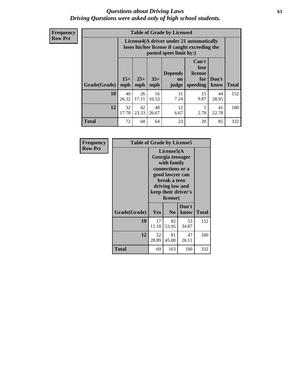#### *Questions about Driving Laws* **63** *Driving Questions were asked only of high school students.*

**Frequency Row Pct**

| <b>Table of Grade by License4</b> |             |                                                                                                                                                                                                                                                                                       |             |            |            |             |     |  |  |
|-----------------------------------|-------------|---------------------------------------------------------------------------------------------------------------------------------------------------------------------------------------------------------------------------------------------------------------------------------------|-------------|------------|------------|-------------|-----|--|--|
|                                   |             | License4(A driver under 21 automatically<br>loses his/her license if caught exceeding the<br>posted speet limit by:)<br>Can't<br>lose<br><b>Depends</b><br>license<br>$15+$<br>$25+$<br>$35+$<br>Don't<br>for<br><b>on</b><br>mph<br>speeding<br><b>Total</b><br>judge<br>know<br>mph |             |            |            |             |     |  |  |
| Grade(Grade)                      | mph         |                                                                                                                                                                                                                                                                                       |             |            |            |             |     |  |  |
| 10                                | 40<br>26.32 | 26<br>17.11                                                                                                                                                                                                                                                                           | 16<br>10.53 | 11<br>7.24 | 15<br>9.87 | 44<br>28.95 | 152 |  |  |
| 12                                | 32<br>17.78 | 42<br>48<br>12<br>5<br>41<br>2.78<br>23.33<br>22.78<br>6.67<br>26.67                                                                                                                                                                                                                  |             |            |            |             |     |  |  |
| <b>Total</b>                      | 72          | 68                                                                                                                                                                                                                                                                                    | 64          | 23         | 20         | 85          | 332 |  |  |

| Frequency<br><b>Row Pct</b> | <b>Table of Grade by License5</b> |             | License5(A<br>Georgia teenager<br>with family                                      |                     |       |  |  |  |
|-----------------------------|-----------------------------------|-------------|------------------------------------------------------------------------------------|---------------------|-------|--|--|--|
|                             |                                   |             | connections or a<br>good lawyer can<br>break a teen<br>driving law and<br>license) | keep their driver's |       |  |  |  |
|                             | Grade(Grade)                      | <b>Yes</b>  | N <sub>0</sub>                                                                     | Don't<br>know       | Total |  |  |  |
|                             | 10                                | 17<br>11.18 | 82<br>53.95                                                                        | 53<br>34.87         | 152   |  |  |  |
|                             | 12                                | 52<br>28.89 | 81<br>45.00                                                                        | 47<br>26.11         | 180   |  |  |  |
|                             | <b>Total</b>                      | 69          | 163                                                                                | 100                 | 332   |  |  |  |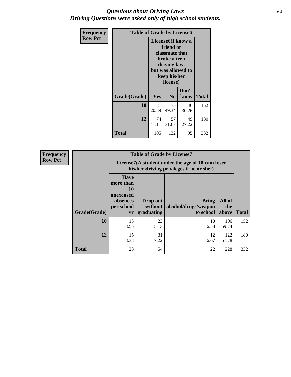#### *Questions about Driving Laws* **64** *Driving Questions were asked only of high school students.*

| <b>Frequency</b> |              | <b>Table of Grade by License6</b> |                                                                                                                           |                    |              |  |  |
|------------------|--------------|-----------------------------------|---------------------------------------------------------------------------------------------------------------------------|--------------------|--------------|--|--|
| <b>Row Pct</b>   |              |                                   | License <sub>6</sub> (I know a<br>friend or<br>classmate that<br>broke a teen<br>driving law,<br>keep his/her<br>license) | but was allowed to |              |  |  |
|                  | Grade(Grade) | <b>Yes</b>                        | N <sub>0</sub>                                                                                                            | Don't<br>know      | <b>Total</b> |  |  |
|                  | 10           | 31<br>20.39                       | 75<br>49.34                                                                                                               | 46<br>30.26        | 152          |  |  |
|                  | 12           | 74<br>41.11                       | 57<br>31.67                                                                                                               | 49<br>27.22        | 180          |  |  |
|                  | Total        | 105                               | 132                                                                                                                       | 95                 | 332          |  |  |

| <b>Frequency</b> | <b>Table of Grade by License7</b> |            |                                                                                               |                                                   |                        |              |  |  |  |
|------------------|-----------------------------------|------------|-----------------------------------------------------------------------------------------------|---------------------------------------------------|------------------------|--------------|--|--|--|
| <b>Row Pct</b>   |                                   |            | License7(A student under the age of 18 cam loser<br>his/her driving privileges if he or she:) |                                                   |                        |              |  |  |  |
|                  | Grade(Grade)                      |            | Drop out<br>without<br>graduating                                                             | <b>Bring</b><br>alcohol/drugs/weapon<br>to school | All of<br>the<br>above | <b>Total</b> |  |  |  |
|                  | 10                                | 13<br>8.55 | 23<br>15.13                                                                                   | 10<br>6.58                                        | 106<br>69.74           | 152          |  |  |  |
|                  | 12                                | 15<br>8.33 | 31<br>17.22                                                                                   | 12<br>6.67                                        | 122<br>67.78           | 180          |  |  |  |
|                  | <b>Total</b>                      | 28         | 54                                                                                            | 22                                                | 228                    | 332          |  |  |  |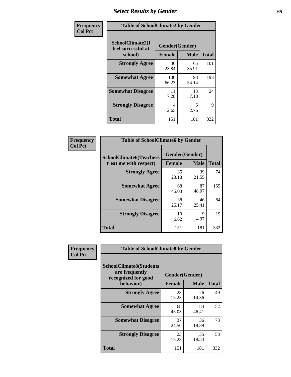## *Select Results by Gender* **65**

| Frequency      | <b>Table of SchoolClimate2 by Gender</b>          |                                 |             |              |  |
|----------------|---------------------------------------------------|---------------------------------|-------------|--------------|--|
| <b>Col Pct</b> | SchoolClimate2(I<br>feel successful at<br>school) | Gender(Gender)<br><b>Female</b> | <b>Male</b> | <b>Total</b> |  |
|                | <b>Strongly Agree</b>                             | 36<br>23.84                     | 65<br>35.91 | 101          |  |
|                | <b>Somewhat Agree</b>                             | 100<br>66.23                    | 98<br>54.14 | 198          |  |
|                | <b>Somewhat Disagree</b>                          | 11<br>7.28                      | 13<br>7.18  | 24           |  |
|                | <b>Strongly Disagree</b>                          | 4<br>2.65                       | 5<br>2.76   | 9            |  |
|                | <b>Total</b>                                      | 151                             | 181         | 332          |  |

| Frequency      | <b>Table of SchoolClimate6 by Gender</b>                 |                                 |             |              |  |
|----------------|----------------------------------------------------------|---------------------------------|-------------|--------------|--|
| <b>Col Pct</b> | <b>SchoolClimate6(Teachers</b><br>treat me with respect) | Gender(Gender)<br><b>Female</b> | <b>Male</b> | <b>Total</b> |  |
|                | <b>Strongly Agree</b>                                    | 35<br>23.18                     | 39<br>21.55 | 74           |  |
|                | <b>Somewhat Agree</b>                                    | 68<br>45.03                     | 87<br>48.07 | 155          |  |
|                | <b>Somewhat Disagree</b>                                 | 38<br>25.17                     | 46<br>25.41 | 84           |  |
|                | <b>Strongly Disagree</b>                                 | 10<br>6.62                      | 9<br>4.97   | 19           |  |
|                | Total                                                    | 151                             | 181         | 332          |  |

| Frequency      | <b>Table of SchoolClimate8 by Gender</b>                                             |                                 |             |              |
|----------------|--------------------------------------------------------------------------------------|---------------------------------|-------------|--------------|
| <b>Col Pct</b> | <b>SchoolClimate8(Students</b><br>are frequently<br>recognized for good<br>behavior) | Gender(Gender)<br><b>Female</b> | <b>Male</b> | <b>Total</b> |
|                | <b>Strongly Agree</b>                                                                | 23<br>15.23                     | 26<br>14.36 | 49           |
|                | <b>Somewhat Agree</b>                                                                | 68<br>45.03                     | 84<br>46.41 | 152          |
|                | <b>Somewhat Disagree</b>                                                             | 37<br>24.50                     | 36<br>19.89 | 73           |
|                | <b>Strongly Disagree</b>                                                             | 23<br>15.23                     | 35<br>19.34 | 58           |
|                | Total                                                                                | 151                             | 181         | 332          |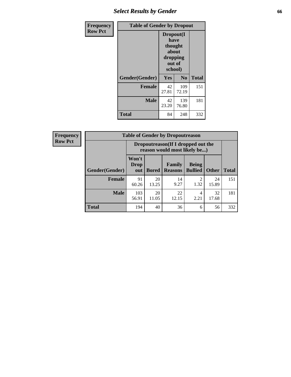## *Select Results by Gender* **66**

| <b>Frequency</b> | <b>Table of Gender by Dropout</b> |                                                                        |              |              |
|------------------|-----------------------------------|------------------------------------------------------------------------|--------------|--------------|
| <b>Row Pct</b>   |                                   | Dropout(I<br>have<br>thought<br>about<br>dropping<br>out of<br>school) |              |              |
|                  | Gender(Gender)                    | Yes                                                                    | No           | <b>Total</b> |
|                  | <b>Female</b>                     | 42<br>27.81                                                            | 109<br>72.19 | 151          |
|                  | <b>Male</b>                       | 42<br>23.20                                                            | 139<br>76.80 | 181          |
|                  | <b>Total</b>                      | 84                                                                     | 248          | 332          |

| <b>Frequency</b> |                | <b>Table of Gender by Dropoutreason</b>                             |              |                          |                                |              |              |
|------------------|----------------|---------------------------------------------------------------------|--------------|--------------------------|--------------------------------|--------------|--------------|
| <b>Row Pct</b>   |                | Dropoutreason (If I dropped out the<br>reason would most likely be) |              |                          |                                |              |              |
|                  | Gender(Gender) | Won't<br><b>Drop</b><br>out                                         | <b>Bored</b> | Family<br><b>Reasons</b> | <b>Being</b><br><b>Bullied</b> | <b>Other</b> | <b>Total</b> |
|                  | Female         | 91<br>60.26                                                         | 20<br>13.25  | 14<br>9.27               | ↑<br>1.32                      | 24<br>15.89  | 151          |
|                  | <b>Male</b>    | 103<br>56.91                                                        | 20<br>11.05  | 22<br>12.15              | 4<br>2.21                      | 32<br>17.68  | 181          |
|                  | <b>Total</b>   | 194                                                                 | 40           | 36                       | 6                              | 56           | 332          |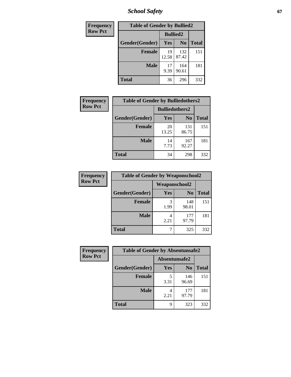*School Safety* **67**

| Frequency      | <b>Table of Gender by Bullied2</b> |                 |                |              |
|----------------|------------------------------------|-----------------|----------------|--------------|
| <b>Row Pct</b> |                                    | <b>Bullied2</b> |                |              |
|                | Gender(Gender)                     | Yes             | N <sub>0</sub> | <b>Total</b> |
|                | <b>Female</b>                      | 19<br>12.58     | 132<br>87.42   | 151          |
|                | <b>Male</b>                        | 17<br>9.39      | 164<br>90.61   | 181          |
|                | <b>Total</b>                       | 36              | 296            | 332          |

| Frequency      | <b>Table of Gender by Bulliedothers2</b> |                       |                |              |
|----------------|------------------------------------------|-----------------------|----------------|--------------|
| <b>Row Pct</b> |                                          | <b>Bulliedothers2</b> |                |              |
|                | Gender(Gender)                           | Yes                   | N <sub>0</sub> | <b>Total</b> |
|                | <b>Female</b>                            | 20<br>13.25           | 131<br>86.75   | 151          |
|                | <b>Male</b>                              | 14<br>7.73            | 167<br>92.27   | 181          |
|                | <b>Total</b>                             | 34                    | 298            | 332          |

| Frequency      | <b>Table of Gender by Weaponschool2</b> |                      |                |              |
|----------------|-----------------------------------------|----------------------|----------------|--------------|
| <b>Row Pct</b> |                                         | <b>Weaponschool2</b> |                |              |
|                | Gender(Gender)                          | Yes                  | N <sub>0</sub> | <b>Total</b> |
|                | <b>Female</b>                           | 3<br>1.99            | 148<br>98.01   | 151          |
|                | <b>Male</b>                             | 2.21                 | 177<br>97.79   | 181          |
|                | <b>Total</b>                            |                      | 325            | 332          |

| Frequency      | <b>Table of Gender by Absentunsafe2</b> |               |                |              |  |
|----------------|-----------------------------------------|---------------|----------------|--------------|--|
| <b>Row Pct</b> |                                         | Absentunsafe2 |                |              |  |
|                | Gender(Gender)                          | Yes           | N <sub>0</sub> | <b>Total</b> |  |
|                | <b>Female</b>                           | 3.31          | 146<br>96.69   | 151          |  |
|                | <b>Male</b>                             | 2.21          | 177<br>97.79   | 181          |  |
|                | <b>Total</b>                            | Q             | 323            | 332          |  |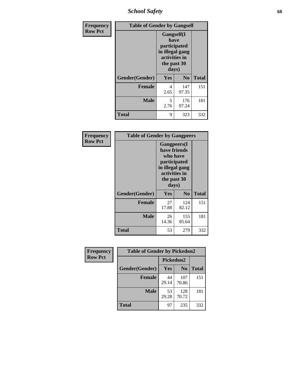*School Safety* **68**

| Frequency      | <b>Table of Gender by Gangself</b> |                                                                                                        |                |              |
|----------------|------------------------------------|--------------------------------------------------------------------------------------------------------|----------------|--------------|
| <b>Row Pct</b> |                                    | <b>Gangself</b> (I<br>have<br>participated<br>in illegal gang<br>activities in<br>the past 30<br>days) |                |              |
|                | Gender(Gender)                     | Yes                                                                                                    | N <sub>0</sub> | <b>Total</b> |
|                | <b>Female</b>                      | 4<br>2.65                                                                                              | 147<br>97.35   | 151          |
|                | <b>Male</b>                        | 5<br>2.76                                                                                              | 176<br>97.24   | 181          |
|                | <b>Total</b>                       | 9                                                                                                      | 323            | 332          |

| Frequency      |                | <b>Table of Gender by Gangpeers</b>                                                                                         |                |              |
|----------------|----------------|-----------------------------------------------------------------------------------------------------------------------------|----------------|--------------|
| <b>Row Pct</b> |                | <b>Gangpeers</b> (I<br>have friends<br>who have<br>participated<br>in illegal gang<br>activities in<br>the past 30<br>days) |                |              |
|                | Gender(Gender) | <b>Yes</b>                                                                                                                  | N <sub>0</sub> | <b>Total</b> |
|                | <b>Female</b>  | 27<br>17.88                                                                                                                 | 124<br>82.12   | 151          |
|                | <b>Male</b>    | 26<br>14.36                                                                                                                 | 155<br>85.64   | 181          |
|                | Total          | 53                                                                                                                          | 279            | 332          |

| Frequency      | <b>Table of Gender by Pickedon2</b> |             |                |              |
|----------------|-------------------------------------|-------------|----------------|--------------|
| <b>Row Pct</b> |                                     | Pickedon2   |                |              |
|                | Gender(Gender)                      | Yes         | N <sub>0</sub> | <b>Total</b> |
|                | <b>Female</b>                       | 44<br>29.14 | 107<br>70.86   | 151          |
|                | <b>Male</b>                         | 53<br>29.28 | 128<br>70.72   | 181          |
|                | <b>Total</b>                        | 97          | 235            | 332          |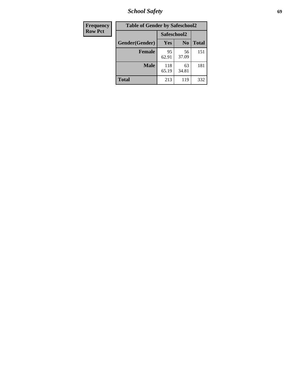*School Safety* **69**

| Frequency      | <b>Table of Gender by Safeschool2</b> |              |                |              |  |
|----------------|---------------------------------------|--------------|----------------|--------------|--|
| <b>Row Pct</b> |                                       | Safeschool2  |                |              |  |
|                | Gender(Gender)                        | <b>Yes</b>   | N <sub>0</sub> | <b>Total</b> |  |
|                | <b>Female</b>                         | 95<br>62.91  | 56<br>37.09    | 151          |  |
|                | <b>Male</b>                           | 118<br>65.19 | 63<br>34.81    | 181          |  |
|                | <b>Total</b>                          | 213          | 119            | 332          |  |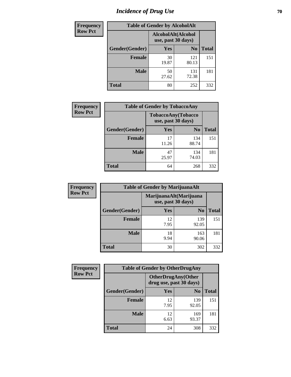# *Incidence of Drug Use* **70**

| <b>Frequency</b> | <b>Table of Gender by AlcoholAlt</b>     |             |                |              |
|------------------|------------------------------------------|-------------|----------------|--------------|
| <b>Row Pct</b>   | AlcoholAlt(Alcohol<br>use, past 30 days) |             |                |              |
|                  | Gender(Gender)                           | Yes         | N <sub>0</sub> | <b>Total</b> |
|                  | <b>Female</b>                            | 30<br>19.87 | 121<br>80.13   | 151          |
|                  | <b>Male</b>                              | 50<br>27.62 | 131<br>72.38   | 181          |
|                  | <b>Total</b>                             | 80          | 252            | 332          |

| <b>Frequency</b> | <b>Table of Gender by TobaccoAny</b> |                                          |                |              |  |
|------------------|--------------------------------------|------------------------------------------|----------------|--------------|--|
| <b>Row Pct</b>   |                                      | TobaccoAny(Tobacco<br>use, past 30 days) |                |              |  |
|                  | Gender(Gender)                       | Yes                                      | N <sub>0</sub> | <b>Total</b> |  |
|                  | <b>Female</b>                        | 17<br>11.26                              | 134<br>88.74   | 151          |  |
|                  | <b>Male</b>                          | 47<br>25.97                              | 134<br>74.03   | 181          |  |
|                  | <b>Total</b>                         | 64                                       | 268            | 332          |  |

| <b>Frequency</b> | <b>Table of Gender by MarijuanaAlt</b> |                    |                        |              |  |
|------------------|----------------------------------------|--------------------|------------------------|--------------|--|
| <b>Row Pct</b>   |                                        | use, past 30 days) | MarijuanaAlt(Marijuana |              |  |
|                  | Gender(Gender)                         | <b>Yes</b>         | N <sub>0</sub>         | <b>Total</b> |  |
|                  | <b>Female</b>                          | 12<br>7.95         | 139<br>92.05           | 151          |  |
|                  | <b>Male</b>                            | 18<br>9.94         | 163<br>90.06           | 181          |  |
|                  | <b>Total</b>                           | 30                 | 302                    | 332          |  |

| <b>Frequency</b> | <b>Table of Gender by OtherDrugAny</b> |                                                      |                |              |  |
|------------------|----------------------------------------|------------------------------------------------------|----------------|--------------|--|
| <b>Row Pct</b>   |                                        | <b>OtherDrugAny(Other</b><br>drug use, past 30 days) |                |              |  |
|                  | Gender(Gender)                         | <b>Yes</b>                                           | N <sub>0</sub> | <b>Total</b> |  |
|                  | <b>Female</b>                          | 12<br>7.95                                           | 139<br>92.05   | 151          |  |
|                  | <b>Male</b>                            | 12<br>6.63                                           | 169<br>93.37   | 181          |  |
|                  | <b>Total</b>                           | 24                                                   | 308            | 332          |  |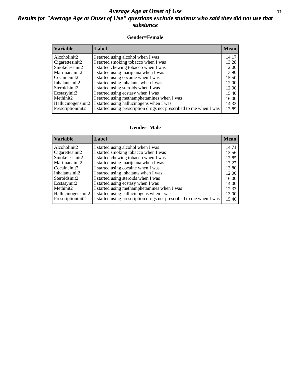#### *Average Age at Onset of Use* **71** *Results for "Average Age at Onset of Use" questions exclude students who said they did not use that substance*

#### **Gender=Female**

| <b>Variable</b>    | Label                                                              | <b>Mean</b> |
|--------------------|--------------------------------------------------------------------|-------------|
| Alcoholinit2       | I started using alcohol when I was                                 | 14.17       |
| Cigarettesinit2    | I started smoking tobacco when I was                               | 13.28       |
| Smokelessinit2     | I started chewing tobacco when I was                               | 12.00       |
| Marijuanainit2     | I started using marijuana when I was                               | 13.90       |
| Cocaineinit2       | I started using cocaine when I was                                 | 15.50       |
| Inhalantsinit2     | I started using inhalants when I was                               | 12.00       |
| Steroidsinit2      | I started using steroids when I was                                | 12.00       |
| Ecstasyinit2       | I started using ecstasy when I was                                 | 15.40       |
| Methinit2          | I started using methamphetamines when I was                        | 16.00       |
| Hallucinogensinit2 | I started using hallucinogens when I was                           | 14.33       |
| Prescriptioninit2  | I started using prescription drugs not prescribed to me when I was | 13.89       |

#### **Gender=Male**

| <b>Variable</b>    | Label                                                              | <b>Mean</b> |
|--------------------|--------------------------------------------------------------------|-------------|
| Alcoholinit2       | I started using alcohol when I was                                 | 14.71       |
| Cigarettesinit2    | I started smoking tobacco when I was                               | 13.56       |
| Smokelessinit2     | I started chewing tobacco when I was                               | 13.85       |
| Marijuanainit2     | I started using marijuana when I was                               | 13.27       |
| Cocaineinit2       | I started using cocaine when I was                                 | 13.80       |
| Inhalantsinit2     | I started using inhalants when I was                               | 12.00       |
| Steroidsinit2      | I started using steroids when I was                                | 16.00       |
| Ecstasyinit2       | I started using ecstasy when I was                                 | 14.00       |
| Methinit2          | I started using methamphetamines when I was                        | 12.33       |
| Hallucinogensinit2 | I started using hallucinogens when I was                           | 13.00       |
| Prescription in t2 | I started using prescription drugs not prescribed to me when I was | 15.40       |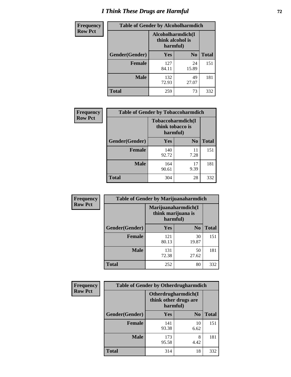# *I Think These Drugs are Harmful* **72**

| <b>Frequency</b> | <b>Table of Gender by Alcoholharmdich</b> |                                                   |                |              |  |
|------------------|-------------------------------------------|---------------------------------------------------|----------------|--------------|--|
| <b>Row Pct</b>   |                                           | Alcoholharmdich(I<br>think alcohol is<br>harmful) |                |              |  |
|                  | <b>Gender</b> (Gender)                    | Yes                                               | N <sub>0</sub> | <b>Total</b> |  |
|                  | Female                                    | 127<br>84.11                                      | 24<br>15.89    | 151          |  |
|                  | <b>Male</b>                               | 132<br>72.93                                      | 49<br>27.07    | 181          |  |
|                  | <b>Total</b>                              | 259                                               | 73             | 332          |  |

| Frequency      | <b>Table of Gender by Tobaccoharmdich</b> |                                                   |                |              |  |
|----------------|-------------------------------------------|---------------------------------------------------|----------------|--------------|--|
| <b>Row Pct</b> |                                           | Tobaccoharmdich(I<br>think tobacco is<br>harmful) |                |              |  |
|                | Gender(Gender)                            | Yes                                               | N <sub>0</sub> | <b>Total</b> |  |
|                | <b>Female</b>                             | 140<br>92.72                                      | 11<br>7.28     | 151          |  |
|                | <b>Male</b>                               | 164<br>90.61                                      | 17<br>9.39     | 181          |  |
|                | <b>Total</b>                              | 304                                               | 28             | 332          |  |

| Frequency      | <b>Table of Gender by Marijuanaharmdich</b> |                                                       |                |              |  |
|----------------|---------------------------------------------|-------------------------------------------------------|----------------|--------------|--|
| <b>Row Pct</b> |                                             | Marijuanaharmdich(I<br>think marijuana is<br>harmful) |                |              |  |
|                | Gender(Gender)                              | <b>Yes</b>                                            | N <sub>0</sub> | <b>Total</b> |  |
|                | <b>Female</b>                               | 121<br>80.13                                          | 30<br>19.87    | 151          |  |
|                | <b>Male</b>                                 | 131<br>72.38                                          | 50<br>27.62    | 181          |  |
|                | <b>Total</b>                                | 252                                                   | 80             | 332          |  |

| <b>Frequency</b> | <b>Table of Gender by Otherdrugharmdich</b> |                                                          |                |              |  |
|------------------|---------------------------------------------|----------------------------------------------------------|----------------|--------------|--|
| <b>Row Pct</b>   |                                             | Otherdrugharmdich(I<br>think other drugs are<br>harmful) |                |              |  |
|                  | Gender(Gender)                              | <b>Yes</b>                                               | N <sub>0</sub> | <b>Total</b> |  |
|                  | <b>Female</b>                               | 141<br>93.38                                             | 10<br>6.62     | 151          |  |
|                  | <b>Male</b>                                 | 173<br>95.58                                             | 8<br>4.42      | 181          |  |
|                  | <b>Total</b>                                | 314                                                      | 18             | 332          |  |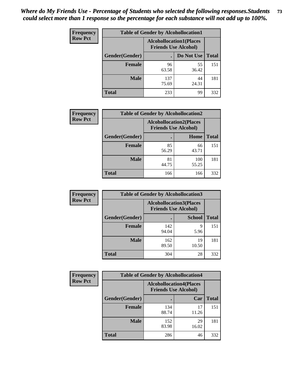| <b>Frequency</b> | <b>Table of Gender by Alcohollocation1</b> |                                                               |             |              |
|------------------|--------------------------------------------|---------------------------------------------------------------|-------------|--------------|
| <b>Row Pct</b>   |                                            | <b>Alcohollocation1(Places</b><br><b>Friends Use Alcohol)</b> |             |              |
|                  | Gender(Gender)                             |                                                               | Do Not Use  | <b>Total</b> |
|                  | <b>Female</b>                              | 96<br>63.58                                                   | 55<br>36.42 | 151          |
|                  | <b>Male</b>                                | 137<br>75.69                                                  | 44<br>24.31 | 181          |
|                  | <b>Total</b>                               | 233                                                           | 99          | 332          |

| <b>Frequency</b> | <b>Table of Gender by Alcohollocation2</b> |                                                               |              |              |
|------------------|--------------------------------------------|---------------------------------------------------------------|--------------|--------------|
| <b>Row Pct</b>   |                                            | <b>Alcohollocation2(Places</b><br><b>Friends Use Alcohol)</b> |              |              |
|                  | <b>Gender</b> (Gender)                     |                                                               | Home         | <b>Total</b> |
|                  | <b>Female</b>                              | 85<br>56.29                                                   | 66<br>43.71  | 151          |
|                  | <b>Male</b>                                | 81<br>44.75                                                   | 100<br>55.25 | 181          |
|                  | <b>Total</b>                               | 166                                                           | 166          | 332          |

| Frequency      | <b>Table of Gender by Alcohollocation3</b> |                                                               |               |              |
|----------------|--------------------------------------------|---------------------------------------------------------------|---------------|--------------|
| <b>Row Pct</b> |                                            | <b>Alcohollocation3(Places</b><br><b>Friends Use Alcohol)</b> |               |              |
|                | Gender(Gender)                             |                                                               | <b>School</b> | <b>Total</b> |
|                | <b>Female</b>                              | 142<br>94.04                                                  | q<br>5.96     | 151          |
|                | <b>Male</b>                                | 162<br>89.50                                                  | 19<br>10.50   | 181          |
|                | <b>Total</b>                               | 304                                                           | 28            | 332          |

| Frequency      | <b>Table of Gender by Alcohollocation4</b> |                                                               |             |              |
|----------------|--------------------------------------------|---------------------------------------------------------------|-------------|--------------|
| <b>Row Pct</b> |                                            | <b>Alcohollocation4(Places</b><br><b>Friends Use Alcohol)</b> |             |              |
|                | Gender(Gender)                             |                                                               | Car         | <b>Total</b> |
|                | Female                                     | 134<br>88.74                                                  | 17<br>11.26 | 151          |
|                | <b>Male</b>                                | 152<br>83.98                                                  | 29<br>16.02 | 181          |
|                | <b>Total</b>                               | 286                                                           | 46          | 332          |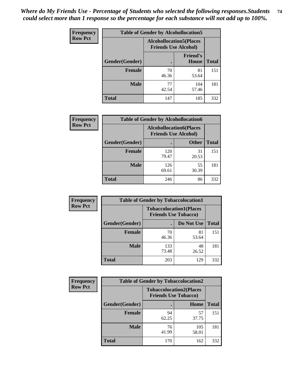| <b>Frequency</b> |                | <b>Table of Gender by Alcohollocation5</b> |                                                                |              |
|------------------|----------------|--------------------------------------------|----------------------------------------------------------------|--------------|
| <b>Row Pct</b>   |                |                                            | <b>Alcohollocation5</b> (Places<br><b>Friends Use Alcohol)</b> |              |
|                  | Gender(Gender) | ٠                                          | <b>Friend's</b><br>House                                       | <b>Total</b> |
|                  | <b>Female</b>  | 70<br>46.36                                | 81<br>53.64                                                    | 151          |
|                  | <b>Male</b>    | 77<br>42.54                                | 104<br>57.46                                                   | 181          |
|                  | <b>Total</b>   | 147                                        | 185                                                            | 332          |

| <b>Frequency</b> | <b>Table of Gender by Alcohollocation6</b> |                                                               |              |              |
|------------------|--------------------------------------------|---------------------------------------------------------------|--------------|--------------|
| <b>Row Pct</b>   |                                            | <b>Alcohollocation6(Places</b><br><b>Friends Use Alcohol)</b> |              |              |
|                  | <b>Gender</b> (Gender)                     |                                                               | <b>Other</b> | <b>Total</b> |
|                  | <b>Female</b>                              | 120<br>79.47                                                  | 31<br>20.53  | 151          |
|                  | <b>Male</b>                                | 126<br>69.61                                                  | 55<br>30.39  | 181          |
|                  | <b>Total</b>                               | 246                                                           | 86           | 332          |

| Frequency      | <b>Table of Gender by Tobaccolocation1</b> |                                                               |             |              |  |
|----------------|--------------------------------------------|---------------------------------------------------------------|-------------|--------------|--|
| <b>Row Pct</b> |                                            | <b>Tobaccolocation1(Places</b><br><b>Friends Use Tobacco)</b> |             |              |  |
|                | Gender(Gender)                             |                                                               | Do Not Use  | <b>Total</b> |  |
|                | <b>Female</b>                              | 70<br>46.36                                                   | 81<br>53.64 | 151          |  |
|                | <b>Male</b>                                | 133<br>73.48                                                  | 48<br>26.52 | 181          |  |
|                | <b>Total</b>                               | 203                                                           | 129         | 332          |  |

| <b>Frequency</b> |                | <b>Table of Gender by Tobaccolocation2</b>                    |              |              |
|------------------|----------------|---------------------------------------------------------------|--------------|--------------|
| <b>Row Pct</b>   |                | <b>Tobaccolocation2(Places</b><br><b>Friends Use Tobacco)</b> |              |              |
|                  | Gender(Gender) |                                                               | Home         | <b>Total</b> |
|                  | Female         | 94<br>62.25                                                   | 57<br>37.75  | 151          |
|                  | <b>Male</b>    | 76<br>41.99                                                   | 105<br>58.01 | 181          |
|                  | <b>Total</b>   | 170                                                           | 162          | 332          |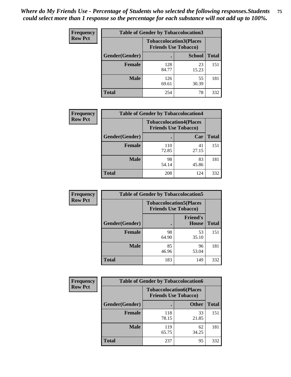| <b>Frequency</b> | <b>Table of Gender by Tobaccolocation3</b> |              |                                                               |              |
|------------------|--------------------------------------------|--------------|---------------------------------------------------------------|--------------|
| <b>Row Pct</b>   |                                            |              | <b>Tobaccolocation3(Places</b><br><b>Friends Use Tobacco)</b> |              |
|                  | Gender(Gender)                             |              | <b>School</b>                                                 | <b>Total</b> |
|                  | <b>Female</b>                              | 128<br>84.77 | 23<br>15.23                                                   | 151          |
|                  | <b>Male</b>                                | 126<br>69.61 | 55<br>30.39                                                   | 181          |
|                  | Total                                      | 254          | 78                                                            | 332          |

| <b>Frequency</b> | <b>Table of Gender by Tobaccolocation4</b> |                             |                                |              |
|------------------|--------------------------------------------|-----------------------------|--------------------------------|--------------|
| <b>Row Pct</b>   |                                            | <b>Friends Use Tobacco)</b> | <b>Tobaccolocation4(Places</b> |              |
|                  | Gender(Gender)                             |                             | Car                            | <b>Total</b> |
|                  | <b>Female</b>                              | 110<br>72.85                | 41<br>27.15                    | 151          |
|                  | <b>Male</b>                                | 98<br>54.14                 | 83<br>45.86                    | 181          |
|                  | <b>Total</b>                               | 208                         | 124                            | 332          |

| <b>Frequency</b> | <b>Table of Gender by Tobaccolocation5</b> |                             |                                 |              |
|------------------|--------------------------------------------|-----------------------------|---------------------------------|--------------|
| <b>Row Pct</b>   |                                            | <b>Friends Use Tobacco)</b> | <b>Tobaccolocation5(Places</b>  |              |
|                  | Gender(Gender)                             |                             | <b>Friend's</b><br><b>House</b> | <b>Total</b> |
|                  | <b>Female</b>                              | 98<br>64.90                 | 53<br>35.10                     | 151          |
|                  | <b>Male</b>                                | 85<br>46.96                 | 96<br>53.04                     | 181          |
|                  | <b>Total</b>                               | 183                         | 149                             | 332          |

| <b>Frequency</b> | <b>Table of Gender by Tobaccolocation6</b> |                                                               |              |              |
|------------------|--------------------------------------------|---------------------------------------------------------------|--------------|--------------|
| <b>Row Pct</b>   |                                            | <b>Tobaccolocation6(Places</b><br><b>Friends Use Tobacco)</b> |              |              |
|                  | Gender(Gender)                             |                                                               | <b>Other</b> | <b>Total</b> |
|                  | Female                                     | 118<br>78.15                                                  | 33<br>21.85  | 151          |
|                  | <b>Male</b>                                | 119<br>65.75                                                  | 62<br>34.25  | 181          |
|                  | <b>Total</b>                               | 237                                                           | 95           | 332          |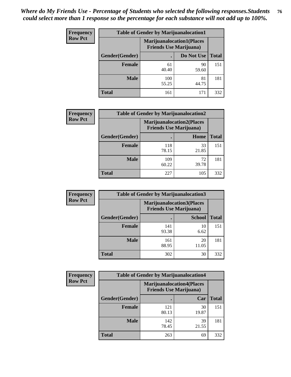| <b>Frequency</b> | <b>Table of Gender by Marijuanalocation1</b> |                                                                    |             |              |
|------------------|----------------------------------------------|--------------------------------------------------------------------|-------------|--------------|
| <b>Row Pct</b>   |                                              | <b>Marijuanalocation1(Places</b><br><b>Friends Use Marijuana</b> ) |             |              |
|                  | Gender(Gender)                               |                                                                    | Do Not Use  | <b>Total</b> |
|                  | <b>Female</b>                                | 61<br>40.40                                                        | 90<br>59.60 | 151          |
|                  | <b>Male</b>                                  | 100<br>55.25                                                       | 81<br>44.75 | 181          |
|                  | <b>Total</b>                                 | 161                                                                | 171         | 332          |

| <b>Frequency</b> | <b>Table of Gender by Marijuanalocation2</b> |                                                                    |             |              |  |
|------------------|----------------------------------------------|--------------------------------------------------------------------|-------------|--------------|--|
| <b>Row Pct</b>   |                                              | <b>Marijuanalocation2(Places</b><br><b>Friends Use Marijuana</b> ) |             |              |  |
|                  | Gender(Gender)                               |                                                                    | Home        | <b>Total</b> |  |
|                  | Female                                       | 118<br>78.15                                                       | 33<br>21.85 | 151          |  |
|                  | <b>Male</b>                                  | 109<br>60.22                                                       | 72<br>39.78 | 181          |  |
|                  | <b>Total</b>                                 | 227                                                                | 105         | 332          |  |

| Frequency      | <b>Table of Gender by Marijuanalocation3</b> |                                                                    |               |              |
|----------------|----------------------------------------------|--------------------------------------------------------------------|---------------|--------------|
| <b>Row Pct</b> |                                              | <b>Marijuanalocation3(Places</b><br><b>Friends Use Marijuana</b> ) |               |              |
|                | Gender(Gender)                               |                                                                    | <b>School</b> | <b>Total</b> |
|                | Female                                       | 141<br>93.38                                                       | 10<br>6.62    | 151          |
|                | <b>Male</b>                                  | 161<br>88.95                                                       | 20<br>11.05   | 181          |
|                | <b>Total</b>                                 | 302                                                                | 30            | 332          |

| <b>Frequency</b> |                | <b>Table of Gender by Marijuanalocation4</b>                       |             |              |
|------------------|----------------|--------------------------------------------------------------------|-------------|--------------|
| <b>Row Pct</b>   |                | <b>Marijuanalocation4(Places</b><br><b>Friends Use Marijuana</b> ) |             |              |
|                  | Gender(Gender) |                                                                    | Car         | <b>Total</b> |
|                  | Female         | 121<br>80.13                                                       | 30<br>19.87 | 151          |
|                  | <b>Male</b>    | 142<br>78.45                                                       | 39<br>21.55 | 181          |
|                  | <b>Total</b>   | 263                                                                | 69          | 332          |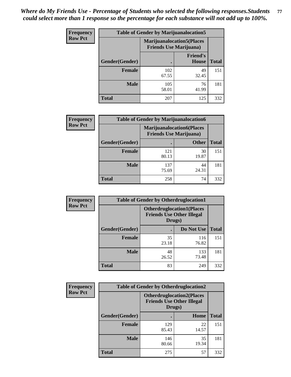| Frequency      | <b>Table of Gender by Marijuanalocation5</b> |                                                                    |                                 |              |
|----------------|----------------------------------------------|--------------------------------------------------------------------|---------------------------------|--------------|
| <b>Row Pct</b> |                                              | <b>Marijuanalocation5(Places</b><br><b>Friends Use Marijuana</b> ) |                                 |              |
|                | Gender(Gender)                               |                                                                    | <b>Friend's</b><br><b>House</b> | <b>Total</b> |
|                | Female                                       | 102<br>67.55                                                       | 49<br>32.45                     | 151          |
|                | <b>Male</b>                                  | 105<br>58.01                                                       | 76<br>41.99                     | 181          |
|                | <b>Total</b>                                 | 207                                                                | 125                             | 332          |

| <b>Frequency</b> | <b>Table of Gender by Marijuanalocation6</b> |                                |                                  |              |  |
|------------------|----------------------------------------------|--------------------------------|----------------------------------|--------------|--|
| <b>Row Pct</b>   |                                              | <b>Friends Use Marijuana</b> ) | <b>Marijuanalocation6(Places</b> |              |  |
|                  | Gender(Gender)                               |                                | <b>Other</b>                     | <b>Total</b> |  |
|                  | <b>Female</b>                                | 121<br>80.13                   | 30<br>19.87                      | 151          |  |
|                  | <b>Male</b>                                  | 137<br>75.69                   | 44<br>24.31                      | 181          |  |
|                  | <b>Total</b>                                 | 258                            | 74                               | 332          |  |

| <b>Frequency</b> | <b>Table of Gender by Otherdruglocation1</b> |                                                                                |              |              |
|------------------|----------------------------------------------|--------------------------------------------------------------------------------|--------------|--------------|
| <b>Row Pct</b>   |                                              | <b>Otherdruglocation1(Places</b><br><b>Friends Use Other Illegal</b><br>Drugs) |              |              |
|                  | Gender(Gender)                               |                                                                                | Do Not Use   | <b>Total</b> |
|                  | <b>Female</b>                                | 35<br>23.18                                                                    | 116<br>76.82 | 151          |
|                  | <b>Male</b>                                  | 48<br>26.52                                                                    | 133<br>73.48 | 181          |
|                  | <b>Total</b>                                 | 83                                                                             | 249          | 332          |

| Frequency      | <b>Table of Gender by Otherdruglocation2</b> |                                                                                |             |              |
|----------------|----------------------------------------------|--------------------------------------------------------------------------------|-------------|--------------|
| <b>Row Pct</b> |                                              | <b>Otherdruglocation2(Places</b><br><b>Friends Use Other Illegal</b><br>Drugs) |             |              |
|                | Gender(Gender)                               |                                                                                | Home        | <b>Total</b> |
|                | Female                                       | 129<br>85.43                                                                   | 22<br>14.57 | 151          |
|                | <b>Male</b>                                  | 146<br>80.66                                                                   | 35<br>19.34 | 181          |
|                | <b>Total</b>                                 | 275                                                                            | 57          | 332          |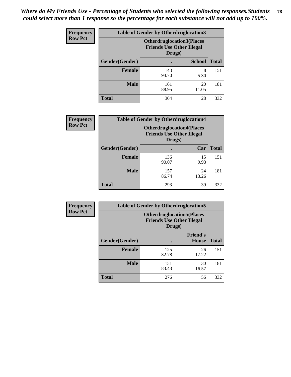| <b>Frequency</b> | <b>Table of Gender by Otherdruglocation3</b> |              |                                                                      |              |
|------------------|----------------------------------------------|--------------|----------------------------------------------------------------------|--------------|
| <b>Row Pct</b>   |                                              | Drugs)       | <b>Otherdruglocation3(Places</b><br><b>Friends Use Other Illegal</b> |              |
|                  | Gender(Gender)                               |              | <b>School</b>                                                        | <b>Total</b> |
|                  | Female                                       | 143<br>94.70 | 8<br>5.30                                                            | 151          |
|                  | <b>Male</b>                                  | 161<br>88.95 | 20<br>11.05                                                          | 181          |
|                  | <b>Total</b>                                 | 304          | 28                                                                   | 332          |

| <b>Frequency</b> | <b>Table of Gender by Otherdruglocation4</b> |                                                                                |             |              |
|------------------|----------------------------------------------|--------------------------------------------------------------------------------|-------------|--------------|
| <b>Row Pct</b>   |                                              | <b>Otherdruglocation4(Places</b><br><b>Friends Use Other Illegal</b><br>Drugs) |             |              |
|                  | Gender(Gender)                               |                                                                                | Car         | <b>Total</b> |
|                  | <b>Female</b>                                | 136<br>90.07                                                                   | 15<br>9.93  | 151          |
|                  | <b>Male</b>                                  | 157<br>86.74                                                                   | 24<br>13.26 | 181          |
|                  | <b>Total</b>                                 | 293                                                                            | 39          | 332          |

| Frequency      | <b>Table of Gender by Otherdruglocation5</b>                                   |              |                                 |              |
|----------------|--------------------------------------------------------------------------------|--------------|---------------------------------|--------------|
| <b>Row Pct</b> | <b>Otherdruglocation5(Places</b><br><b>Friends Use Other Illegal</b><br>Drugs) |              |                                 |              |
|                | Gender(Gender)                                                                 |              | <b>Friend's</b><br><b>House</b> | <b>Total</b> |
|                | <b>Female</b>                                                                  | 125<br>82.78 | 26<br>17.22                     | 151          |
|                | <b>Male</b>                                                                    | 151<br>83.43 | 30<br>16.57                     | 181          |
|                | <b>Total</b>                                                                   | 276          | 56                              | 332          |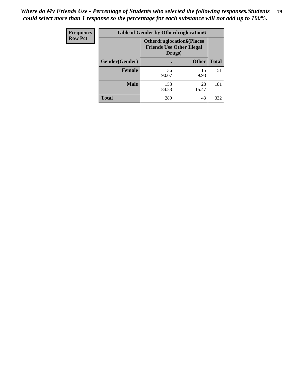| Frequency      | <b>Table of Gender by Otherdruglocation6</b> |                                                                                |              |              |
|----------------|----------------------------------------------|--------------------------------------------------------------------------------|--------------|--------------|
| <b>Row Pct</b> |                                              | <b>Otherdruglocation6(Places</b><br><b>Friends Use Other Illegal</b><br>Drugs) |              |              |
|                | Gender(Gender)                               |                                                                                | <b>Other</b> | <b>Total</b> |
|                | <b>Female</b>                                | 136<br>90.07                                                                   | 15<br>9.93   | 151          |
|                | <b>Male</b>                                  | 153<br>84.53                                                                   | 28<br>15.47  | 181          |
|                | <b>Total</b>                                 | 289                                                                            | 43           | 332          |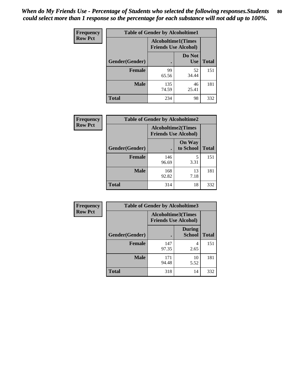| <b>Frequency</b> | <b>Table of Gender by Alcoholtime1</b> |                                                          |                      |              |
|------------------|----------------------------------------|----------------------------------------------------------|----------------------|--------------|
| <b>Row Pct</b>   |                                        | <b>Alcoholtime1(Times</b><br><b>Friends Use Alcohol)</b> |                      |              |
|                  | Gender(Gender)                         | $\bullet$                                                | Do Not<br><b>Use</b> | <b>Total</b> |
|                  | <b>Female</b>                          | 99<br>65.56                                              | 52<br>34.44          | 151          |
|                  | <b>Male</b>                            | 135<br>74.59                                             | 46<br>25.41          | 181          |
|                  | <b>Total</b>                           | 234                                                      | 98                   | 332          |

| Frequency      | <b>Table of Gender by Alcoholtime2</b> |                                                          |                            |              |
|----------------|----------------------------------------|----------------------------------------------------------|----------------------------|--------------|
| <b>Row Pct</b> |                                        | <b>Alcoholtime2(Times</b><br><b>Friends Use Alcohol)</b> |                            |              |
|                | Gender(Gender)                         |                                                          | <b>On Way</b><br>to School | <b>Total</b> |
|                | <b>Female</b>                          | 146<br>96.69                                             | 5<br>3.31                  | 151          |
|                | <b>Male</b>                            | 168<br>92.82                                             | 13<br>7.18                 | 181          |
|                | <b>Total</b>                           | 314                                                      | 18                         | 332          |

| <b>Frequency</b> | <b>Table of Gender by Alcoholtime3</b> |                                                          |                                |              |
|------------------|----------------------------------------|----------------------------------------------------------|--------------------------------|--------------|
| <b>Row Pct</b>   |                                        | <b>Alcoholtime3(Times</b><br><b>Friends Use Alcohol)</b> |                                |              |
|                  | Gender(Gender)                         |                                                          | <b>During</b><br><b>School</b> | <b>Total</b> |
|                  | Female                                 | 147<br>97.35                                             | 4<br>2.65                      | 151          |
|                  | <b>Male</b>                            | 171<br>94.48                                             | 10<br>5.52                     | 181          |
|                  | <b>Total</b>                           | 318                                                      | 14                             | 332          |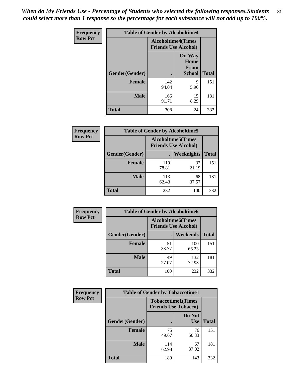*When do My Friends Use - Percentage of Students who selected the following responses.Students could select more than 1 response so the percentage for each substance will not add up to 100%.* **81**

| <b>Frequency</b> | <b>Table of Gender by Alcoholtime4</b> |                                                          |                                                |              |
|------------------|----------------------------------------|----------------------------------------------------------|------------------------------------------------|--------------|
| <b>Row Pct</b>   |                                        | <b>Alcoholtime4(Times</b><br><b>Friends Use Alcohol)</b> |                                                |              |
|                  | Gender(Gender)                         |                                                          | <b>On Way</b><br>Home<br>From<br><b>School</b> | <b>Total</b> |
|                  | <b>Female</b>                          | 142<br>94.04                                             | 9<br>5.96                                      | 151          |
|                  | <b>Male</b>                            | 166<br>91.71                                             | 15<br>8.29                                     | 181          |
|                  | <b>Total</b>                           | 308                                                      | 24                                             | 332          |

| <b>Frequency</b> | <b>Table of Gender by Alcoholtime5</b> |                                                           |             |              |
|------------------|----------------------------------------|-----------------------------------------------------------|-------------|--------------|
| <b>Row Pct</b>   |                                        | <b>Alcoholtime5</b> (Times<br><b>Friends Use Alcohol)</b> |             |              |
|                  | Gender(Gender)                         |                                                           | Weeknights  | <b>Total</b> |
|                  | <b>Female</b>                          | 119<br>78.81                                              | 32<br>21.19 | 151          |
|                  | <b>Male</b>                            | 113<br>62.43                                              | 68<br>37.57 | 181          |
|                  | <b>Total</b>                           | 232                                                       | 100         | 332          |

| <b>Frequency</b> | <b>Table of Gender by Alcoholtime6</b> |             |                                                          |              |  |
|------------------|----------------------------------------|-------------|----------------------------------------------------------|--------------|--|
| <b>Row Pct</b>   |                                        |             | <b>Alcoholtime6(Times</b><br><b>Friends Use Alcohol)</b> |              |  |
|                  | Gender(Gender)                         |             | <b>Weekends</b>                                          | <b>Total</b> |  |
|                  | Female                                 | 51<br>33.77 | 100<br>66.23                                             | 151          |  |
|                  | <b>Male</b>                            | 49<br>27.07 | 132<br>72.93                                             | 181          |  |
|                  | <b>Total</b>                           | 100         | 232                                                      | 332          |  |

| Frequency      | <b>Table of Gender by Tobaccotime1</b> |                                                          |                      |              |
|----------------|----------------------------------------|----------------------------------------------------------|----------------------|--------------|
| <b>Row Pct</b> |                                        | <b>Tobaccotime1(Times</b><br><b>Friends Use Tobacco)</b> |                      |              |
|                | Gender(Gender)                         |                                                          | Do Not<br><b>Use</b> | <b>Total</b> |
|                | <b>Female</b>                          | 75<br>49.67                                              | 76<br>50.33          | 151          |
|                | <b>Male</b>                            | 114<br>62.98                                             | 67<br>37.02          | 181          |
|                | <b>Total</b>                           | 189                                                      | 143                  | 332          |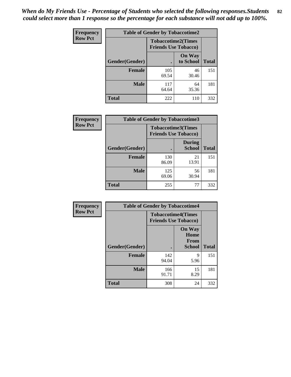| <b>Frequency</b> | <b>Table of Gender by Tobaccotime2</b> |                             |                            |              |
|------------------|----------------------------------------|-----------------------------|----------------------------|--------------|
| <b>Row Pct</b>   |                                        | <b>Friends Use Tobacco)</b> | <b>Tobaccotime2(Times</b>  |              |
|                  | Gender(Gender)                         |                             | <b>On Way</b><br>to School | <b>Total</b> |
|                  | <b>Female</b>                          | 105<br>69.54                | 46<br>30.46                | 151          |
|                  | <b>Male</b>                            | 117<br>64.64                | 64<br>35.36                | 181          |
|                  | <b>Total</b>                           | 222                         | 110                        | 332          |

| <b>Frequency</b> | <b>Table of Gender by Tobaccotime3</b> |                                                          |                                |              |
|------------------|----------------------------------------|----------------------------------------------------------|--------------------------------|--------------|
| <b>Row Pct</b>   |                                        | <b>Tobaccotime3(Times</b><br><b>Friends Use Tobacco)</b> |                                |              |
|                  | Gender(Gender)                         |                                                          | <b>During</b><br><b>School</b> | <b>Total</b> |
|                  | <b>Female</b>                          | 130<br>86.09                                             | 21<br>13.91                    | 151          |
|                  | <b>Male</b>                            | 125<br>69.06                                             | 56<br>30.94                    | 181          |
|                  | <b>Total</b>                           | 255                                                      | 77                             | 332          |

| <b>Frequency</b> | <b>Table of Gender by Tobaccotime4</b> |                                                          |                                                       |              |
|------------------|----------------------------------------|----------------------------------------------------------|-------------------------------------------------------|--------------|
| <b>Row Pct</b>   |                                        | <b>Tobaccotime4(Times</b><br><b>Friends Use Tobacco)</b> |                                                       |              |
|                  | Gender(Gender)                         |                                                          | <b>On Way</b><br>Home<br><b>From</b><br><b>School</b> | <b>Total</b> |
|                  | <b>Female</b>                          | 142<br>94.04                                             | 9<br>5.96                                             | 151          |
|                  | <b>Male</b>                            | 166<br>91.71                                             | 15<br>8.29                                            | 181          |
|                  | <b>Total</b>                           | 308                                                      | 24                                                    | 332          |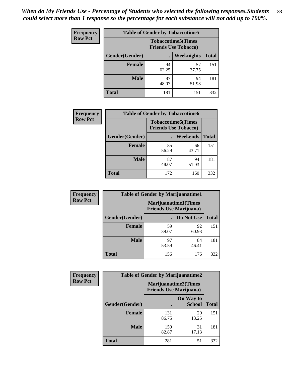| Frequency      | <b>Table of Gender by Tobaccotime5</b> |             |                                                          |              |  |
|----------------|----------------------------------------|-------------|----------------------------------------------------------|--------------|--|
| <b>Row Pct</b> |                                        |             | <b>Tobaccotime5(Times</b><br><b>Friends Use Tobacco)</b> |              |  |
|                | Gender(Gender)                         |             | Weeknights                                               | <b>Total</b> |  |
|                | <b>Female</b>                          | 94<br>62.25 | 57<br>37.75                                              | 151          |  |
|                | <b>Male</b>                            | 87<br>48.07 | 94<br>51.93                                              | 181          |  |
|                | <b>Total</b>                           | 181         | 151                                                      | 332          |  |

| <b>Frequency</b> | <b>Table of Gender by Tobaccotime6</b> |                                                          |                 |              |
|------------------|----------------------------------------|----------------------------------------------------------|-----------------|--------------|
| <b>Row Pct</b>   |                                        | <b>Tobaccotime6(Times</b><br><b>Friends Use Tobacco)</b> |                 |              |
|                  | Gender(Gender)                         |                                                          | <b>Weekends</b> | <b>Total</b> |
|                  | Female                                 | 85<br>56.29                                              | 66<br>43.71     | 151          |
|                  | <b>Male</b>                            | 87<br>48.07                                              | 94<br>51.93     | 181          |
|                  | <b>Total</b>                           | 172                                                      | 160             | 332          |

| Frequency      | <b>Table of Gender by Marijuanatime1</b> |                                                               |             |              |
|----------------|------------------------------------------|---------------------------------------------------------------|-------------|--------------|
| <b>Row Pct</b> |                                          | <b>Marijuanatime1(Times</b><br><b>Friends Use Marijuana</b> ) |             |              |
|                | Gender(Gender)                           |                                                               | Do Not Use  | <b>Total</b> |
|                | <b>Female</b>                            | 59<br>39.07                                                   | 92<br>60.93 | 151          |
|                | <b>Male</b>                              | 97<br>53.59                                                   | 84<br>46.41 | 181          |
|                | <b>Total</b>                             | 156                                                           | 176         | 332          |

| <b>Frequency</b> | <b>Table of Gender by Marijuanatime2</b> |                                                               |                            |              |
|------------------|------------------------------------------|---------------------------------------------------------------|----------------------------|--------------|
| <b>Row Pct</b>   |                                          | <b>Marijuanatime2(Times</b><br><b>Friends Use Marijuana</b> ) |                            |              |
|                  | Gender(Gender)                           |                                                               | On Way to<br><b>School</b> | <b>Total</b> |
|                  | Female                                   | 131<br>86.75                                                  | 20<br>13.25                | 151          |
|                  | <b>Male</b>                              | 150<br>82.87                                                  | 31<br>17.13                | 181          |
|                  | <b>Total</b>                             | 281                                                           | 51                         | 332          |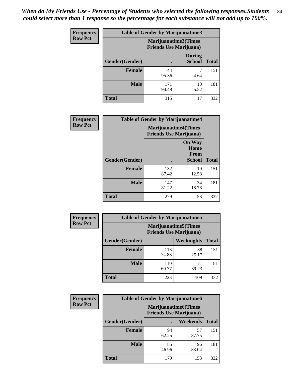*When do My Friends Use - Percentage of Students who selected the following responses.Students could select more than 1 response so the percentage for each substance will not add up to 100%.* **84**

| <b>Frequency</b> | Table of Gender by Marijuanatime3 |                                                        |                                |              |
|------------------|-----------------------------------|--------------------------------------------------------|--------------------------------|--------------|
| <b>Row Pct</b>   |                                   | Marijuanatime3(Times<br><b>Friends Use Marijuana</b> ) |                                |              |
|                  | Gender(Gender)                    |                                                        | <b>During</b><br><b>School</b> | <b>Total</b> |
|                  | <b>Female</b>                     | 144<br>95.36                                           | 4.64                           | 151          |
|                  | <b>Male</b>                       | 171<br>94.48                                           | 10<br>5.52                     | 181          |
|                  | <b>Total</b>                      | 315                                                    | 17                             | 332          |

| Frequency      | <b>Table of Gender by Marijuanatime4</b> |                                |                                                |              |
|----------------|------------------------------------------|--------------------------------|------------------------------------------------|--------------|
| <b>Row Pct</b> |                                          | <b>Friends Use Marijuana</b> ) | <b>Marijuanatime4</b> (Times                   |              |
|                | Gender(Gender)                           |                                | <b>On Way</b><br>Home<br>From<br><b>School</b> | <b>Total</b> |
|                | Female                                   | 132<br>87.42                   | 19<br>12.58                                    | 151          |
|                | <b>Male</b>                              | 147<br>81.22                   | 34<br>18.78                                    | 181          |
|                | <b>Total</b>                             | 279                            | 53                                             | 332          |

| Frequency      | <b>Table of Gender by Marijuanatime5</b> |                                                                |                   |              |  |
|----------------|------------------------------------------|----------------------------------------------------------------|-------------------|--------------|--|
| <b>Row Pct</b> |                                          | <b>Marijuanatime5</b> (Times<br><b>Friends Use Marijuana</b> ) |                   |              |  |
|                | Gender(Gender)                           |                                                                | <b>Weeknights</b> | <b>Total</b> |  |
|                | <b>Female</b>                            | 113<br>74.83                                                   | 38<br>25.17       | 151          |  |
|                | <b>Male</b>                              | 110<br>60.77                                                   | 71<br>39.23       | 181          |  |
|                | <b>Total</b>                             | 223                                                            | 109               | 332          |  |

| Frequency      | <b>Table of Gender by Marijuanatime6</b> |                                                               |                 |              |  |
|----------------|------------------------------------------|---------------------------------------------------------------|-----------------|--------------|--|
| <b>Row Pct</b> |                                          | <b>Marijuanatime6(Times</b><br><b>Friends Use Marijuana</b> ) |                 |              |  |
|                | Gender(Gender)                           |                                                               | <b>Weekends</b> | <b>Total</b> |  |
|                | <b>Female</b>                            | 94<br>62.25                                                   | 57<br>37.75     | 151          |  |
|                | <b>Male</b>                              | 85<br>46.96                                                   | 96<br>53.04     | 181          |  |
|                | <b>Total</b>                             | 179                                                           | 153             | 332          |  |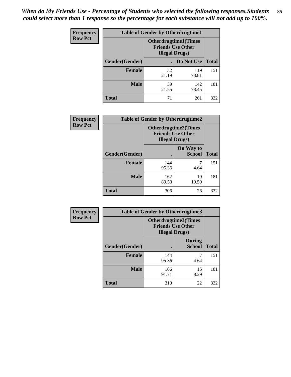*When do My Friends Use - Percentage of Students who selected the following responses.Students could select more than 1 response so the percentage for each substance will not add up to 100%.* **85**

| <b>Frequency</b> | <b>Table of Gender by Otherdrugtime1</b> |                                                                                    |              |              |
|------------------|------------------------------------------|------------------------------------------------------------------------------------|--------------|--------------|
| <b>Row Pct</b>   |                                          | <b>Otherdrugtime1</b> (Times<br><b>Friends Use Other</b><br><b>Illegal Drugs</b> ) |              |              |
|                  | Gender(Gender)                           |                                                                                    | Do Not Use   | <b>Total</b> |
|                  | <b>Female</b>                            | 32<br>21.19                                                                        | 119<br>78.81 | 151          |
|                  | <b>Male</b>                              | 39<br>21.55                                                                        | 142<br>78.45 | 181          |
|                  | <b>Total</b>                             | 71                                                                                 | 261          | 332          |

| Frequency      | <b>Table of Gender by Otherdrugtime2</b> |                                                                                   |                            |              |
|----------------|------------------------------------------|-----------------------------------------------------------------------------------|----------------------------|--------------|
| <b>Row Pct</b> |                                          | <b>Otherdrugtime2(Times</b><br><b>Friends Use Other</b><br><b>Illegal Drugs</b> ) |                            |              |
|                | <b>Gender</b> (Gender)                   |                                                                                   | On Way to<br><b>School</b> | <b>Total</b> |
|                | <b>Female</b>                            | 144<br>95.36                                                                      | 4.64                       | 151          |
|                | <b>Male</b>                              | 162<br>89.50                                                                      | 19<br>10.50                | 181          |
|                | <b>Total</b>                             | 306                                                                               | 26                         | 332          |

| <b>Frequency</b> | <b>Table of Gender by Otherdrugtime3</b> |                                                    |                                |              |
|------------------|------------------------------------------|----------------------------------------------------|--------------------------------|--------------|
| <b>Row Pct</b>   |                                          | <b>Friends Use Other</b><br><b>Illegal Drugs</b> ) | Otherdrugtime3(Times           |              |
|                  | Gender(Gender)                           |                                                    | <b>During</b><br><b>School</b> | <b>Total</b> |
|                  | <b>Female</b>                            | 144<br>95.36                                       | 7<br>4.64                      | 151          |
|                  | <b>Male</b>                              | 166<br>91.71                                       | 15<br>8.29                     | 181          |
|                  | <b>Total</b>                             | 310                                                | 22                             | 332          |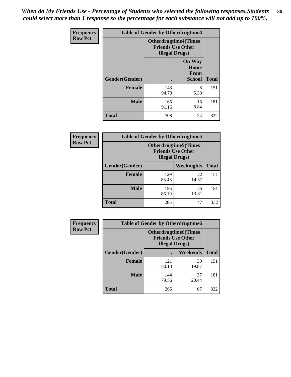*When do My Friends Use - Percentage of Students who selected the following responses.Students could select more than 1 response so the percentage for each substance will not add up to 100%.* **86**

| <b>Frequency</b> | <b>Table of Gender by Otherdrugtime4</b> |                                                    |                                                       |              |
|------------------|------------------------------------------|----------------------------------------------------|-------------------------------------------------------|--------------|
| <b>Row Pct</b>   |                                          | <b>Friends Use Other</b><br><b>Illegal Drugs</b> ) | <b>Otherdrugtime4(Times</b>                           |              |
|                  | Gender(Gender)                           |                                                    | <b>On Way</b><br>Home<br><b>From</b><br><b>School</b> | <b>Total</b> |
|                  | <b>Female</b>                            | 143<br>94.70                                       | 8<br>5.30                                             | 151          |
|                  | <b>Male</b>                              | 165<br>91.16                                       | 16<br>8.84                                            | 181          |
|                  | <b>Total</b>                             | 308                                                | 24                                                    | 332          |

| Frequency      | <b>Table of Gender by Otherdrugtime5</b> |                                                                                    |             |              |
|----------------|------------------------------------------|------------------------------------------------------------------------------------|-------------|--------------|
| <b>Row Pct</b> |                                          | <b>Otherdrugtime5</b> (Times<br><b>Friends Use Other</b><br><b>Illegal Drugs</b> ) |             |              |
|                | Gender(Gender)                           |                                                                                    | Weeknights  | <b>Total</b> |
|                | <b>Female</b>                            | 129<br>85.43                                                                       | 22<br>14.57 | 151          |
|                | <b>Male</b>                              | 156<br>86.19                                                                       | 25<br>13.81 | 181          |
|                | <b>Total</b>                             | 285                                                                                | 47          | 332          |

| <b>Frequency</b> | <b>Table of Gender by Otherdrugtime6</b> |                                                                                   |             |              |  |
|------------------|------------------------------------------|-----------------------------------------------------------------------------------|-------------|--------------|--|
| <b>Row Pct</b>   |                                          | <b>Otherdrugtime6(Times</b><br><b>Friends Use Other</b><br><b>Illegal Drugs</b> ) |             |              |  |
|                  | Gender(Gender)                           |                                                                                   | Weekends    | <b>Total</b> |  |
|                  | <b>Female</b>                            | 121<br>80.13                                                                      | 30<br>19.87 | 151          |  |
|                  | <b>Male</b>                              | 144<br>79.56                                                                      | 37<br>20.44 | 181          |  |
|                  | <b>Total</b>                             | 265                                                                               | 67          | 332          |  |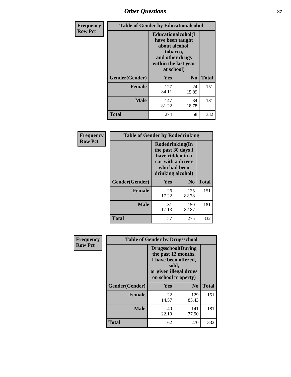# *Other Questions* **87**

| <b>Frequency</b> | <b>Table of Gender by Educationalcohol</b> |                                                                                                                                       |                |              |
|------------------|--------------------------------------------|---------------------------------------------------------------------------------------------------------------------------------------|----------------|--------------|
| <b>Row Pct</b>   |                                            | <b>Educationalcohol</b> (I<br>have been taught<br>about alcohol,<br>tobacco,<br>and other drugs<br>within the last year<br>at school) |                |              |
|                  | Gender(Gender)                             | <b>Yes</b>                                                                                                                            | N <sub>0</sub> | <b>Total</b> |
|                  | <b>Female</b>                              | 127<br>84.11                                                                                                                          | 24<br>15.89    | 151          |
|                  | <b>Male</b>                                | 147<br>81.22                                                                                                                          | 34<br>18.78    | 181          |
|                  | <b>Total</b>                               | 274                                                                                                                                   | 58             | 332          |

| Frequency      | <b>Table of Gender by Rodedrinking</b> |                                                                                                                     |                |              |  |
|----------------|----------------------------------------|---------------------------------------------------------------------------------------------------------------------|----------------|--------------|--|
| <b>Row Pct</b> |                                        | Rodedrinking(In<br>the past 30 days I<br>have ridden in a<br>car with a driver<br>who had been<br>drinking alcohol) |                |              |  |
|                | Gender(Gender)                         | Yes                                                                                                                 | N <sub>0</sub> | <b>Total</b> |  |
|                | <b>Female</b>                          | 26<br>17.22                                                                                                         | 125<br>82.78   | 151          |  |
|                | <b>Male</b>                            | 31<br>17.13                                                                                                         | 150<br>82.87   | 181          |  |
|                | <b>Total</b>                           | 57                                                                                                                  | 275            | 332          |  |

| Frequency      | <b>Table of Gender by Drugsschool</b> |                                                                                                                                     |                |              |  |
|----------------|---------------------------------------|-------------------------------------------------------------------------------------------------------------------------------------|----------------|--------------|--|
| <b>Row Pct</b> |                                       | <b>Drugsschool</b> (During<br>the past 12 months,<br>I have been offered,<br>sold,<br>or given illegal drugs<br>on school property) |                |              |  |
|                | Gender(Gender)                        | <b>Yes</b>                                                                                                                          | N <sub>0</sub> | <b>Total</b> |  |
|                | <b>Female</b>                         | 22<br>14.57                                                                                                                         | 129<br>85.43   | 151          |  |
|                | <b>Male</b>                           | 40<br>22.10                                                                                                                         | 141<br>77.90   | 181          |  |
|                | <b>Total</b>                          | 62                                                                                                                                  | 270            | 332          |  |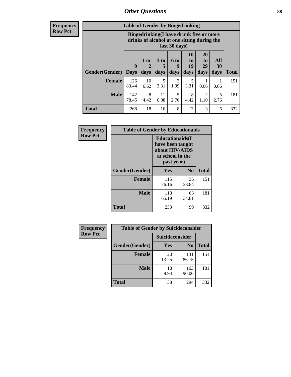## *Other Questions* **88**

**Frequency Row Pct**

| <b>Table of Gender by Bingedrinking</b> |                         |                                                                                                         |                   |                   |                        |                               |                   |              |
|-----------------------------------------|-------------------------|---------------------------------------------------------------------------------------------------------|-------------------|-------------------|------------------------|-------------------------------|-------------------|--------------|
|                                         |                         | Bingedrinking(I have drunk five or more<br>drinks of alcohol at one sitting during the<br>last 30 days) |                   |                   |                        |                               |                   |              |
| <b>Gender</b> (Gender)                  | $\bf{0}$<br><b>Days</b> | 1 or<br>days                                                                                            | 3 to<br>5<br>days | 6 to<br>9<br>days | 10<br>to<br>19<br>days | <b>20</b><br>to<br>29<br>days | All<br>30<br>days | <b>Total</b> |
| <b>Female</b>                           | 126<br>83.44            | 10<br>6.62                                                                                              | 5<br>3.31         | 3<br>1.99         | 5<br>3.31              | 0.66                          | 0.66              | 151          |
| <b>Male</b>                             | 142                     | 8                                                                                                       | 11                | 5                 | 8                      | 2                             | 5                 | 181          |
|                                         | 78.45                   | 4.42                                                                                                    | 6.08              | 2.76              | 4.42                   | 1.10                          | 2.76              |              |

| Frequency      | <b>Table of Gender by Educationaids</b> |                                                                                                 |                |              |  |
|----------------|-----------------------------------------|-------------------------------------------------------------------------------------------------|----------------|--------------|--|
| <b>Row Pct</b> |                                         | <b>Educationaids</b> (I<br>have been taught<br>about HIV/AIDS<br>at school in the<br>past year) |                |              |  |
|                | Gender(Gender)                          | Yes                                                                                             | N <sub>0</sub> | <b>Total</b> |  |
|                | <b>Female</b>                           | 115<br>76.16                                                                                    | 36<br>23.84    | 151          |  |
|                | <b>Male</b>                             | 118<br>65.19                                                                                    | 63<br>34.81    | 181          |  |
|                | <b>Total</b>                            | 233                                                                                             | 99             | 332          |  |

| <b>Frequency</b> | <b>Table of Gender by Suicideconsider</b> |                 |                |              |  |
|------------------|-------------------------------------------|-----------------|----------------|--------------|--|
| <b>Row Pct</b>   |                                           | Suicideconsider |                |              |  |
|                  | Gender(Gender)                            | Yes             | N <sub>0</sub> | <b>Total</b> |  |
|                  | <b>Female</b>                             | 20<br>13.25     | 131<br>86.75   | 151          |  |
|                  | <b>Male</b>                               | 18<br>9.94      | 163<br>90.06   | 181          |  |
|                  | Total                                     | 38              | 294            | 332          |  |